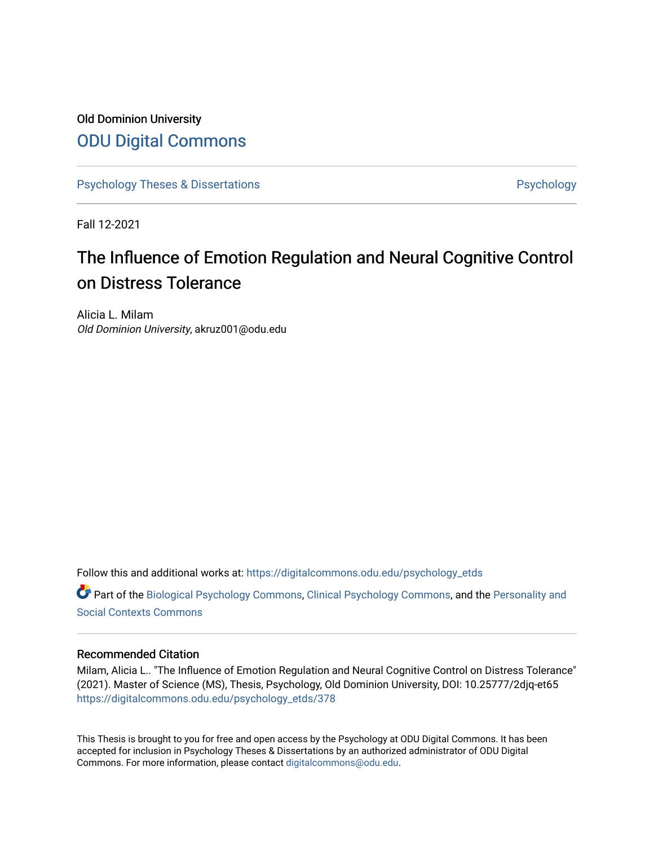# Old Dominion University [ODU Digital Commons](https://digitalcommons.odu.edu/)

[Psychology Theses & Dissertations](https://digitalcommons.odu.edu/psychology_etds) **Psychology** Psychology

Fall 12-2021

# The Influence of Emotion Regulation and Neural Cognitive Control on Distress Tolerance

Alicia L. Milam Old Dominion University, akruz001@odu.edu

Follow this and additional works at: [https://digitalcommons.odu.edu/psychology\\_etds](https://digitalcommons.odu.edu/psychology_etds?utm_source=digitalcommons.odu.edu%2Fpsychology_etds%2F378&utm_medium=PDF&utm_campaign=PDFCoverPages)

Part of the [Biological Psychology Commons,](http://network.bepress.com/hgg/discipline/405?utm_source=digitalcommons.odu.edu%2Fpsychology_etds%2F378&utm_medium=PDF&utm_campaign=PDFCoverPages) [Clinical Psychology Commons,](http://network.bepress.com/hgg/discipline/406?utm_source=digitalcommons.odu.edu%2Fpsychology_etds%2F378&utm_medium=PDF&utm_campaign=PDFCoverPages) and the [Personality and](http://network.bepress.com/hgg/discipline/413?utm_source=digitalcommons.odu.edu%2Fpsychology_etds%2F378&utm_medium=PDF&utm_campaign=PDFCoverPages)  [Social Contexts Commons](http://network.bepress.com/hgg/discipline/413?utm_source=digitalcommons.odu.edu%2Fpsychology_etds%2F378&utm_medium=PDF&utm_campaign=PDFCoverPages) 

#### Recommended Citation

Milam, Alicia L.. "The Influence of Emotion Regulation and Neural Cognitive Control on Distress Tolerance" (2021). Master of Science (MS), Thesis, Psychology, Old Dominion University, DOI: 10.25777/2djq-et65 [https://digitalcommons.odu.edu/psychology\\_etds/378](https://digitalcommons.odu.edu/psychology_etds/378?utm_source=digitalcommons.odu.edu%2Fpsychology_etds%2F378&utm_medium=PDF&utm_campaign=PDFCoverPages)

This Thesis is brought to you for free and open access by the Psychology at ODU Digital Commons. It has been accepted for inclusion in Psychology Theses & Dissertations by an authorized administrator of ODU Digital Commons. For more information, please contact [digitalcommons@odu.edu](mailto:digitalcommons@odu.edu).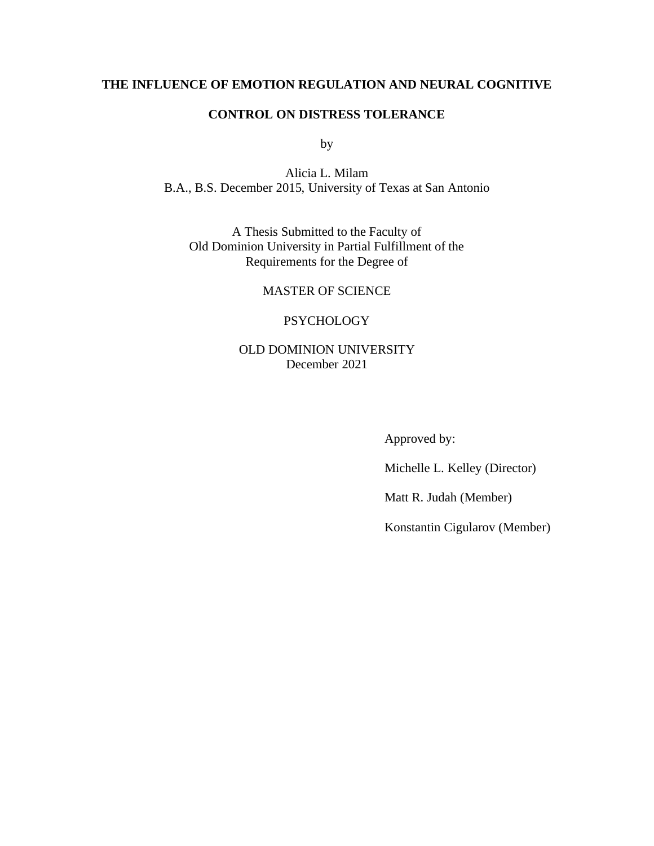### **THE INFLUENCE OF EMOTION REGULATION AND NEURAL COGNITIVE**

#### **CONTROL ON DISTRESS TOLERANCE**

by

Alicia L. Milam B.A., B.S. December 2015, University of Texas at San Antonio

A Thesis Submitted to the Faculty of Old Dominion University in Partial Fulfillment of the Requirements for the Degree of

MASTER OF SCIENCE

#### **PSYCHOLOGY**

### OLD DOMINION UNIVERSITY December 2021

Approved by:

Michelle L. Kelley (Director)

Matt R. Judah (Member)

Konstantin Cigularov (Member)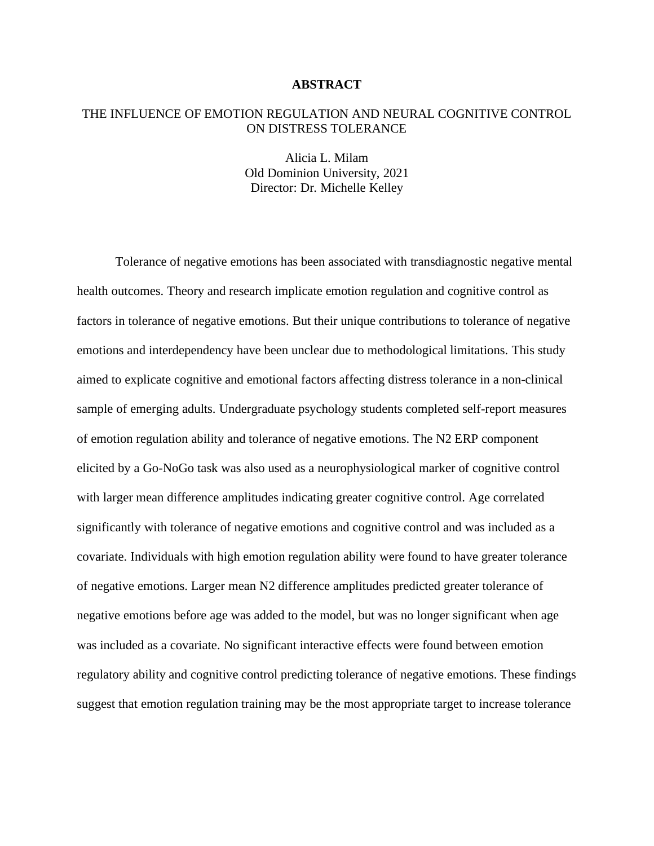#### **ABSTRACT**

#### THE INFLUENCE OF EMOTION REGULATION AND NEURAL COGNITIVE CONTROL ON DISTRESS TOLERANCE

Alicia L. Milam Old Dominion University, 2021 Director: Dr. Michelle Kelley

Tolerance of negative emotions has been associated with transdiagnostic negative mental health outcomes. Theory and research implicate emotion regulation and cognitive control as factors in tolerance of negative emotions. But their unique contributions to tolerance of negative emotions and interdependency have been unclear due to methodological limitations. This study aimed to explicate cognitive and emotional factors affecting distress tolerance in a non-clinical sample of emerging adults. Undergraduate psychology students completed self-report measures of emotion regulation ability and tolerance of negative emotions. The N2 ERP component elicited by a Go-NoGo task was also used as a neurophysiological marker of cognitive control with larger mean difference amplitudes indicating greater cognitive control. Age correlated significantly with tolerance of negative emotions and cognitive control and was included as a covariate. Individuals with high emotion regulation ability were found to have greater tolerance of negative emotions. Larger mean N2 difference amplitudes predicted greater tolerance of negative emotions before age was added to the model, but was no longer significant when age was included as a covariate. No significant interactive effects were found between emotion regulatory ability and cognitive control predicting tolerance of negative emotions. These findings suggest that emotion regulation training may be the most appropriate target to increase tolerance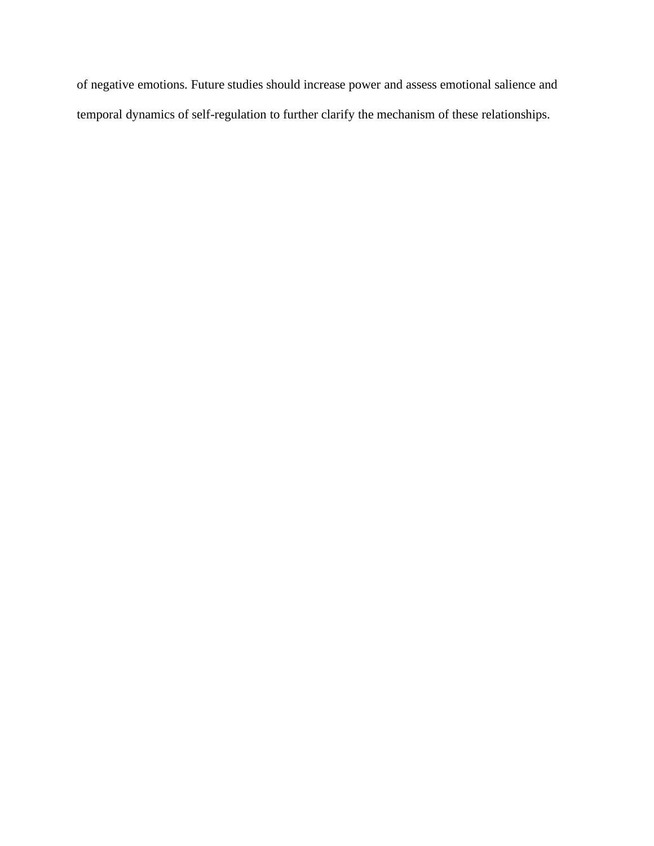of negative emotions. Future studies should increase power and assess emotional salience and temporal dynamics of self-regulation to further clarify the mechanism of these relationships.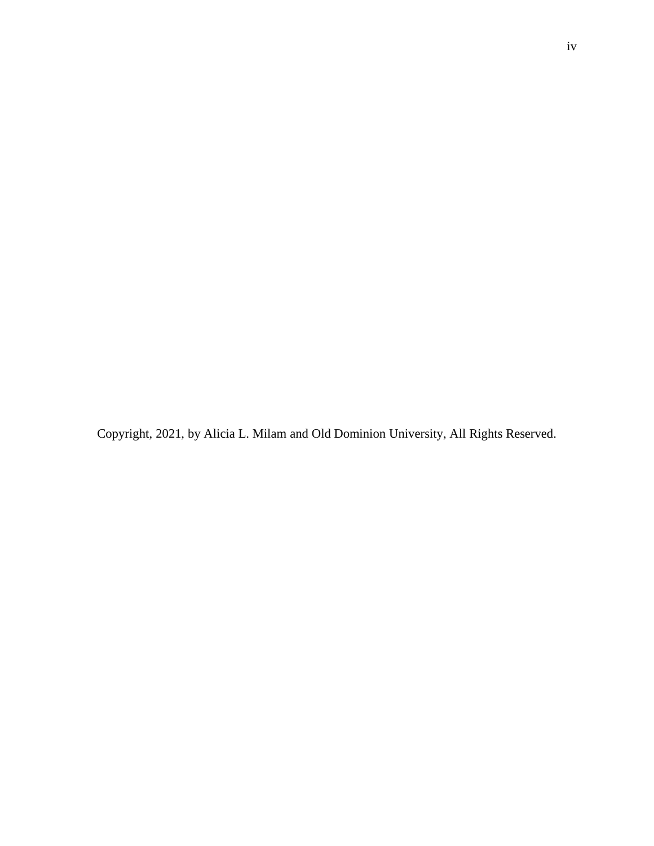Copyright, 2021, by Alicia L. Milam and Old Dominion University, All Rights Reserved.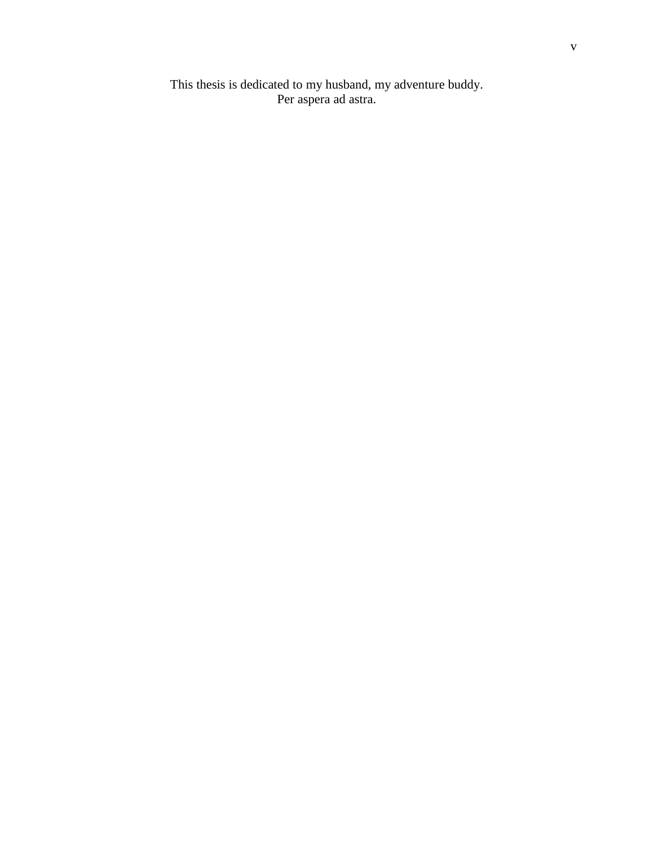This thesis is dedicated to my husband, my adventure buddy. Per aspera ad astra.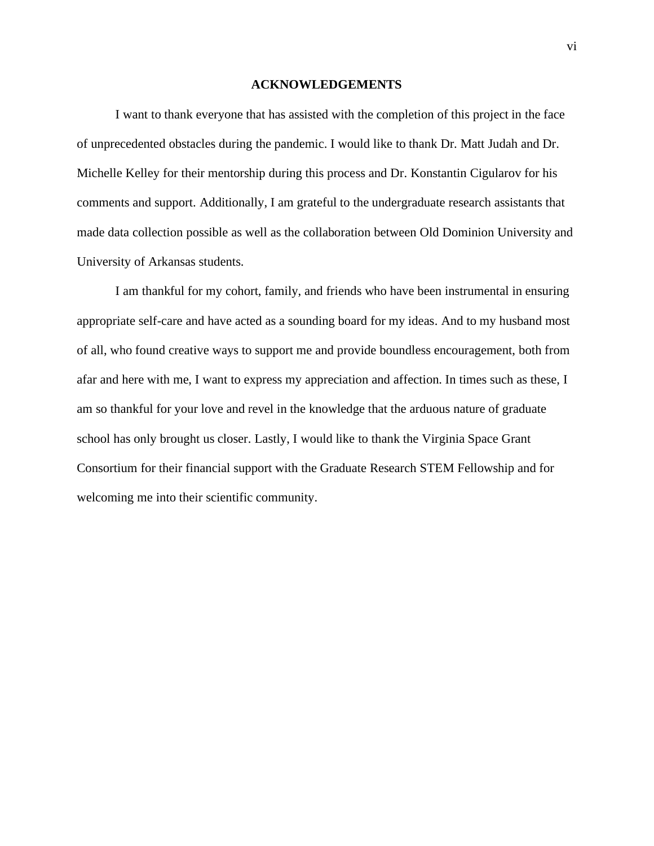#### **ACKNOWLEDGEMENTS**

I want to thank everyone that has assisted with the completion of this project in the face of unprecedented obstacles during the pandemic. I would like to thank Dr. Matt Judah and Dr. Michelle Kelley for their mentorship during this process and Dr. Konstantin Cigularov for his comments and support. Additionally, I am grateful to the undergraduate research assistants that made data collection possible as well as the collaboration between Old Dominion University and University of Arkansas students.

I am thankful for my cohort, family, and friends who have been instrumental in ensuring appropriate self-care and have acted as a sounding board for my ideas. And to my husband most of all, who found creative ways to support me and provide boundless encouragement, both from afar and here with me, I want to express my appreciation and affection. In times such as these, I am so thankful for your love and revel in the knowledge that the arduous nature of graduate school has only brought us closer. Lastly, I would like to thank the Virginia Space Grant Consortium for their financial support with the Graduate Research STEM Fellowship and for welcoming me into their scientific community.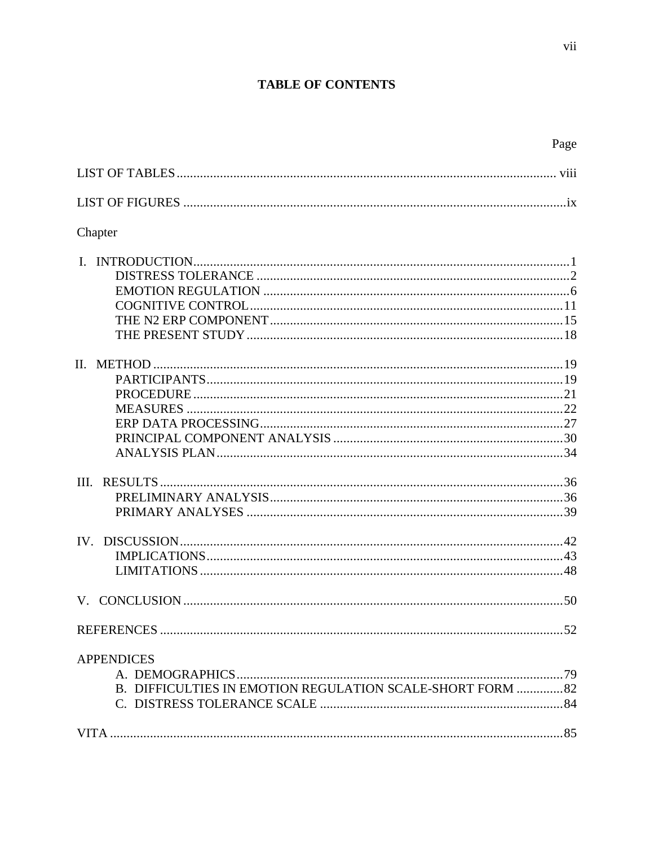# **TABLE OF CONTENTS**

| Chapter                                                    |  |
|------------------------------------------------------------|--|
|                                                            |  |
|                                                            |  |
|                                                            |  |
|                                                            |  |
|                                                            |  |
|                                                            |  |
|                                                            |  |
|                                                            |  |
|                                                            |  |
|                                                            |  |
|                                                            |  |
|                                                            |  |
|                                                            |  |
|                                                            |  |
|                                                            |  |
|                                                            |  |
|                                                            |  |
| <b>APPENDICES</b>                                          |  |
|                                                            |  |
| B. DIFFICULTIES IN EMOTION REGULATION SCALE-SHORT FORM  82 |  |
|                                                            |  |
|                                                            |  |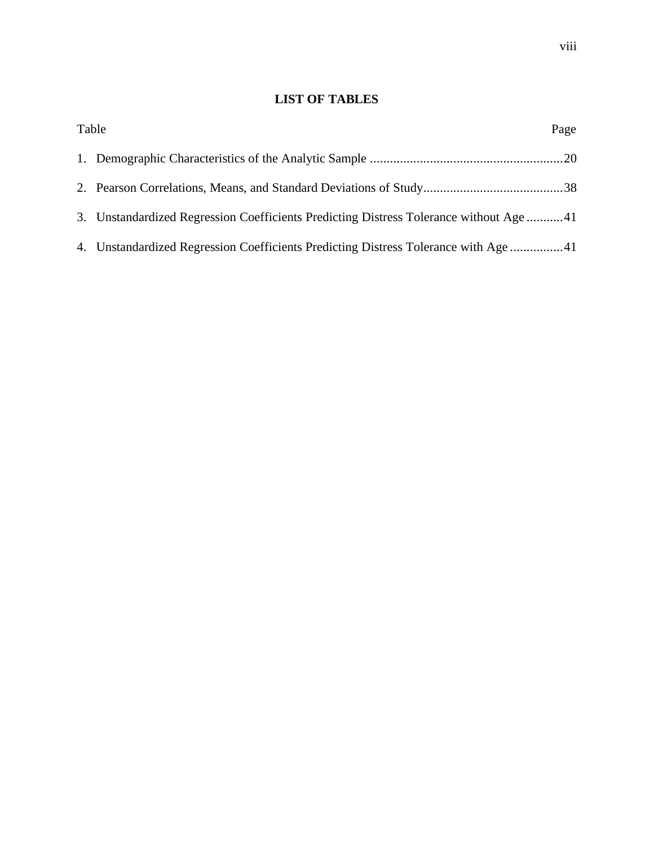### **LIST OF TABLES**

| Table |                                                                                       | Page |
|-------|---------------------------------------------------------------------------------------|------|
|       |                                                                                       |      |
|       |                                                                                       |      |
|       | 3. Unstandardized Regression Coefficients Predicting Distress Tolerance without Age41 |      |
|       | 4. Unstandardized Regression Coefficients Predicting Distress Tolerance with Age41    |      |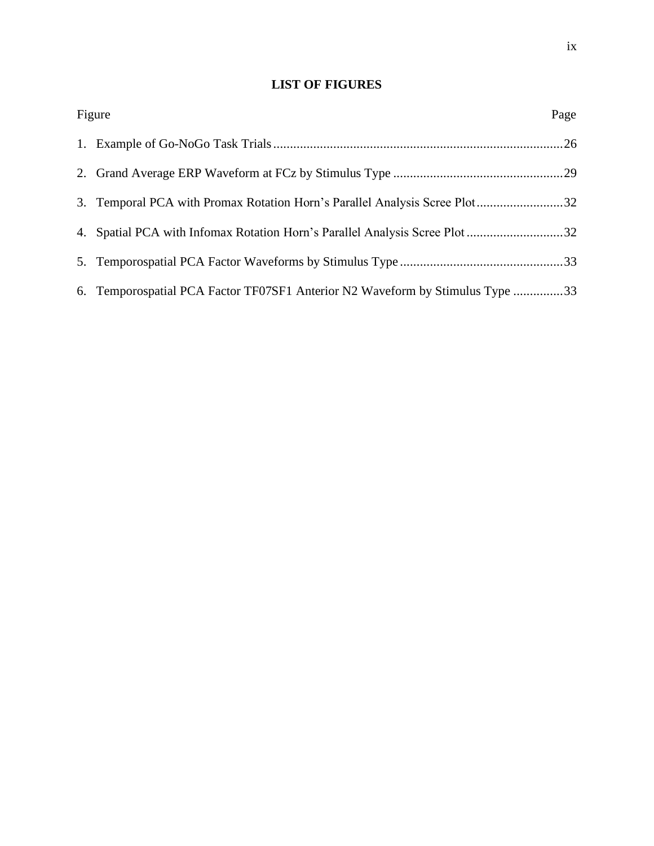## **LIST OF FIGURES**

| Figure                                                                        | Page |
|-------------------------------------------------------------------------------|------|
|                                                                               |      |
|                                                                               |      |
| 3. Temporal PCA with Promax Rotation Horn's Parallel Analysis Scree Plot32    |      |
| 4. Spatial PCA with Infomax Rotation Horn's Parallel Analysis Scree Plot 32   |      |
|                                                                               |      |
| 6. Temporospatial PCA Factor TF07SF1 Anterior N2 Waveform by Stimulus Type 33 |      |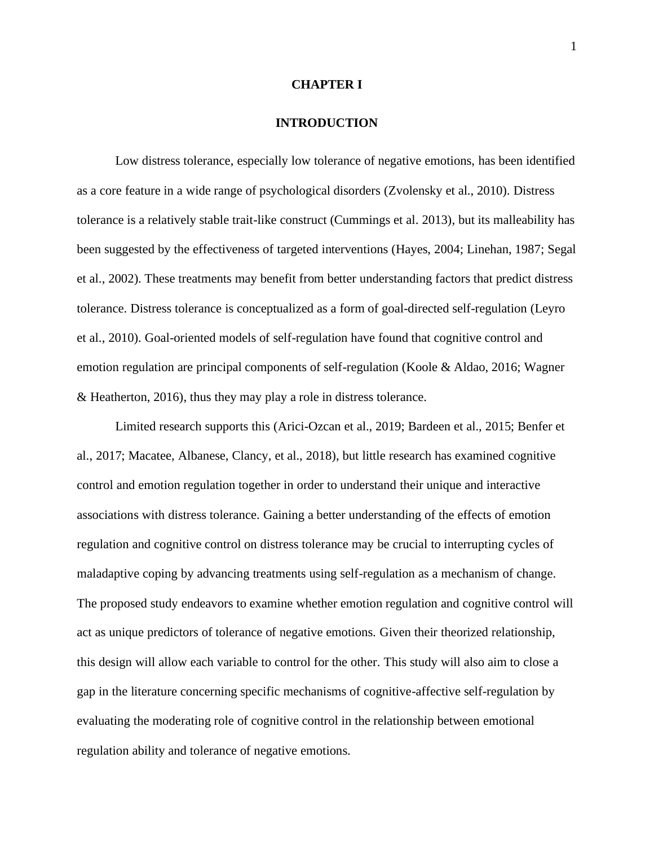#### **CHAPTER I**

#### **INTRODUCTION**

Low distress tolerance, especially low tolerance of negative emotions, has been identified as a core feature in a wide range of psychological disorders (Zvolensky et al., 2010). Distress tolerance is a relatively stable trait-like construct (Cummings et al. 2013), but its malleability has been suggested by the effectiveness of targeted interventions (Hayes, 2004; Linehan, 1987; Segal et al., 2002). These treatments may benefit from better understanding factors that predict distress tolerance. Distress tolerance is conceptualized as a form of goal-directed self-regulation (Leyro et al., 2010). Goal-oriented models of self-regulation have found that cognitive control and emotion regulation are principal components of self-regulation (Koole & Aldao, 2016; Wagner & Heatherton, 2016), thus they may play a role in distress tolerance.

Limited research supports this (Arici-Ozcan et al., 2019; Bardeen et al., 2015; Benfer et al., 2017; Macatee, Albanese, Clancy, et al., 2018), but little research has examined cognitive control and emotion regulation together in order to understand their unique and interactive associations with distress tolerance. Gaining a better understanding of the effects of emotion regulation and cognitive control on distress tolerance may be crucial to interrupting cycles of maladaptive coping by advancing treatments using self-regulation as a mechanism of change. The proposed study endeavors to examine whether emotion regulation and cognitive control will act as unique predictors of tolerance of negative emotions. Given their theorized relationship, this design will allow each variable to control for the other. This study will also aim to close a gap in the literature concerning specific mechanisms of cognitive-affective self-regulation by evaluating the moderating role of cognitive control in the relationship between emotional regulation ability and tolerance of negative emotions.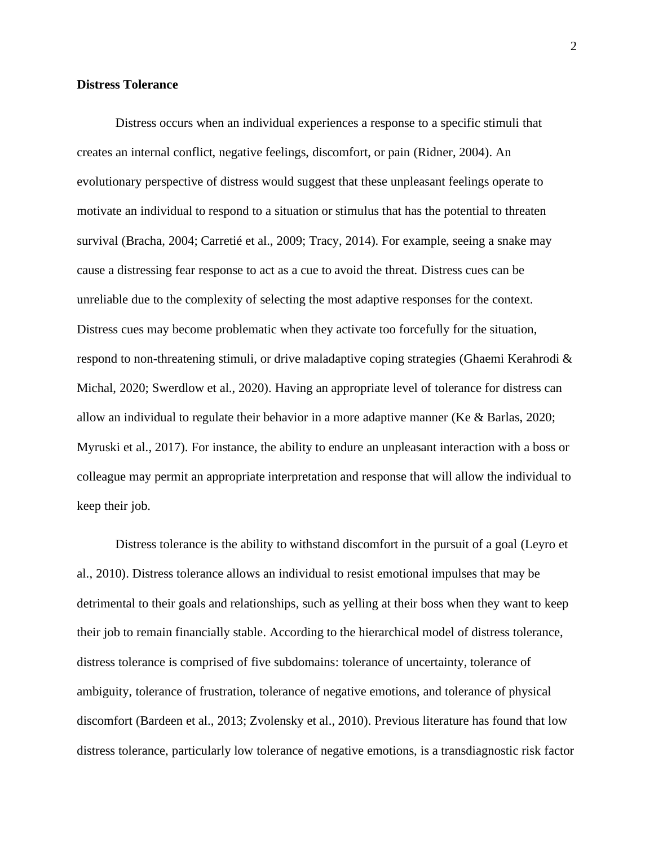#### **Distress Tolerance**

Distress occurs when an individual experiences a response to a specific stimuli that creates an internal conflict, negative feelings, discomfort, or pain (Ridner, 2004). An evolutionary perspective of distress would suggest that these unpleasant feelings operate to motivate an individual to respond to a situation or stimulus that has the potential to threaten survival (Bracha, 2004; Carretié et al., 2009; Tracy, 2014). For example, seeing a snake may cause a distressing fear response to act as a cue to avoid the threat. Distress cues can be unreliable due to the complexity of selecting the most adaptive responses for the context. Distress cues may become problematic when they activate too forcefully for the situation, respond to non-threatening stimuli, or drive maladaptive coping strategies (Ghaemi Kerahrodi & Michal, 2020; Swerdlow et al., 2020). Having an appropriate level of tolerance for distress can allow an individual to regulate their behavior in a more adaptive manner (Ke  $\&$  Barlas, 2020; Myruski et al., 2017). For instance, the ability to endure an unpleasant interaction with a boss or colleague may permit an appropriate interpretation and response that will allow the individual to keep their job.

Distress tolerance is the ability to withstand discomfort in the pursuit of a goal (Leyro et al., 2010). Distress tolerance allows an individual to resist emotional impulses that may be detrimental to their goals and relationships, such as yelling at their boss when they want to keep their job to remain financially stable. According to the hierarchical model of distress tolerance, distress tolerance is comprised of five subdomains: tolerance of uncertainty, tolerance of ambiguity, tolerance of frustration, tolerance of negative emotions, and tolerance of physical discomfort (Bardeen et al., 2013; Zvolensky et al., 2010). Previous literature has found that low distress tolerance, particularly low tolerance of negative emotions, is a transdiagnostic risk factor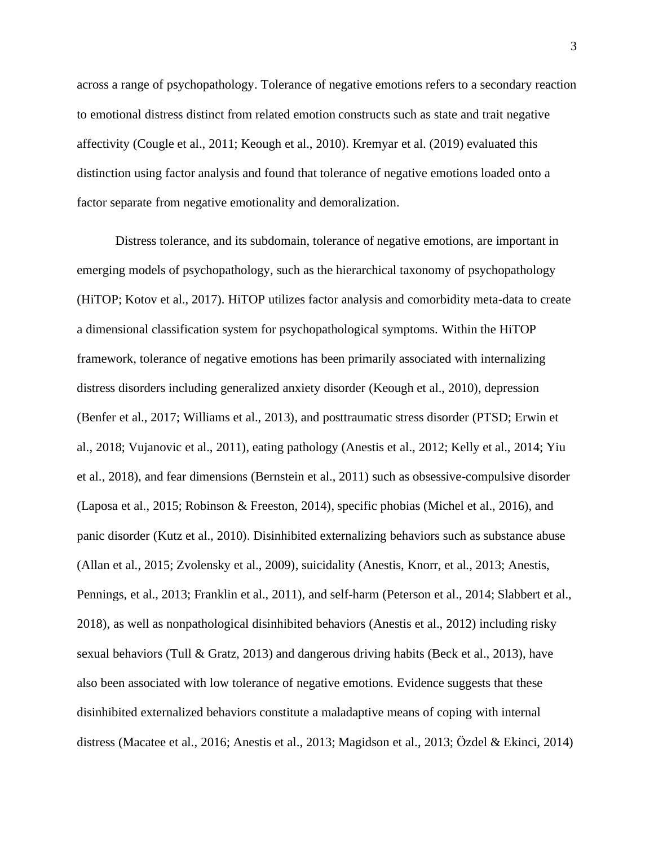across a range of psychopathology. Tolerance of negative emotions refers to a secondary reaction to emotional distress distinct from related emotion constructs such as state and trait negative affectivity (Cougle et al., 2011; Keough et al., 2010). Kremyar et al. (2019) evaluated this distinction using factor analysis and found that tolerance of negative emotions loaded onto a factor separate from negative emotionality and demoralization.

Distress tolerance, and its subdomain, tolerance of negative emotions, are important in emerging models of psychopathology, such as the hierarchical taxonomy of psychopathology (HiTOP; Kotov et al., 2017). HiTOP utilizes factor analysis and comorbidity meta-data to create a dimensional classification system for psychopathological symptoms. Within the HiTOP framework, tolerance of negative emotions has been primarily associated with internalizing distress disorders including generalized anxiety disorder (Keough et al., 2010), depression (Benfer et al., 2017; Williams et al., 2013), and posttraumatic stress disorder (PTSD; Erwin et al., 2018; Vujanovic et al., 2011), eating pathology (Anestis et al., 2012; Kelly et al., 2014; Yiu et al., 2018), and fear dimensions (Bernstein et al., 2011) such as obsessive-compulsive disorder (Laposa et al., 2015; Robinson & Freeston, 2014), specific phobias (Michel et al., 2016), and panic disorder (Kutz et al., 2010). Disinhibited externalizing behaviors such as substance abuse (Allan et al., 2015; Zvolensky et al., 2009), suicidality (Anestis, Knorr, et al., 2013; Anestis, Pennings, et al., 2013; Franklin et al., 2011), and self-harm (Peterson et al., 2014; Slabbert et al., 2018), as well as nonpathological disinhibited behaviors (Anestis et al., 2012) including risky sexual behaviors (Tull & Gratz, 2013) and dangerous driving habits (Beck et al., 2013), have also been associated with low tolerance of negative emotions. Evidence suggests that these disinhibited externalized behaviors constitute a maladaptive means of coping with internal distress (Macatee et al., 2016; Anestis et al., 2013; Magidson et al., 2013; Özdel & Ekinci, 2014)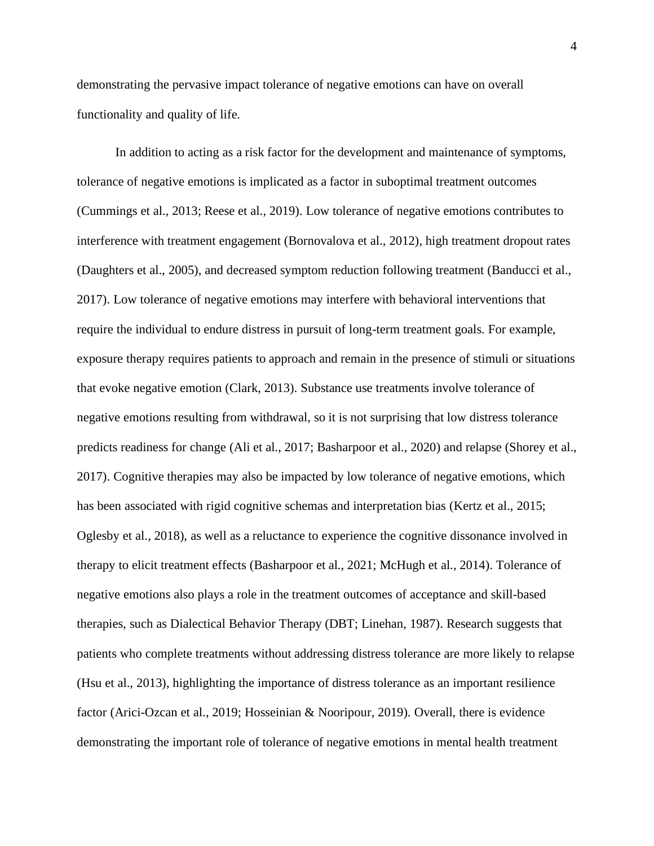demonstrating the pervasive impact tolerance of negative emotions can have on overall functionality and quality of life.

In addition to acting as a risk factor for the development and maintenance of symptoms, tolerance of negative emotions is implicated as a factor in suboptimal treatment outcomes (Cummings et al., 2013; Reese et al., 2019). Low tolerance of negative emotions contributes to interference with treatment engagement (Bornovalova et al., 2012), high treatment dropout rates (Daughters et al., 2005), and decreased symptom reduction following treatment (Banducci et al., 2017). Low tolerance of negative emotions may interfere with behavioral interventions that require the individual to endure distress in pursuit of long-term treatment goals. For example, exposure therapy requires patients to approach and remain in the presence of stimuli or situations that evoke negative emotion (Clark, 2013). Substance use treatments involve tolerance of negative emotions resulting from withdrawal, so it is not surprising that low distress tolerance predicts readiness for change (Ali et al., 2017; Basharpoor et al., 2020) and relapse (Shorey et al., 2017). Cognitive therapies may also be impacted by low tolerance of negative emotions, which has been associated with rigid cognitive schemas and interpretation bias (Kertz et al., 2015; Oglesby et al., 2018), as well as a reluctance to experience the cognitive dissonance involved in therapy to elicit treatment effects (Basharpoor et al., 2021; McHugh et al., 2014). Tolerance of negative emotions also plays a role in the treatment outcomes of acceptance and skill-based therapies, such as Dialectical Behavior Therapy (DBT; Linehan, 1987). Research suggests that patients who complete treatments without addressing distress tolerance are more likely to relapse (Hsu et al., 2013), highlighting the importance of distress tolerance as an important resilience factor (Arici-Ozcan et al., 2019; Hosseinian & Nooripour, 2019). Overall, there is evidence demonstrating the important role of tolerance of negative emotions in mental health treatment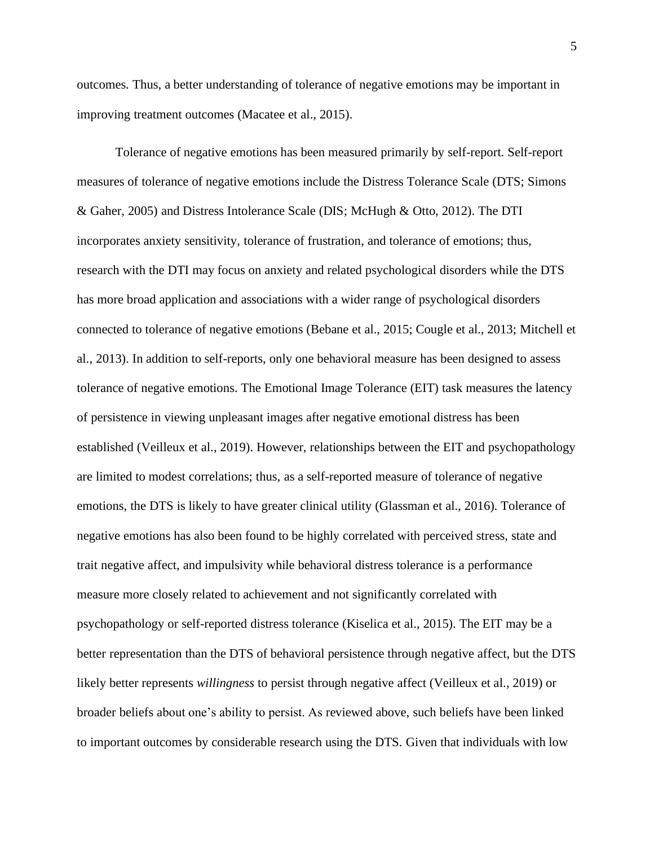outcomes. Thus, a better understanding of tolerance of negative emotions may be important in improving treatment outcomes (Macatee et al., 2015).

Tolerance of negative emotions has been measured primarily by self-report. Self-report measures of tolerance of negative emotions include the Distress Tolerance Scale (DTS; Simons & Gaher, 2005) and Distress Intolerance Scale (DIS; McHugh & Otto, 2012). The DTI incorporates anxiety sensitivity, tolerance of frustration, and tolerance of emotions; thus, research with the DTI may focus on anxiety and related psychological disorders while the DTS has more broad application and associations with a wider range of psychological disorders connected to tolerance of negative emotions (Bebane et al., 2015; Cougle et al., 2013; Mitchell et al., 2013). In addition to self-reports, only one behavioral measure has been designed to assess tolerance of negative emotions. The Emotional Image Tolerance (EIT) task measures the latency of persistence in viewing unpleasant images after negative emotional distress has been established (Veilleux et al., 2019). However, relationships between the EIT and psychopathology are limited to modest correlations; thus, as a self-reported measure of tolerance of negative emotions, the DTS is likely to have greater clinical utility (Glassman et al., 2016). Tolerance of negative emotions has also been found to be highly correlated with perceived stress, state and trait negative affect, and impulsivity while behavioral distress tolerance is a performance measure more closely related to achievement and not significantly correlated with psychopathology or self-reported distress tolerance (Kiselica et al., 2015). The EIT may be a better representation than the DTS of behavioral persistence through negative affect, but the DTS likely better represents *willingness* to persist through negative affect (Veilleux et al., 2019) or broader beliefs about one's ability to persist. As reviewed above, such beliefs have been linked to important outcomes by considerable research using the DTS. Given that individuals with low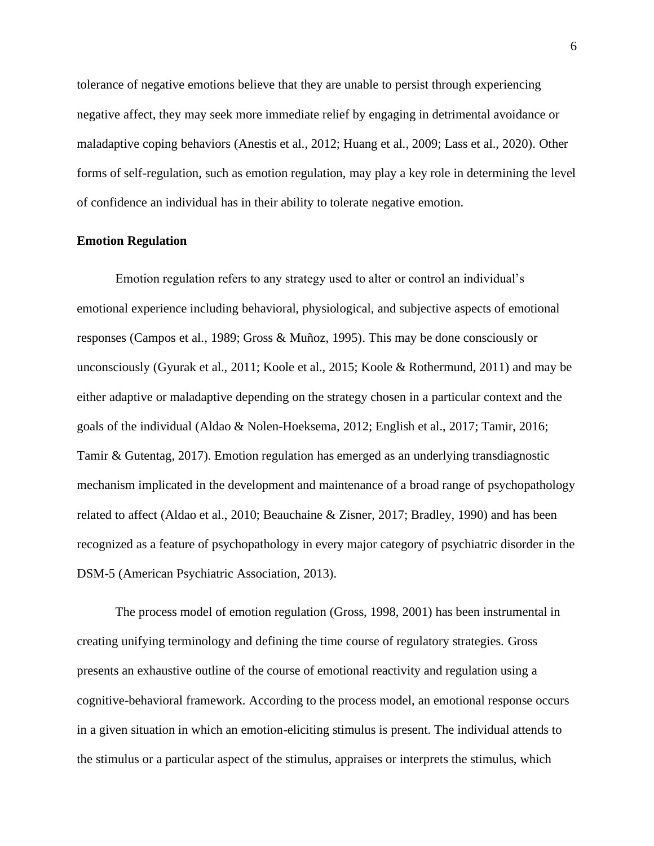tolerance of negative emotions believe that they are unable to persist through experiencing negative affect, they may seek more immediate relief by engaging in detrimental avoidance or maladaptive coping behaviors (Anestis et al., 2012; Huang et al., 2009; Lass et al., 2020). Other forms of self-regulation, such as emotion regulation, may play a key role in determining the level of confidence an individual has in their ability to tolerate negative emotion.

#### **Emotion Regulation**

Emotion regulation refers to any strategy used to alter or control an individual's emotional experience including behavioral, physiological, and subjective aspects of emotional responses (Campos et al., 1989; Gross & Muñoz, 1995). This may be done consciously or unconsciously (Gyurak et al., 2011; Koole et al., 2015; Koole & Rothermund, 2011) and may be either adaptive or maladaptive depending on the strategy chosen in a particular context and the goals of the individual (Aldao & Nolen-Hoeksema, 2012; English et al., 2017; Tamir, 2016; Tamir & Gutentag, 2017). Emotion regulation has emerged as an underlying transdiagnostic mechanism implicated in the development and maintenance of a broad range of psychopathology related to affect (Aldao et al., 2010; Beauchaine & Zisner, 2017; Bradley, 1990) and has been recognized as a feature of psychopathology in every major category of psychiatric disorder in the DSM-5 (American Psychiatric Association, 2013).

The process model of emotion regulation (Gross, 1998, 2001) has been instrumental in creating unifying terminology and defining the time course of regulatory strategies. Gross presents an exhaustive outline of the course of emotional reactivity and regulation using a cognitive-behavioral framework. According to the process model, an emotional response occurs in a given situation in which an emotion-eliciting stimulus is present. The individual attends to the stimulus or a particular aspect of the stimulus, appraises or interprets the stimulus, which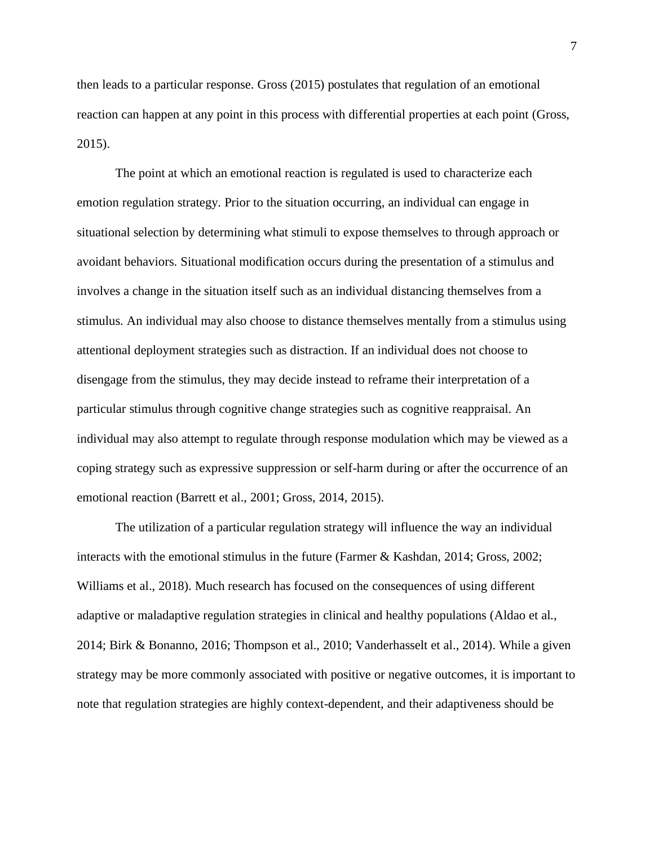then leads to a particular response. Gross (2015) postulates that regulation of an emotional reaction can happen at any point in this process with differential properties at each point (Gross, 2015).

The point at which an emotional reaction is regulated is used to characterize each emotion regulation strategy. Prior to the situation occurring, an individual can engage in situational selection by determining what stimuli to expose themselves to through approach or avoidant behaviors. Situational modification occurs during the presentation of a stimulus and involves a change in the situation itself such as an individual distancing themselves from a stimulus. An individual may also choose to distance themselves mentally from a stimulus using attentional deployment strategies such as distraction. If an individual does not choose to disengage from the stimulus, they may decide instead to reframe their interpretation of a particular stimulus through cognitive change strategies such as cognitive reappraisal. An individual may also attempt to regulate through response modulation which may be viewed as a coping strategy such as expressive suppression or self-harm during or after the occurrence of an emotional reaction (Barrett et al., 2001; Gross, 2014, 2015).

The utilization of a particular regulation strategy will influence the way an individual interacts with the emotional stimulus in the future (Farmer & Kashdan, 2014; Gross, 2002; Williams et al., 2018). Much research has focused on the consequences of using different adaptive or maladaptive regulation strategies in clinical and healthy populations (Aldao et al., 2014; Birk & Bonanno, 2016; Thompson et al., 2010; Vanderhasselt et al., 2014). While a given strategy may be more commonly associated with positive or negative outcomes, it is important to note that regulation strategies are highly context-dependent, and their adaptiveness should be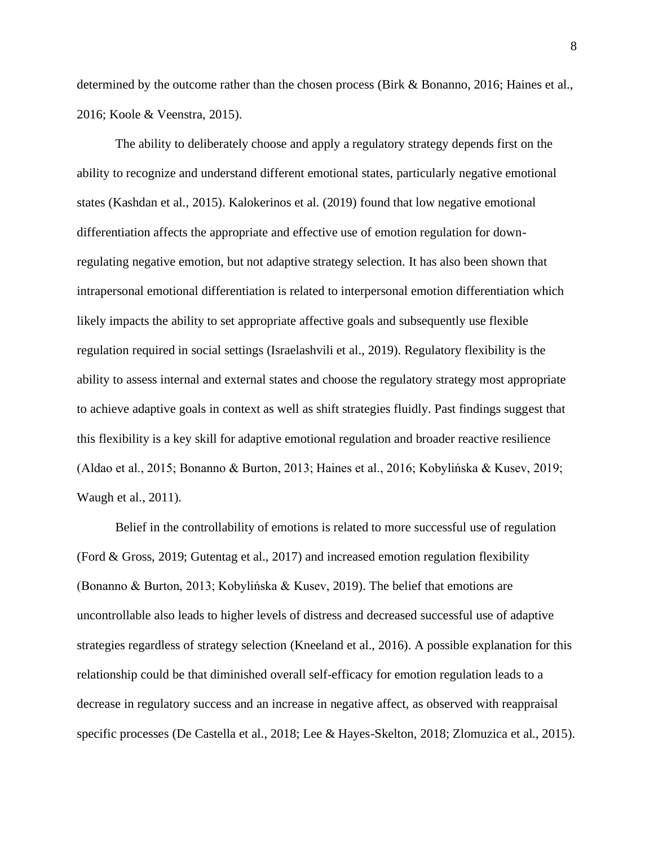determined by the outcome rather than the chosen process (Birk & Bonanno, 2016; Haines et al., 2016; Koole & Veenstra, 2015).

The ability to deliberately choose and apply a regulatory strategy depends first on the ability to recognize and understand different emotional states, particularly negative emotional states (Kashdan et al., 2015). Kalokerinos et al. (2019) found that low negative emotional differentiation affects the appropriate and effective use of emotion regulation for downregulating negative emotion, but not adaptive strategy selection. It has also been shown that intrapersonal emotional differentiation is related to interpersonal emotion differentiation which likely impacts the ability to set appropriate affective goals and subsequently use flexible regulation required in social settings (Israelashvili et al., 2019). Regulatory flexibility is the ability to assess internal and external states and choose the regulatory strategy most appropriate to achieve adaptive goals in context as well as shift strategies fluidly. Past findings suggest that this flexibility is a key skill for adaptive emotional regulation and broader reactive resilience (Aldao et al., 2015; Bonanno & Burton, 2013; Haines et al., 2016; Kobylińska & Kusev, 2019; Waugh et al., 2011).

Belief in the controllability of emotions is related to more successful use of regulation (Ford & Gross, 2019; Gutentag et al., 2017) and increased emotion regulation flexibility (Bonanno & Burton, 2013; Kobylińska & Kusev, 2019). The belief that emotions are uncontrollable also leads to higher levels of distress and decreased successful use of adaptive strategies regardless of strategy selection (Kneeland et al., 2016). A possible explanation for this relationship could be that diminished overall self-efficacy for emotion regulation leads to a decrease in regulatory success and an increase in negative affect, as observed with reappraisal specific processes (De Castella et al., 2018; Lee & Hayes-Skelton, 2018; Zlomuzica et al., 2015).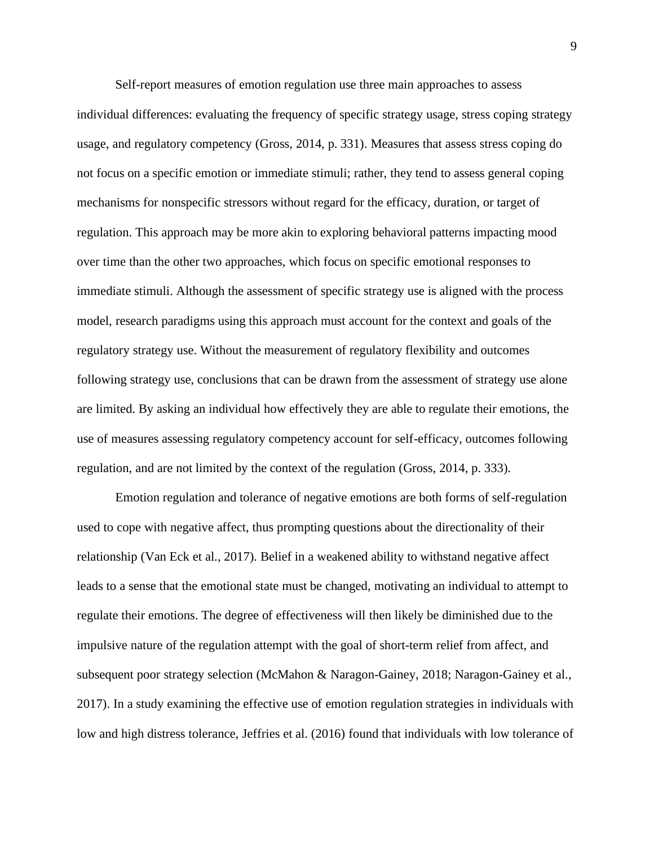Self-report measures of emotion regulation use three main approaches to assess individual differences: evaluating the frequency of specific strategy usage, stress coping strategy usage, and regulatory competency (Gross, 2014, p. 331). Measures that assess stress coping do not focus on a specific emotion or immediate stimuli; rather, they tend to assess general coping mechanisms for nonspecific stressors without regard for the efficacy, duration, or target of regulation. This approach may be more akin to exploring behavioral patterns impacting mood over time than the other two approaches, which focus on specific emotional responses to immediate stimuli. Although the assessment of specific strategy use is aligned with the process model, research paradigms using this approach must account for the context and goals of the regulatory strategy use. Without the measurement of regulatory flexibility and outcomes following strategy use, conclusions that can be drawn from the assessment of strategy use alone are limited. By asking an individual how effectively they are able to regulate their emotions, the use of measures assessing regulatory competency account for self-efficacy, outcomes following regulation, and are not limited by the context of the regulation (Gross, 2014, p. 333).

Emotion regulation and tolerance of negative emotions are both forms of self-regulation used to cope with negative affect, thus prompting questions about the directionality of their relationship (Van Eck et al., 2017). Belief in a weakened ability to withstand negative affect leads to a sense that the emotional state must be changed, motivating an individual to attempt to regulate their emotions. The degree of effectiveness will then likely be diminished due to the impulsive nature of the regulation attempt with the goal of short-term relief from affect, and subsequent poor strategy selection (McMahon & Naragon-Gainey, 2018; Naragon-Gainey et al., 2017). In a study examining the effective use of emotion regulation strategies in individuals with low and high distress tolerance, Jeffries et al. (2016) found that individuals with low tolerance of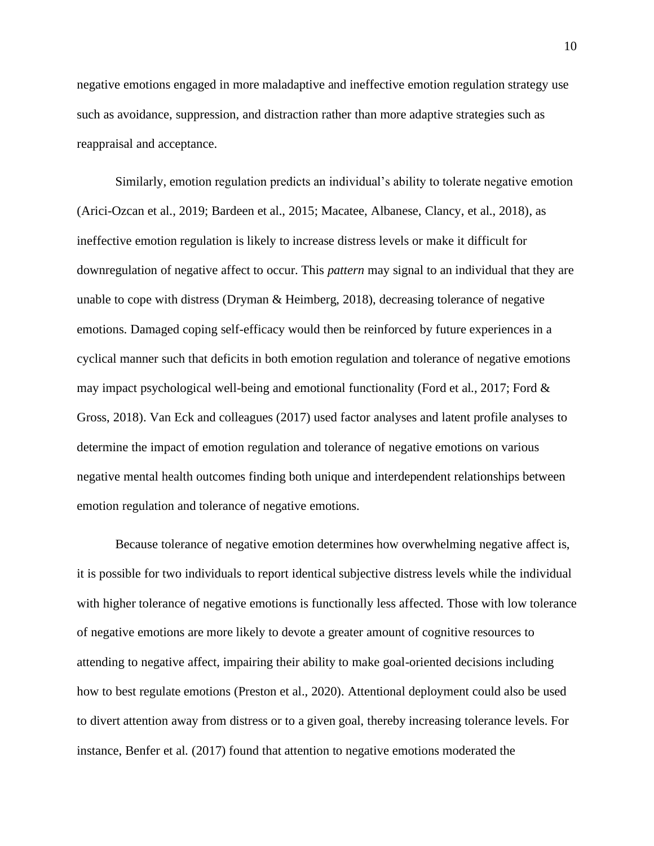negative emotions engaged in more maladaptive and ineffective emotion regulation strategy use such as avoidance, suppression, and distraction rather than more adaptive strategies such as reappraisal and acceptance.

Similarly, emotion regulation predicts an individual's ability to tolerate negative emotion (Arici-Ozcan et al., 2019; Bardeen et al., 2015; Macatee, Albanese, Clancy, et al., 2018), as ineffective emotion regulation is likely to increase distress levels or make it difficult for downregulation of negative affect to occur. This *pattern* may signal to an individual that they are unable to cope with distress (Dryman & Heimberg, 2018), decreasing tolerance of negative emotions. Damaged coping self-efficacy would then be reinforced by future experiences in a cyclical manner such that deficits in both emotion regulation and tolerance of negative emotions may impact psychological well-being and emotional functionality (Ford et al., 2017; Ford  $\&$ Gross, 2018). Van Eck and colleagues (2017) used factor analyses and latent profile analyses to determine the impact of emotion regulation and tolerance of negative emotions on various negative mental health outcomes finding both unique and interdependent relationships between emotion regulation and tolerance of negative emotions.

Because tolerance of negative emotion determines how overwhelming negative affect is, it is possible for two individuals to report identical subjective distress levels while the individual with higher tolerance of negative emotions is functionally less affected. Those with low tolerance of negative emotions are more likely to devote a greater amount of cognitive resources to attending to negative affect, impairing their ability to make goal-oriented decisions including how to best regulate emotions (Preston et al., 2020). Attentional deployment could also be used to divert attention away from distress or to a given goal, thereby increasing tolerance levels. For instance, Benfer et al. (2017) found that attention to negative emotions moderated the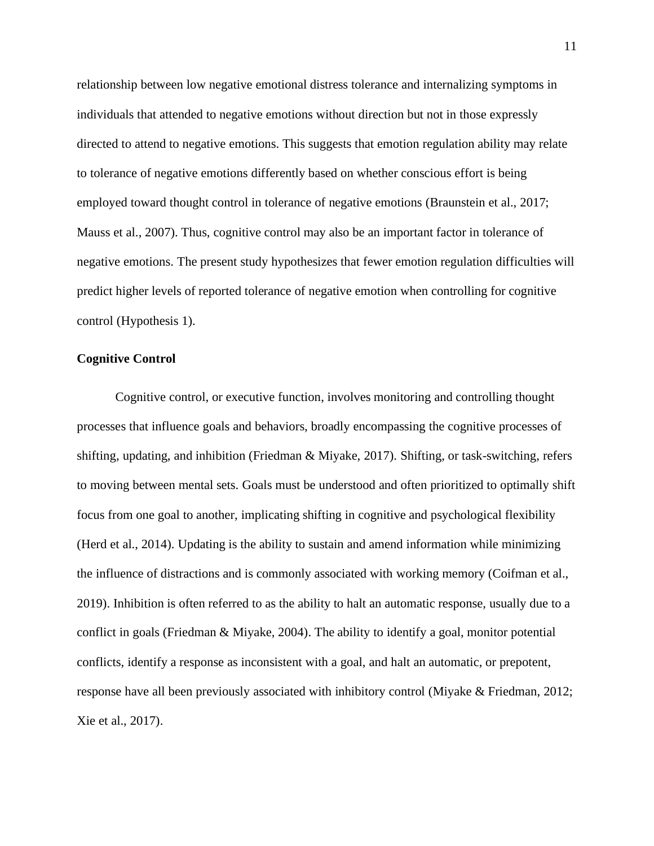relationship between low negative emotional distress tolerance and internalizing symptoms in individuals that attended to negative emotions without direction but not in those expressly directed to attend to negative emotions. This suggests that emotion regulation ability may relate to tolerance of negative emotions differently based on whether conscious effort is being employed toward thought control in tolerance of negative emotions (Braunstein et al., 2017; Mauss et al., 2007). Thus, cognitive control may also be an important factor in tolerance of negative emotions. The present study hypothesizes that fewer emotion regulation difficulties will predict higher levels of reported tolerance of negative emotion when controlling for cognitive control (Hypothesis 1).

#### **Cognitive Control**

Cognitive control, or executive function, involves monitoring and controlling thought processes that influence goals and behaviors, broadly encompassing the cognitive processes of shifting, updating, and inhibition (Friedman & Miyake, 2017). Shifting, or task-switching, refers to moving between mental sets. Goals must be understood and often prioritized to optimally shift focus from one goal to another, implicating shifting in cognitive and psychological flexibility (Herd et al., 2014). Updating is the ability to sustain and amend information while minimizing the influence of distractions and is commonly associated with working memory (Coifman et al., 2019). Inhibition is often referred to as the ability to halt an automatic response, usually due to a conflict in goals (Friedman & Miyake, 2004). The ability to identify a goal, monitor potential conflicts, identify a response as inconsistent with a goal, and halt an automatic, or prepotent, response have all been previously associated with inhibitory control (Miyake & Friedman, 2012; Xie et al., 2017).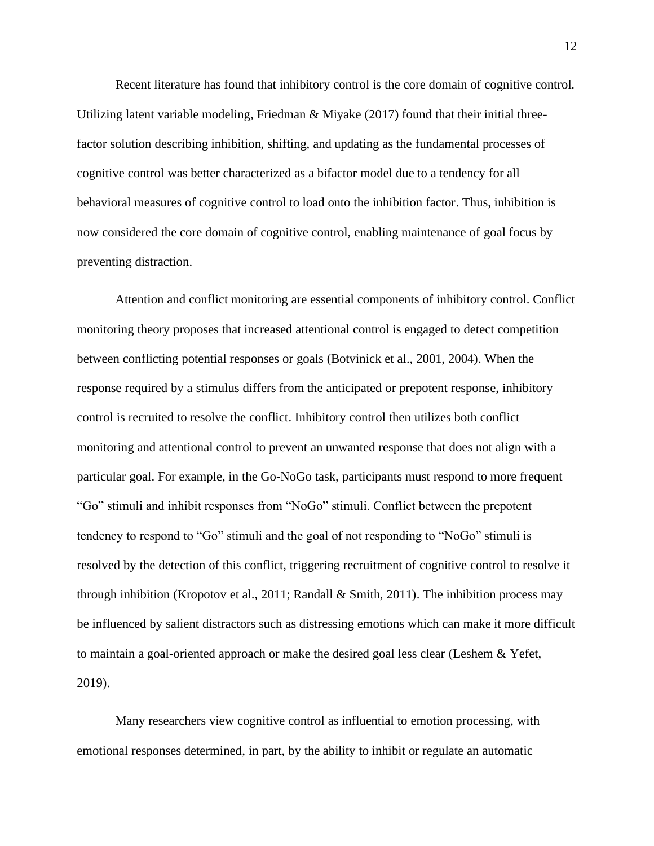Recent literature has found that inhibitory control is the core domain of cognitive control. Utilizing latent variable modeling, Friedman & Miyake  $(2017)$  found that their initial threefactor solution describing inhibition, shifting, and updating as the fundamental processes of cognitive control was better characterized as a bifactor model due to a tendency for all behavioral measures of cognitive control to load onto the inhibition factor. Thus, inhibition is now considered the core domain of cognitive control, enabling maintenance of goal focus by preventing distraction.

Attention and conflict monitoring are essential components of inhibitory control. Conflict monitoring theory proposes that increased attentional control is engaged to detect competition between conflicting potential responses or goals (Botvinick et al., 2001, 2004). When the response required by a stimulus differs from the anticipated or prepotent response, inhibitory control is recruited to resolve the conflict. Inhibitory control then utilizes both conflict monitoring and attentional control to prevent an unwanted response that does not align with a particular goal. For example, in the Go-NoGo task, participants must respond to more frequent "Go" stimuli and inhibit responses from "NoGo" stimuli. Conflict between the prepotent tendency to respond to "Go" stimuli and the goal of not responding to "NoGo" stimuli is resolved by the detection of this conflict, triggering recruitment of cognitive control to resolve it through inhibition (Kropotov et al., 2011; Randall & Smith, 2011). The inhibition process may be influenced by salient distractors such as distressing emotions which can make it more difficult to maintain a goal-oriented approach or make the desired goal less clear (Leshem & Yefet, 2019).

Many researchers view cognitive control as influential to emotion processing, with emotional responses determined, in part, by the ability to inhibit or regulate an automatic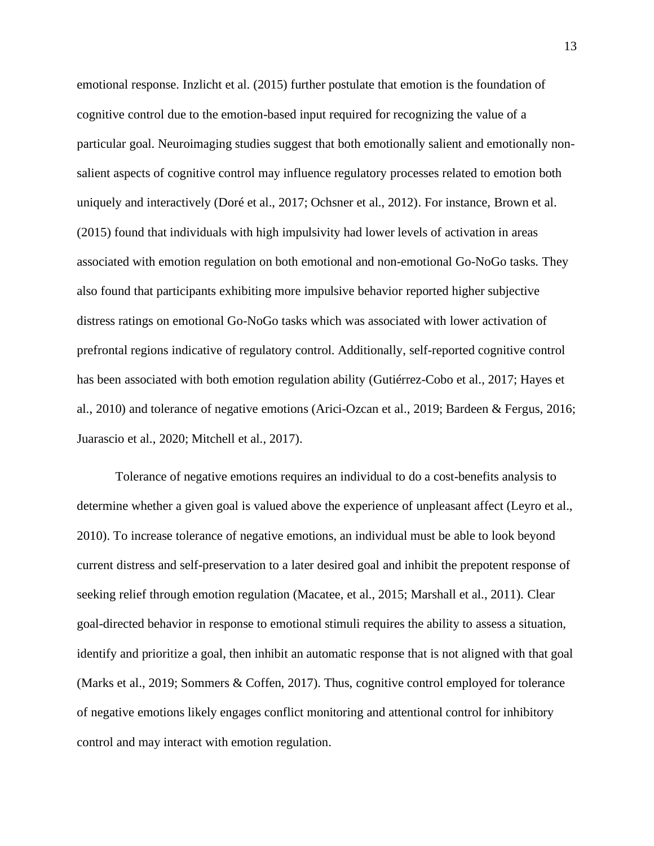emotional response. Inzlicht et al. (2015) further postulate that emotion is the foundation of cognitive control due to the emotion-based input required for recognizing the value of a particular goal. Neuroimaging studies suggest that both emotionally salient and emotionally nonsalient aspects of cognitive control may influence regulatory processes related to emotion both uniquely and interactively (Doré et al., 2017; Ochsner et al., 2012). For instance, Brown et al. (2015) found that individuals with high impulsivity had lower levels of activation in areas associated with emotion regulation on both emotional and non-emotional Go-NoGo tasks. They also found that participants exhibiting more impulsive behavior reported higher subjective distress ratings on emotional Go-NoGo tasks which was associated with lower activation of prefrontal regions indicative of regulatory control. Additionally, self-reported cognitive control has been associated with both emotion regulation ability (Gutiérrez-Cobo et al., 2017; Hayes et al., 2010) and tolerance of negative emotions (Arici-Ozcan et al., 2019; Bardeen & Fergus, 2016; Juarascio et al., 2020; Mitchell et al., 2017).

Tolerance of negative emotions requires an individual to do a cost-benefits analysis to determine whether a given goal is valued above the experience of unpleasant affect (Leyro et al., 2010). To increase tolerance of negative emotions, an individual must be able to look beyond current distress and self-preservation to a later desired goal and inhibit the prepotent response of seeking relief through emotion regulation (Macatee, et al., 2015; Marshall et al., 2011). Clear goal-directed behavior in response to emotional stimuli requires the ability to assess a situation, identify and prioritize a goal, then inhibit an automatic response that is not aligned with that goal (Marks et al., 2019; Sommers & Coffen, 2017). Thus, cognitive control employed for tolerance of negative emotions likely engages conflict monitoring and attentional control for inhibitory control and may interact with emotion regulation.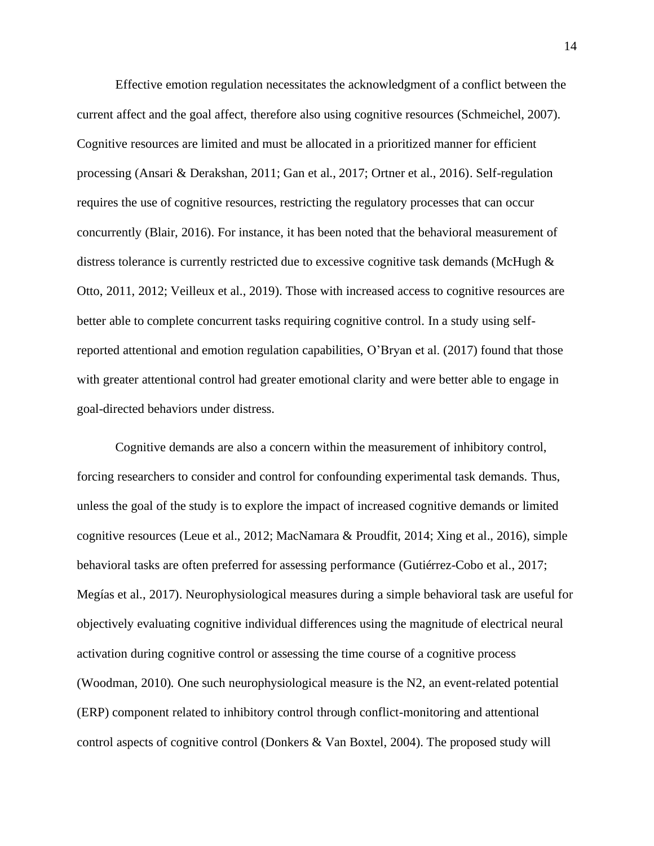Effective emotion regulation necessitates the acknowledgment of a conflict between the current affect and the goal affect, therefore also using cognitive resources (Schmeichel, 2007). Cognitive resources are limited and must be allocated in a prioritized manner for efficient processing (Ansari & Derakshan, 2011; Gan et al., 2017; Ortner et al., 2016). Self-regulation requires the use of cognitive resources, restricting the regulatory processes that can occur concurrently (Blair, 2016). For instance, it has been noted that the behavioral measurement of distress tolerance is currently restricted due to excessive cognitive task demands (McHugh & Otto, 2011, 2012; Veilleux et al., 2019). Those with increased access to cognitive resources are better able to complete concurrent tasks requiring cognitive control. In a study using selfreported attentional and emotion regulation capabilities, O'Bryan et al. (2017) found that those with greater attentional control had greater emotional clarity and were better able to engage in goal-directed behaviors under distress.

Cognitive demands are also a concern within the measurement of inhibitory control, forcing researchers to consider and control for confounding experimental task demands. Thus, unless the goal of the study is to explore the impact of increased cognitive demands or limited cognitive resources (Leue et al., 2012; MacNamara & Proudfit, 2014; Xing et al., 2016), simple behavioral tasks are often preferred for assessing performance (Gutiérrez-Cobo et al., 2017; Megías et al., 2017). Neurophysiological measures during a simple behavioral task are useful for objectively evaluating cognitive individual differences using the magnitude of electrical neural activation during cognitive control or assessing the time course of a cognitive process (Woodman, 2010)*.* One such neurophysiological measure is the N2, an event-related potential (ERP) component related to inhibitory control through conflict-monitoring and attentional control aspects of cognitive control (Donkers & Van Boxtel, 2004). The proposed study will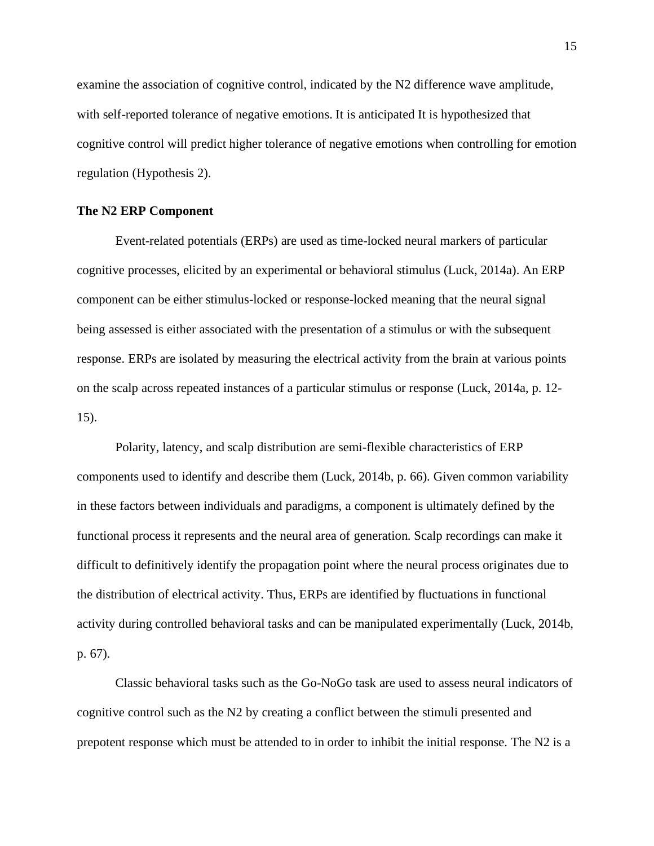examine the association of cognitive control, indicated by the N2 difference wave amplitude, with self-reported tolerance of negative emotions. It is anticipated It is hypothesized that cognitive control will predict higher tolerance of negative emotions when controlling for emotion regulation (Hypothesis 2).

#### **The N2 ERP Component**

Event-related potentials (ERPs) are used as time-locked neural markers of particular cognitive processes, elicited by an experimental or behavioral stimulus (Luck, 2014a). An ERP component can be either stimulus-locked or response-locked meaning that the neural signal being assessed is either associated with the presentation of a stimulus or with the subsequent response. ERPs are isolated by measuring the electrical activity from the brain at various points on the scalp across repeated instances of a particular stimulus or response (Luck, 2014a, p. 12- 15).

Polarity, latency, and scalp distribution are semi-flexible characteristics of ERP components used to identify and describe them (Luck, 2014b, p. 66). Given common variability in these factors between individuals and paradigms, a component is ultimately defined by the functional process it represents and the neural area of generation. Scalp recordings can make it difficult to definitively identify the propagation point where the neural process originates due to the distribution of electrical activity. Thus, ERPs are identified by fluctuations in functional activity during controlled behavioral tasks and can be manipulated experimentally (Luck, 2014b, p. 67).

Classic behavioral tasks such as the Go-NoGo task are used to assess neural indicators of cognitive control such as the N2 by creating a conflict between the stimuli presented and prepotent response which must be attended to in order to inhibit the initial response. The N2 is a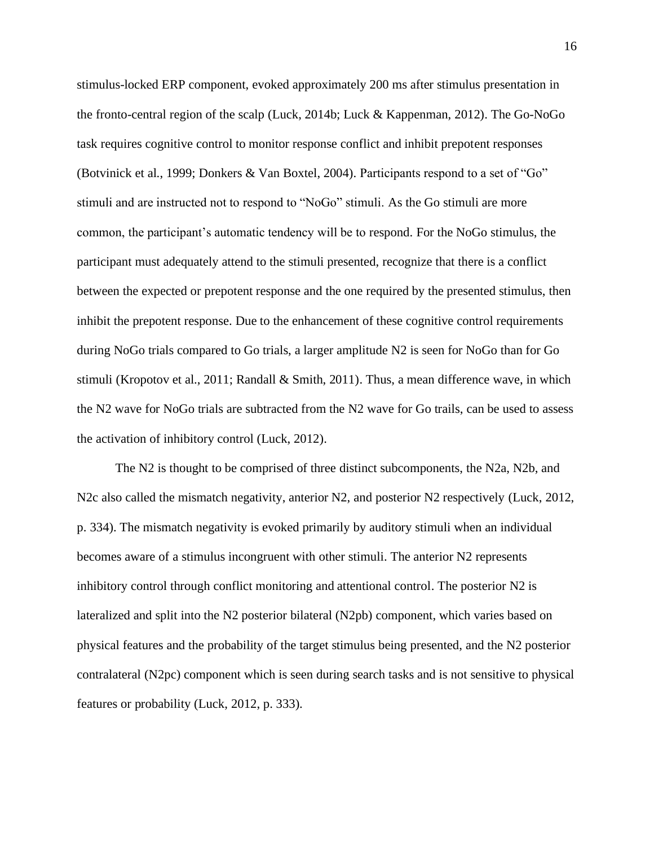stimulus-locked ERP component, evoked approximately 200 ms after stimulus presentation in the fronto-central region of the scalp (Luck, 2014b; Luck & Kappenman, 2012). The Go-NoGo task requires cognitive control to monitor response conflict and inhibit prepotent responses (Botvinick et al., 1999; Donkers & Van Boxtel, 2004). Participants respond to a set of "Go" stimuli and are instructed not to respond to "NoGo" stimuli. As the Go stimuli are more common, the participant's automatic tendency will be to respond. For the NoGo stimulus, the participant must adequately attend to the stimuli presented, recognize that there is a conflict between the expected or prepotent response and the one required by the presented stimulus, then inhibit the prepotent response. Due to the enhancement of these cognitive control requirements during NoGo trials compared to Go trials, a larger amplitude N2 is seen for NoGo than for Go stimuli (Kropotov et al., 2011; Randall & Smith, 2011). Thus, a mean difference wave, in which the N2 wave for NoGo trials are subtracted from the N2 wave for Go trails, can be used to assess the activation of inhibitory control (Luck, 2012).

The N2 is thought to be comprised of three distinct subcomponents, the N2a, N2b, and N2c also called the mismatch negativity, anterior N2, and posterior N2 respectively (Luck, 2012, p. 334). The mismatch negativity is evoked primarily by auditory stimuli when an individual becomes aware of a stimulus incongruent with other stimuli. The anterior N2 represents inhibitory control through conflict monitoring and attentional control. The posterior N2 is lateralized and split into the N2 posterior bilateral (N2pb) component, which varies based on physical features and the probability of the target stimulus being presented, and the N2 posterior contralateral (N2pc) component which is seen during search tasks and is not sensitive to physical features or probability (Luck, 2012, p. 333).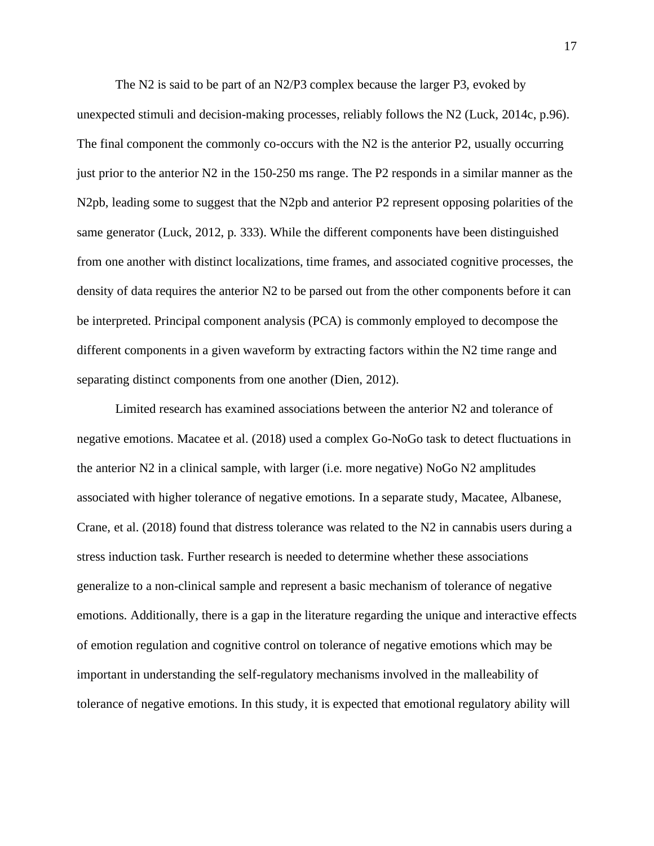The N2 is said to be part of an N2/P3 complex because the larger P3, evoked by unexpected stimuli and decision-making processes, reliably follows the N2 (Luck, 2014c, p.96). The final component the commonly co-occurs with the N2 is the anterior P2, usually occurring just prior to the anterior N2 in the 150-250 ms range. The P2 responds in a similar manner as the N2pb, leading some to suggest that the N2pb and anterior P2 represent opposing polarities of the same generator (Luck, 2012, p. 333). While the different components have been distinguished from one another with distinct localizations, time frames, and associated cognitive processes, the density of data requires the anterior N2 to be parsed out from the other components before it can be interpreted. Principal component analysis (PCA) is commonly employed to decompose the different components in a given waveform by extracting factors within the N2 time range and separating distinct components from one another (Dien, 2012).

Limited research has examined associations between the anterior N2 and tolerance of negative emotions. Macatee et al. (2018) used a complex Go-NoGo task to detect fluctuations in the anterior N2 in a clinical sample, with larger (i.e. more negative) NoGo N2 amplitudes associated with higher tolerance of negative emotions. In a separate study, Macatee, Albanese, Crane, et al. (2018) found that distress tolerance was related to the N2 in cannabis users during a stress induction task. Further research is needed to determine whether these associations generalize to a non-clinical sample and represent a basic mechanism of tolerance of negative emotions. Additionally, there is a gap in the literature regarding the unique and interactive effects of emotion regulation and cognitive control on tolerance of negative emotions which may be important in understanding the self-regulatory mechanisms involved in the malleability of tolerance of negative emotions. In this study, it is expected that emotional regulatory ability will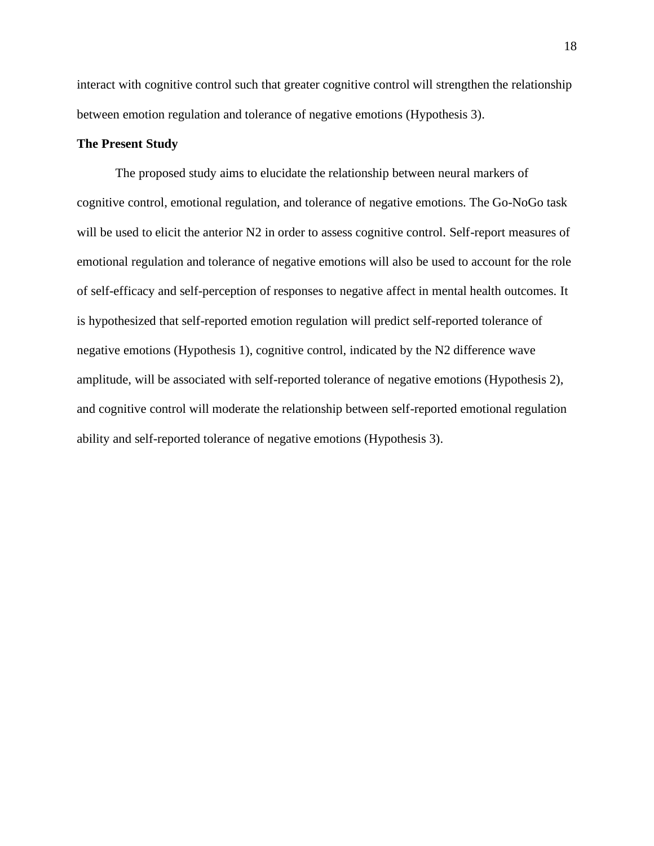interact with cognitive control such that greater cognitive control will strengthen the relationship between emotion regulation and tolerance of negative emotions (Hypothesis 3).

#### **The Present Study**

The proposed study aims to elucidate the relationship between neural markers of cognitive control, emotional regulation, and tolerance of negative emotions. The Go-NoGo task will be used to elicit the anterior N2 in order to assess cognitive control. Self-report measures of emotional regulation and tolerance of negative emotions will also be used to account for the role of self-efficacy and self-perception of responses to negative affect in mental health outcomes. It is hypothesized that self-reported emotion regulation will predict self-reported tolerance of negative emotions (Hypothesis 1), cognitive control, indicated by the N2 difference wave amplitude, will be associated with self-reported tolerance of negative emotions (Hypothesis 2), and cognitive control will moderate the relationship between self-reported emotional regulation ability and self-reported tolerance of negative emotions (Hypothesis 3).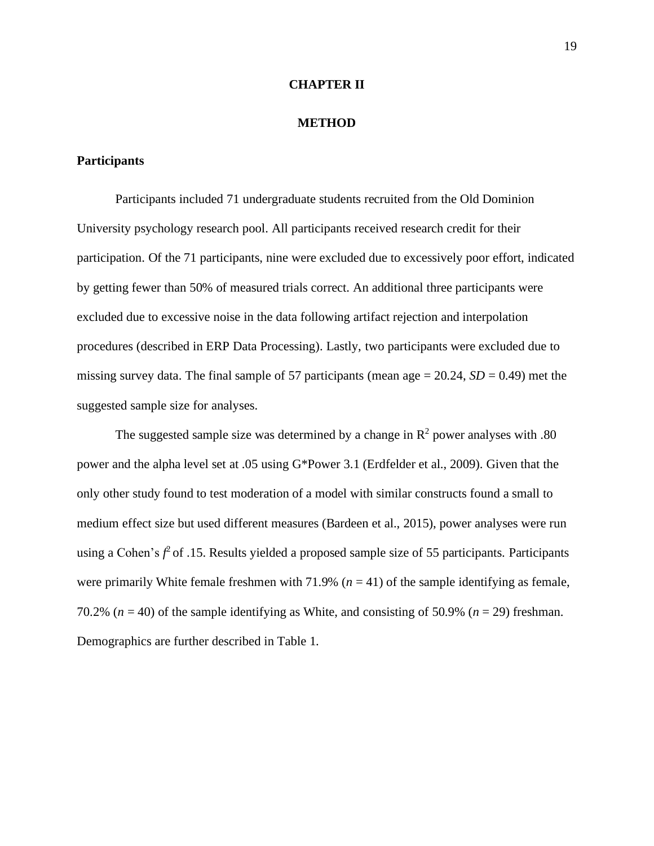#### **CHAPTER II**

#### **METHOD**

#### **Participants**

Participants included 71 undergraduate students recruited from the Old Dominion University psychology research pool. All participants received research credit for their participation. Of the 71 participants, nine were excluded due to excessively poor effort, indicated by getting fewer than 50% of measured trials correct. An additional three participants were excluded due to excessive noise in the data following artifact rejection and interpolation procedures (described in ERP Data Processing). Lastly, two participants were excluded due to missing survey data. The final sample of 57 participants (mean age  $= 20.24$ ,  $SD = 0.49$ ) met the suggested sample size for analyses.

The suggested sample size was determined by a change in  $\mathbb{R}^2$  power analyses with .80 power and the alpha level set at .05 using G\*Power 3.1 (Erdfelder et al., 2009). Given that the only other study found to test moderation of a model with similar constructs found a small to medium effect size but used different measures (Bardeen et al., 2015), power analyses were run using a Cohen's  $f^2$  of .15. Results yielded a proposed sample size of 55 participants. Participants were primarily White female freshmen with 71.9% ( $n = 41$ ) of the sample identifying as female, 70.2% ( $n = 40$ ) of the sample identifying as White, and consisting of 50.9% ( $n = 29$ ) freshman. Demographics are further described in Table 1.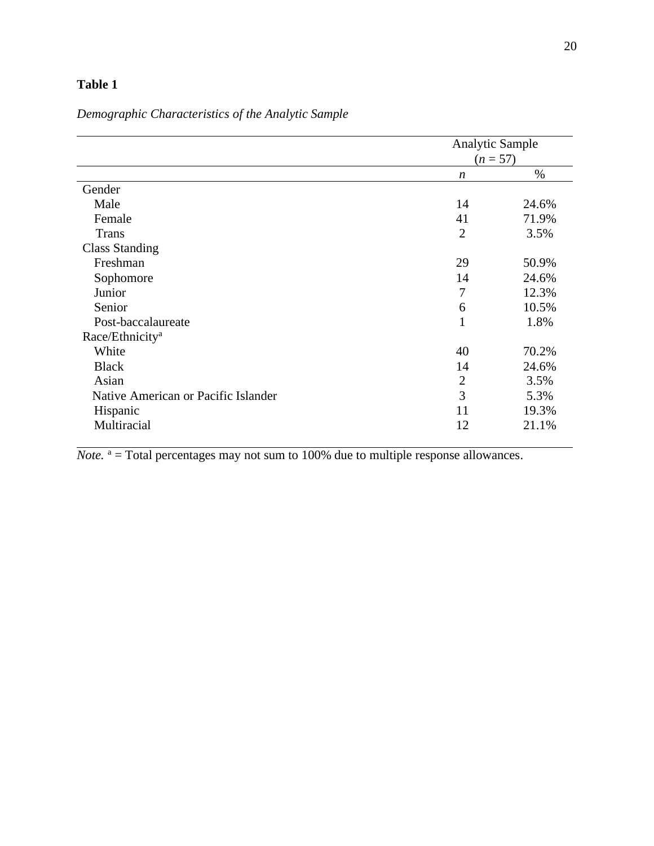## **Table 1**

# *Demographic Characteristics of the Analytic Sample*

|                                     |                | <b>Analytic Sample</b><br>$(n = 57)$ |  |
|-------------------------------------|----------------|--------------------------------------|--|
|                                     | n              | $\%$                                 |  |
| Gender                              |                |                                      |  |
| Male                                | 14             | 24.6%                                |  |
| Female                              | 41             | 71.9%                                |  |
| <b>Trans</b>                        | $\overline{2}$ | 3.5%                                 |  |
| <b>Class Standing</b>               |                |                                      |  |
| Freshman                            | 29             | 50.9%                                |  |
| Sophomore                           | 14             | 24.6%                                |  |
| Junior                              | 7              | 12.3%                                |  |
| Senior                              | 6              | 10.5%                                |  |
| Post-baccalaureate                  | $\mathbf{1}$   | 1.8%                                 |  |
| Race/Ethnicity <sup>a</sup>         |                |                                      |  |
| White                               | 40             | 70.2%                                |  |
| <b>Black</b>                        | 14             | 24.6%                                |  |
| Asian                               | $\overline{2}$ | 3.5%                                 |  |
| Native American or Pacific Islander | 3              | 5.3%                                 |  |
| Hispanic                            | 11             | 19.3%                                |  |
| Multiracial                         | 12             | 21.1%                                |  |

 $\overline{Note. }$   $a = Total percentages$  may not sum to 100% due to multiple response allowances.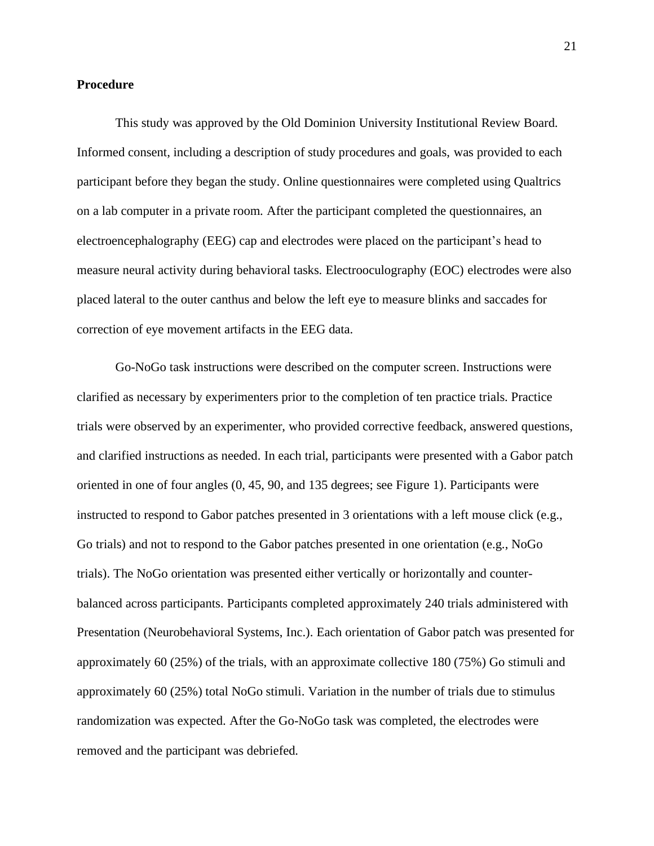#### **Procedure**

This study was approved by the Old Dominion University Institutional Review Board. Informed consent, including a description of study procedures and goals, was provided to each participant before they began the study. Online questionnaires were completed using Qualtrics on a lab computer in a private room. After the participant completed the questionnaires, an electroencephalography (EEG) cap and electrodes were placed on the participant's head to measure neural activity during behavioral tasks. Electrooculography (EOC) electrodes were also placed lateral to the outer canthus and below the left eye to measure blinks and saccades for correction of eye movement artifacts in the EEG data.

Go-NoGo task instructions were described on the computer screen. Instructions were clarified as necessary by experimenters prior to the completion of ten practice trials. Practice trials were observed by an experimenter, who provided corrective feedback, answered questions, and clarified instructions as needed. In each trial, participants were presented with a Gabor patch oriented in one of four angles (0, 45, 90, and 135 degrees; see Figure 1). Participants were instructed to respond to Gabor patches presented in 3 orientations with a left mouse click (e.g., Go trials) and not to respond to the Gabor patches presented in one orientation (e.g., NoGo trials). The NoGo orientation was presented either vertically or horizontally and counterbalanced across participants. Participants completed approximately 240 trials administered with Presentation (Neurobehavioral Systems, Inc.). Each orientation of Gabor patch was presented for approximately 60 (25%) of the trials, with an approximate collective 180 (75%) Go stimuli and approximately 60 (25%) total NoGo stimuli. Variation in the number of trials due to stimulus randomization was expected. After the Go-NoGo task was completed, the electrodes were removed and the participant was debriefed.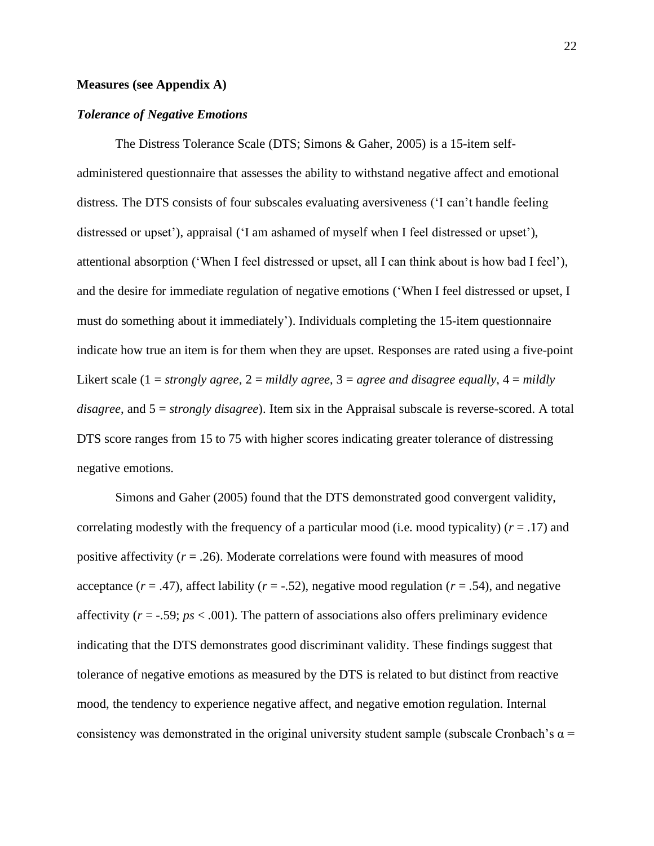#### **Measures (see Appendix A)**

#### *Tolerance of Negative Emotions*

The Distress Tolerance Scale (DTS; Simons & Gaher, 2005) is a 15-item selfadministered questionnaire that assesses the ability to withstand negative affect and emotional distress. The DTS consists of four subscales evaluating aversiveness ('I can't handle feeling distressed or upset'), appraisal ('I am ashamed of myself when I feel distressed or upset'), attentional absorption ('When I feel distressed or upset, all I can think about is how bad I feel'), and the desire for immediate regulation of negative emotions ('When I feel distressed or upset, I must do something about it immediately'). Individuals completing the 15-item questionnaire indicate how true an item is for them when they are upset. Responses are rated using a five-point Likert scale (1 = *strongly agree*, 2 = *mildly agree*, 3 = *agree and disagree equally*, 4 = *mildly disagree*, and 5 = *strongly disagree*). Item six in the Appraisal subscale is reverse-scored. A total DTS score ranges from 15 to 75 with higher scores indicating greater tolerance of distressing negative emotions.

Simons and Gaher (2005) found that the DTS demonstrated good convergent validity, correlating modestly with the frequency of a particular mood (i.e. mood typicality) (*r* = .17) and positive affectivity  $(r = .26)$ . Moderate correlations were found with measures of mood acceptance  $(r = .47)$ , affect lability  $(r = .52)$ , negative mood regulation  $(r = .54)$ , and negative affectivity  $(r = -.59; ps < .001)$ . The pattern of associations also offers preliminary evidence indicating that the DTS demonstrates good discriminant validity. These findings suggest that tolerance of negative emotions as measured by the DTS is related to but distinct from reactive mood, the tendency to experience negative affect, and negative emotion regulation. Internal consistency was demonstrated in the original university student sample (subscale Cronbach's  $\alpha$  =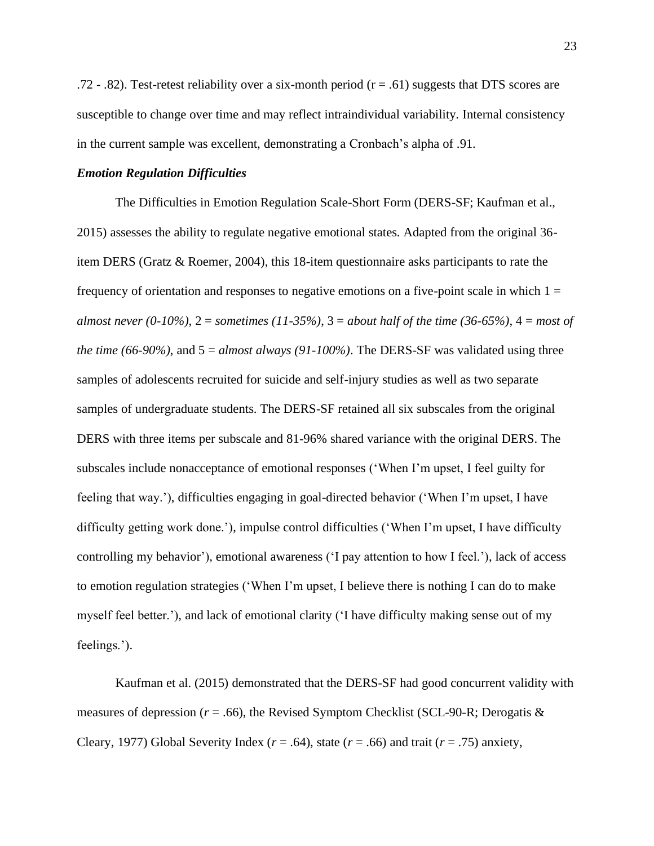.72 - .82). Test-retest reliability over a six-month period  $(r = .61)$  suggests that DTS scores are susceptible to change over time and may reflect intraindividual variability. Internal consistency in the current sample was excellent, demonstrating a Cronbach's alpha of .91.

#### *Emotion Regulation Difficulties*

The Difficulties in Emotion Regulation Scale-Short Form (DERS-SF; Kaufman et al., 2015) assesses the ability to regulate negative emotional states. Adapted from the original 36 item DERS (Gratz & Roemer, 2004), this 18-item questionnaire asks participants to rate the frequency of orientation and responses to negative emotions on a five-point scale in which  $1 =$ *almost never (0-10%)*, 2 = *sometimes (11-35%)*, 3 = *about half of the time (36-65%)*, 4 = *most of the time (66-90%)*, and  $5 = \frac{almost \, always}$  (91-100%). The DERS-SF was validated using three samples of adolescents recruited for suicide and self-injury studies as well as two separate samples of undergraduate students. The DERS-SF retained all six subscales from the original DERS with three items per subscale and 81-96% shared variance with the original DERS. The subscales include nonacceptance of emotional responses ('When I'm upset, I feel guilty for feeling that way.'), difficulties engaging in goal-directed behavior ('When I'm upset, I have difficulty getting work done.'), impulse control difficulties ('When I'm upset, I have difficulty controlling my behavior'), emotional awareness ('I pay attention to how I feel.'), lack of access to emotion regulation strategies ('When I'm upset, I believe there is nothing I can do to make myself feel better.'), and lack of emotional clarity ('I have difficulty making sense out of my feelings.').

Kaufman et al. (2015) demonstrated that the DERS-SF had good concurrent validity with measures of depression ( $r = .66$ ), the Revised Symptom Checklist (SCL-90-R; Derogatis  $\&$ Cleary, 1977) Global Severity Index ( $r = .64$ ), state ( $r = .66$ ) and trait ( $r = .75$ ) anxiety,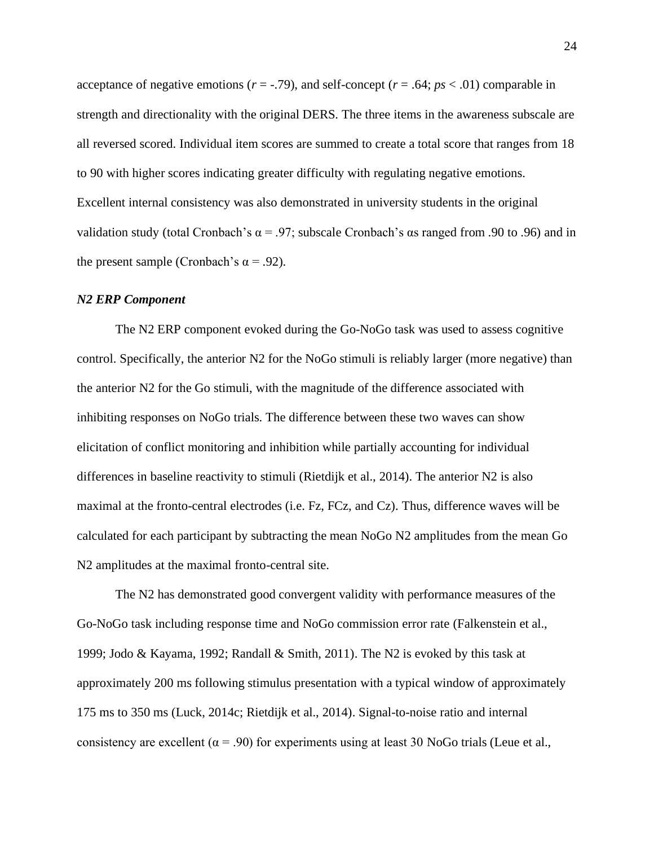acceptance of negative emotions ( $r = -0.79$ ), and self-concept ( $r = 0.64$ ;  $ps < 0.01$ ) comparable in strength and directionality with the original DERS. The three items in the awareness subscale are all reversed scored. Individual item scores are summed to create a total score that ranges from 18 to 90 with higher scores indicating greater difficulty with regulating negative emotions. Excellent internal consistency was also demonstrated in university students in the original validation study (total Cronbach's  $\alpha$  = .97; subscale Cronbach's  $\alpha$ s ranged from .90 to .96) and in the present sample (Cronbach's  $\alpha$  = .92).

#### *N2 ERP Component*

The N2 ERP component evoked during the Go-NoGo task was used to assess cognitive control. Specifically, the anterior N2 for the NoGo stimuli is reliably larger (more negative) than the anterior N2 for the Go stimuli, with the magnitude of the difference associated with inhibiting responses on NoGo trials. The difference between these two waves can show elicitation of conflict monitoring and inhibition while partially accounting for individual differences in baseline reactivity to stimuli (Rietdijk et al., 2014). The anterior N2 is also maximal at the fronto-central electrodes (i.e. Fz, FCz, and Cz). Thus, difference waves will be calculated for each participant by subtracting the mean NoGo N2 amplitudes from the mean Go N2 amplitudes at the maximal fronto-central site.

The N2 has demonstrated good convergent validity with performance measures of the Go-NoGo task including response time and NoGo commission error rate (Falkenstein et al., 1999; Jodo & Kayama, 1992; Randall & Smith, 2011). The N2 is evoked by this task at approximately 200 ms following stimulus presentation with a typical window of approximately 175 ms to 350 ms (Luck, 2014c; Rietdijk et al., 2014). Signal-to-noise ratio and internal consistency are excellent ( $\alpha$  = .90) for experiments using at least 30 NoGo trials (Leue et al.,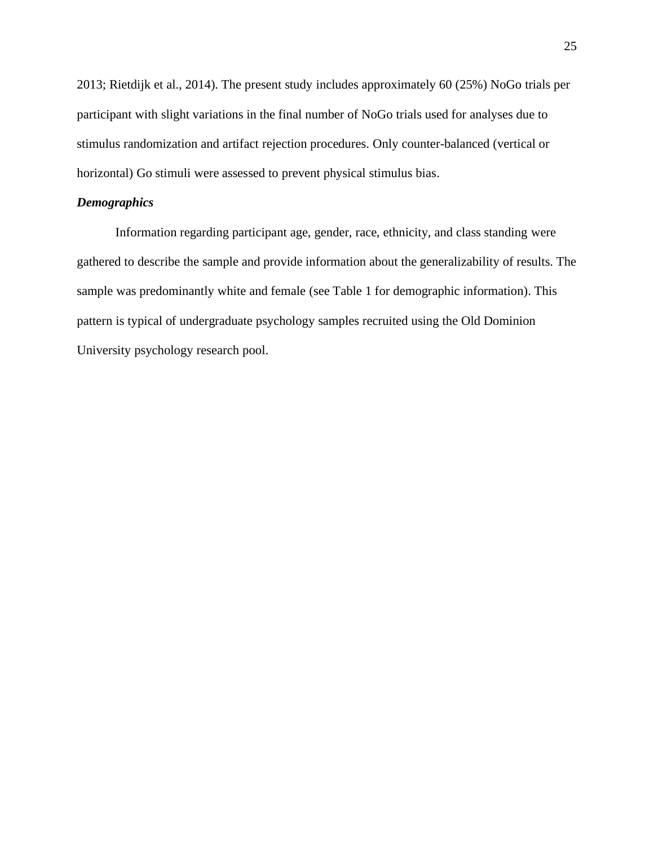2013; Rietdijk et al., 2014). The present study includes approximately 60 (25%) NoGo trials per participant with slight variations in the final number of NoGo trials used for analyses due to stimulus randomization and artifact rejection procedures. Only counter-balanced (vertical or horizontal) Go stimuli were assessed to prevent physical stimulus bias.

#### *Demographics*

Information regarding participant age, gender, race, ethnicity, and class standing were gathered to describe the sample and provide information about the generalizability of results. The sample was predominantly white and female (see Table 1 for demographic information). This pattern is typical of undergraduate psychology samples recruited using the Old Dominion University psychology research pool.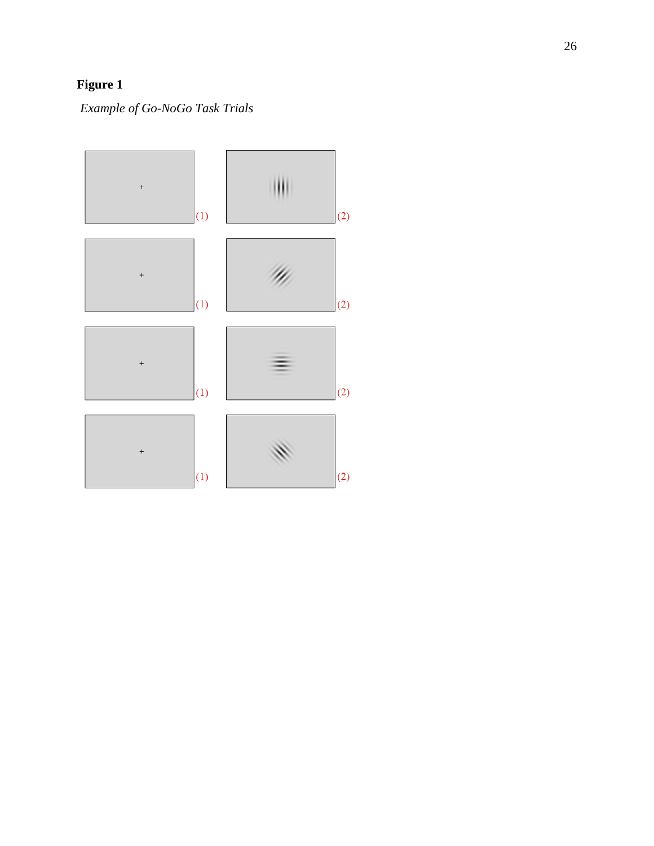# **Figure 1**

*Example of Go -NoGo Task Trial s*

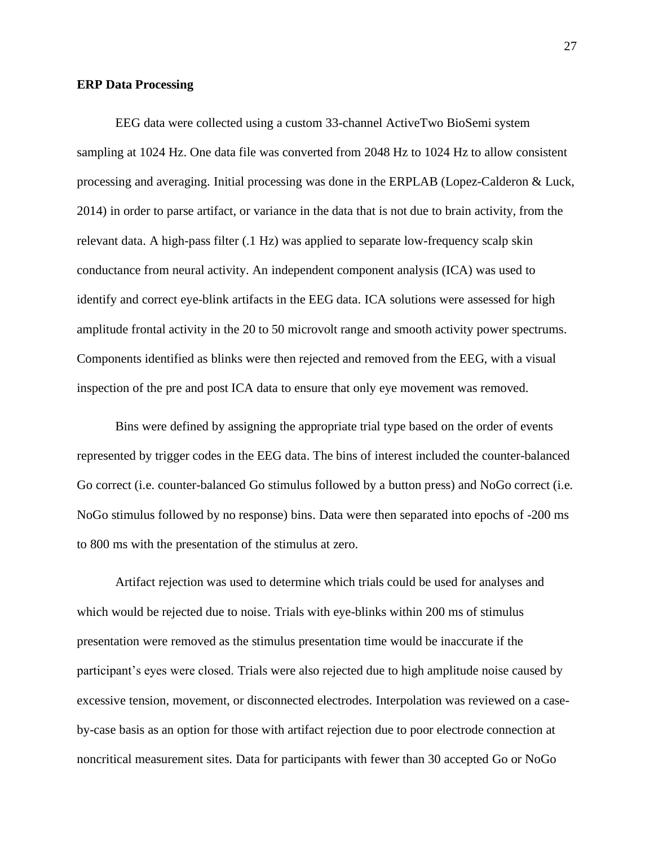#### **ERP Data Processing**

EEG data were collected using a custom 33-channel ActiveTwo BioSemi system sampling at 1024 Hz. One data file was converted from 2048 Hz to 1024 Hz to allow consistent processing and averaging. Initial processing was done in the ERPLAB (Lopez-Calderon & Luck, 2014) in order to parse artifact, or variance in the data that is not due to brain activity, from the relevant data. A high-pass filter (.1 Hz) was applied to separate low-frequency scalp skin conductance from neural activity. An independent component analysis (ICA) was used to identify and correct eye-blink artifacts in the EEG data. ICA solutions were assessed for high amplitude frontal activity in the 20 to 50 microvolt range and smooth activity power spectrums. Components identified as blinks were then rejected and removed from the EEG, with a visual inspection of the pre and post ICA data to ensure that only eye movement was removed.

Bins were defined by assigning the appropriate trial type based on the order of events represented by trigger codes in the EEG data. The bins of interest included the counter-balanced Go correct (i.e. counter-balanced Go stimulus followed by a button press) and NoGo correct (i.e. NoGo stimulus followed by no response) bins. Data were then separated into epochs of -200 ms to 800 ms with the presentation of the stimulus at zero.

Artifact rejection was used to determine which trials could be used for analyses and which would be rejected due to noise. Trials with eye-blinks within 200 ms of stimulus presentation were removed as the stimulus presentation time would be inaccurate if the participant's eyes were closed. Trials were also rejected due to high amplitude noise caused by excessive tension, movement, or disconnected electrodes. Interpolation was reviewed on a caseby-case basis as an option for those with artifact rejection due to poor electrode connection at noncritical measurement sites. Data for participants with fewer than 30 accepted Go or NoGo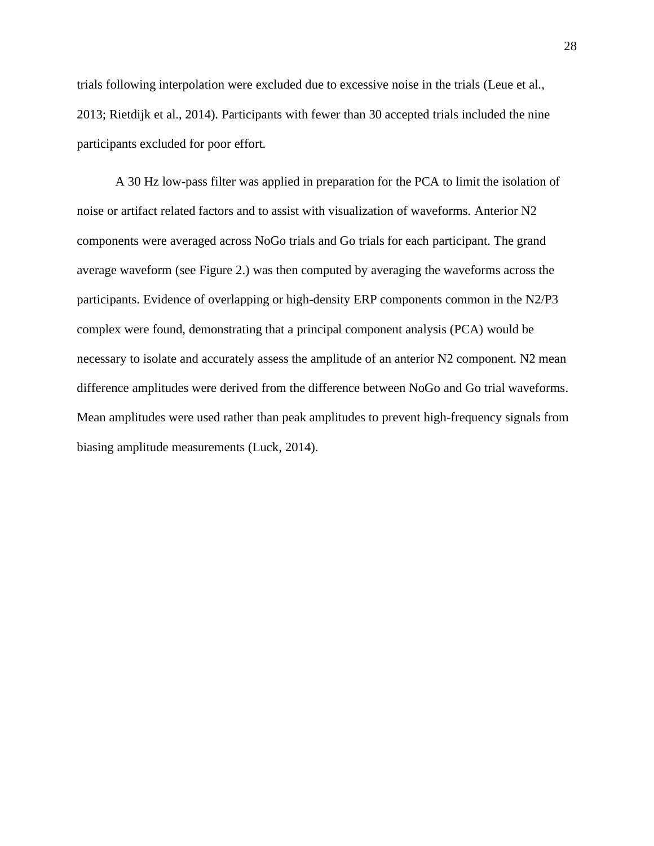trials following interpolation were excluded due to excessive noise in the trials (Leue et al., 2013; Rietdijk et al., 2014). Participants with fewer than 30 accepted trials included the nine participants excluded for poor effort.

A 30 Hz low-pass filter was applied in preparation for the PCA to limit the isolation of noise or artifact related factors and to assist with visualization of waveforms. Anterior N2 components were averaged across NoGo trials and Go trials for each participant. The grand average waveform (see Figure 2.) was then computed by averaging the waveforms across the participants. Evidence of overlapping or high-density ERP components common in the N2/P3 complex were found, demonstrating that a principal component analysis (PCA) would be necessary to isolate and accurately assess the amplitude of an anterior N2 component. N2 mean difference amplitudes were derived from the difference between NoGo and Go trial waveforms. Mean amplitudes were used rather than peak amplitudes to prevent high-frequency signals from biasing amplitude measurements (Luck, 2014).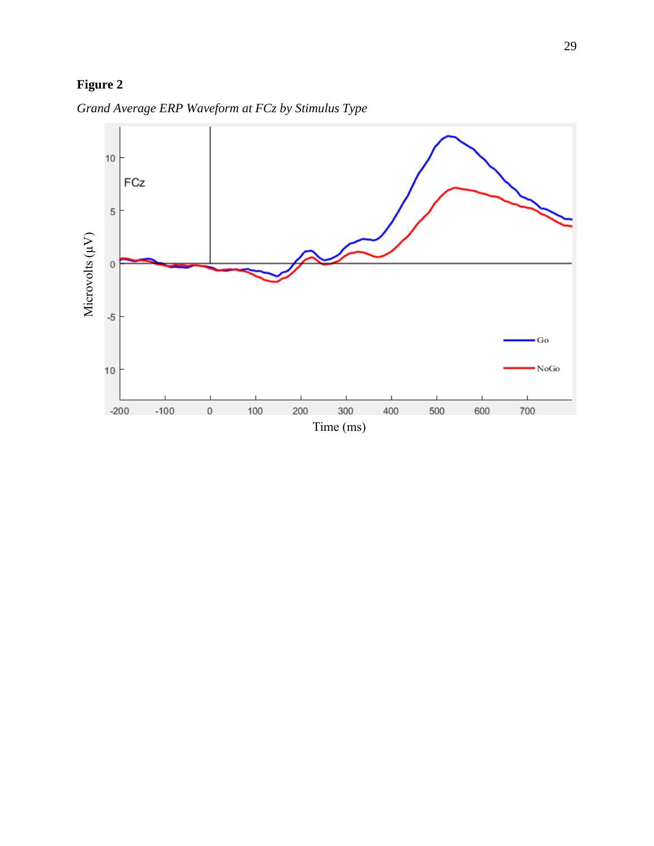# **Figure 2**



*Grand Average ERP Waveform at FCz by Stimulus Type*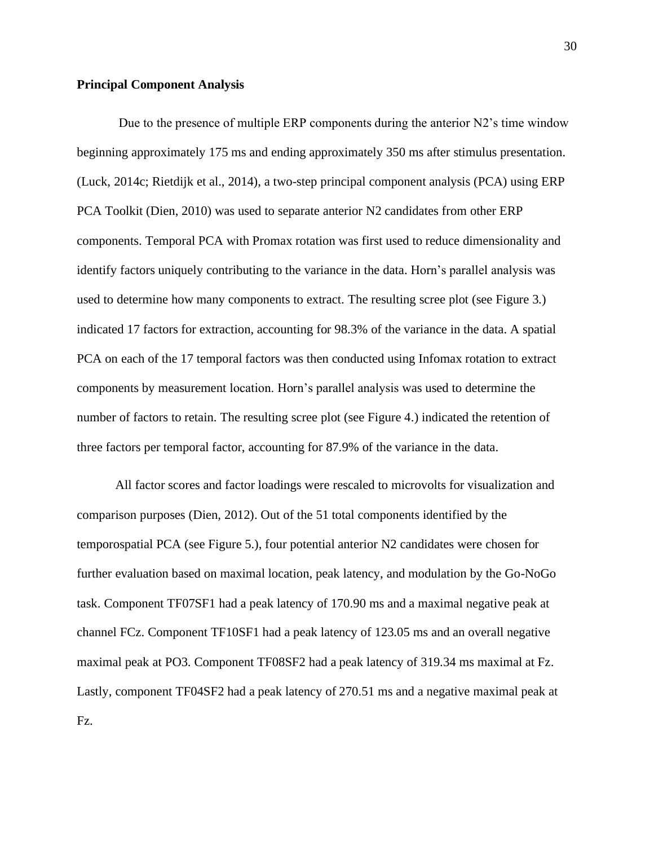### **Principal Component Analysis**

Due to the presence of multiple ERP components during the anterior N2's time window beginning approximately 175 ms and ending approximately 350 ms after stimulus presentation. (Luck, 2014c; Rietdijk et al., 2014), a two-step principal component analysis (PCA) using ERP PCA Toolkit (Dien, 2010) was used to separate anterior N2 candidates from other ERP components. Temporal PCA with Promax rotation was first used to reduce dimensionality and identify factors uniquely contributing to the variance in the data. Horn's parallel analysis was used to determine how many components to extract. The resulting scree plot (see Figure 3.) indicated 17 factors for extraction, accounting for 98.3% of the variance in the data. A spatial PCA on each of the 17 temporal factors was then conducted using Infomax rotation to extract components by measurement location. Horn's parallel analysis was used to determine the number of factors to retain. The resulting scree plot (see Figure 4.) indicated the retention of three factors per temporal factor, accounting for 87.9% of the variance in the data.

All factor scores and factor loadings were rescaled to microvolts for visualization and comparison purposes (Dien, 2012). Out of the 51 total components identified by the temporospatial PCA (see Figure 5.), four potential anterior N2 candidates were chosen for further evaluation based on maximal location, peak latency, and modulation by the Go-NoGo task. Component TF07SF1 had a peak latency of 170.90 ms and a maximal negative peak at channel FCz. Component TF10SF1 had a peak latency of 123.05 ms and an overall negative maximal peak at PO3. Component TF08SF2 had a peak latency of 319.34 ms maximal at Fz. Lastly, component TF04SF2 had a peak latency of 270.51 ms and a negative maximal peak at Fz.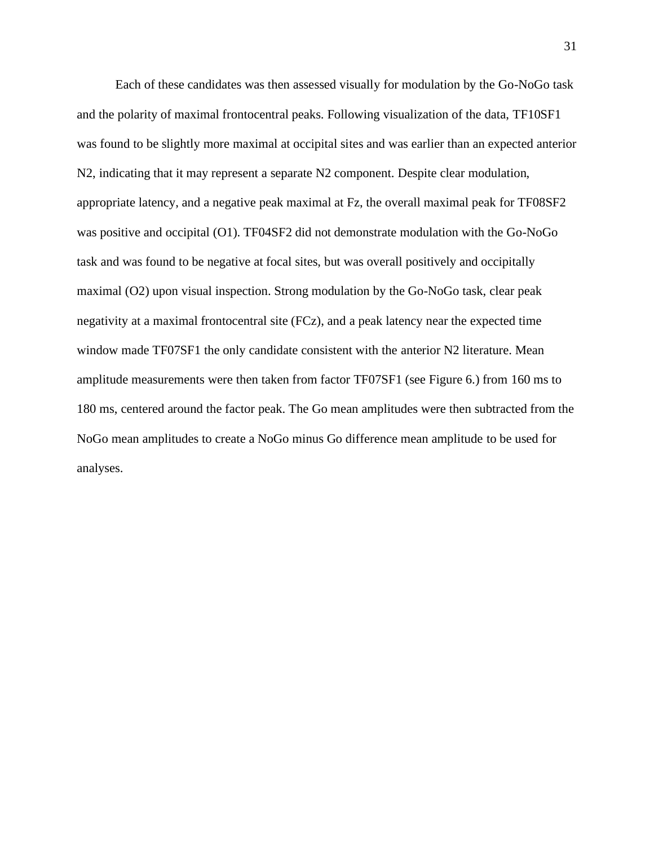Each of these candidates was then assessed visually for modulation by the Go-NoGo task and the polarity of maximal frontocentral peaks. Following visualization of the data, TF10SF1 was found to be slightly more maximal at occipital sites and was earlier than an expected anterior N2, indicating that it may represent a separate N2 component. Despite clear modulation, appropriate latency, and a negative peak maximal at Fz, the overall maximal peak for TF08SF2 was positive and occipital (O1). TF04SF2 did not demonstrate modulation with the Go-NoGo task and was found to be negative at focal sites, but was overall positively and occipitally maximal (O2) upon visual inspection. Strong modulation by the Go-NoGo task, clear peak negativity at a maximal frontocentral site (FCz), and a peak latency near the expected time window made TF07SF1 the only candidate consistent with the anterior N2 literature. Mean amplitude measurements were then taken from factor TF07SF1 (see Figure 6.) from 160 ms to 180 ms, centered around the factor peak. The Go mean amplitudes were then subtracted from the NoGo mean amplitudes to create a NoGo minus Go difference mean amplitude to be used for analyses.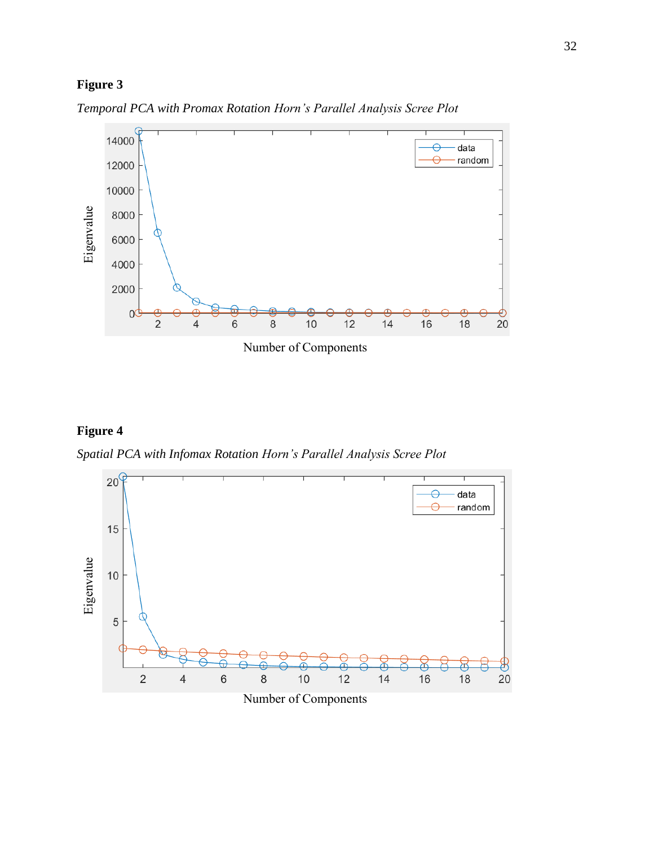## **Figure 3**



*Temporal PCA with Promax Rotation Horn's Parallel Analysis Scree Plot*

# **Figure 4**

*Spatial PCA with Infomax Rotation Horn's Parallel Analysis Scree Plot*



Number of Components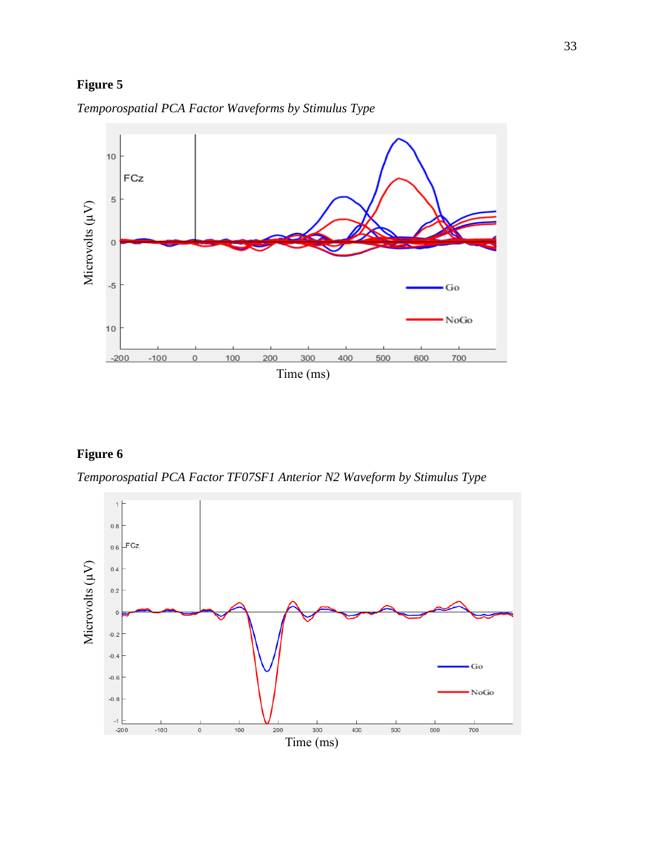# **Figure 5**



*Temporospatial PCA Factor Waveforms by Stimulus Type*

### **Figure 6**

*Temporospatial PCA Factor TF07SF1 Anterior N2 Waveform by Stimulus Type*

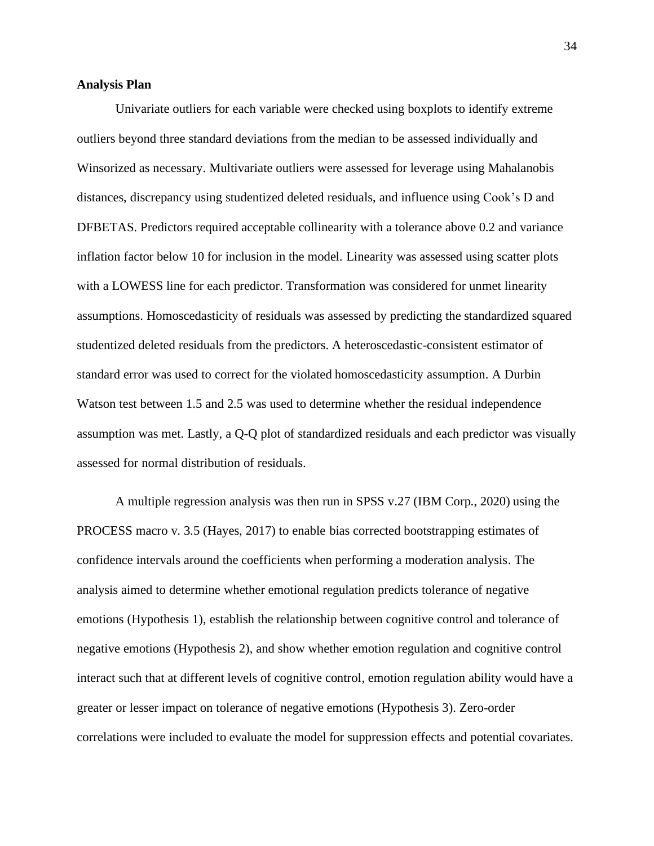### **Analysis Plan**

Univariate outliers for each variable were checked using boxplots to identify extreme outliers beyond three standard deviations from the median to be assessed individually and Winsorized as necessary. Multivariate outliers were assessed for leverage using Mahalanobis distances, discrepancy using studentized deleted residuals, and influence using Cook's D and DFBETAS. Predictors required acceptable collinearity with a tolerance above 0.2 and variance inflation factor below 10 for inclusion in the model. Linearity was assessed using scatter plots with a LOWESS line for each predictor. Transformation was considered for unmet linearity assumptions. Homoscedasticity of residuals was assessed by predicting the standardized squared studentized deleted residuals from the predictors. A heteroscedastic-consistent estimator of standard error was used to correct for the violated homoscedasticity assumption. A Durbin Watson test between 1.5 and 2.5 was used to determine whether the residual independence assumption was met. Lastly, a Q-Q plot of standardized residuals and each predictor was visually assessed for normal distribution of residuals.

A multiple regression analysis was then run in SPSS v.27 (IBM Corp., 2020) using the PROCESS macro v. 3.5 (Hayes, 2017) to enable bias corrected bootstrapping estimates of confidence intervals around the coefficients when performing a moderation analysis. The analysis aimed to determine whether emotional regulation predicts tolerance of negative emotions (Hypothesis 1), establish the relationship between cognitive control and tolerance of negative emotions (Hypothesis 2), and show whether emotion regulation and cognitive control interact such that at different levels of cognitive control, emotion regulation ability would have a greater or lesser impact on tolerance of negative emotions (Hypothesis 3). Zero-order correlations were included to evaluate the model for suppression effects and potential covariates.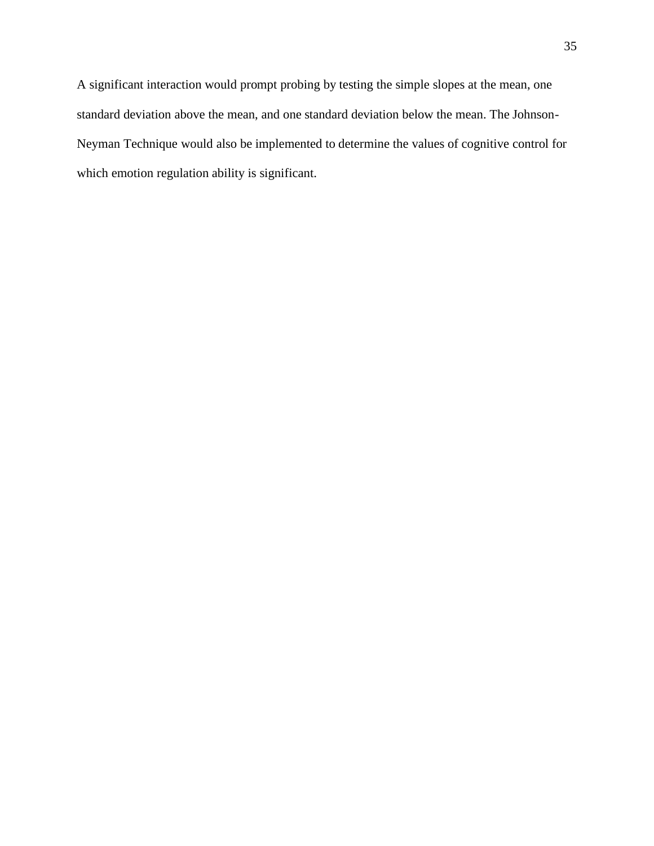A significant interaction would prompt probing by testing the simple slopes at the mean, one standard deviation above the mean, and one standard deviation below the mean. The Johnson-Neyman Technique would also be implemented to determine the values of cognitive control for which emotion regulation ability is significant.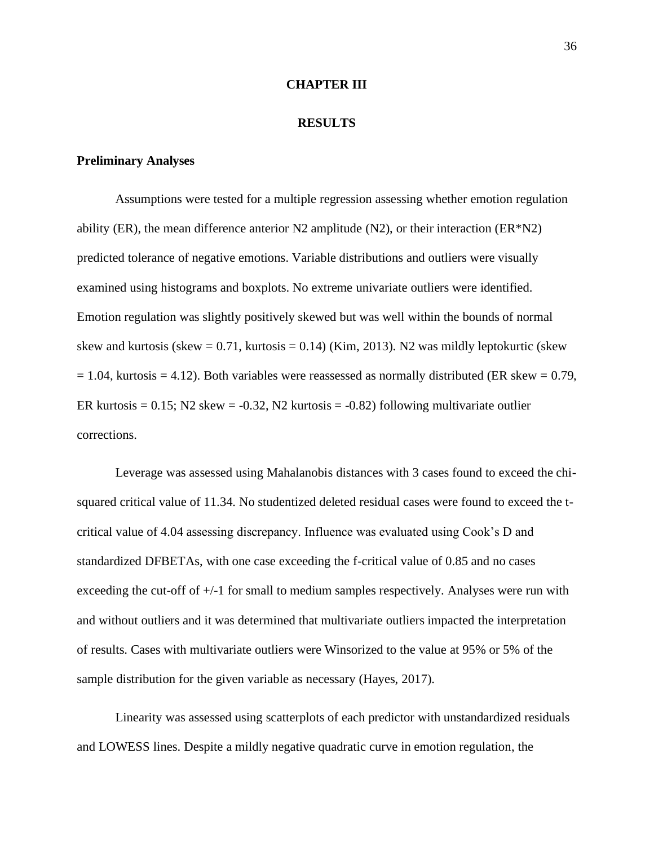### **CHAPTER III**

### **RESULTS**

### **Preliminary Analyses**

Assumptions were tested for a multiple regression assessing whether emotion regulation ability (ER), the mean difference anterior N2 amplitude (N2), or their interaction (ER $N2$ ) predicted tolerance of negative emotions. Variable distributions and outliers were visually examined using histograms and boxplots. No extreme univariate outliers were identified. Emotion regulation was slightly positively skewed but was well within the bounds of normal skew and kurtosis (skew  $= 0.71$ , kurtosis  $= 0.14$ ) (Kim, 2013). N2 was mildly leptokurtic (skew  $= 1.04$ , kurtosis  $= 4.12$ ). Both variables were reassessed as normally distributed (ER skew  $= 0.79$ , ER kurtosis =  $0.15$ ; N2 skew =  $-0.32$ , N2 kurtosis =  $-0.82$ ) following multivariate outlier corrections.

Leverage was assessed using Mahalanobis distances with 3 cases found to exceed the chisquared critical value of 11.34. No studentized deleted residual cases were found to exceed the tcritical value of 4.04 assessing discrepancy. Influence was evaluated using Cook's D and standardized DFBETAs, with one case exceeding the f-critical value of 0.85 and no cases exceeding the cut-off of +/-1 for small to medium samples respectively. Analyses were run with and without outliers and it was determined that multivariate outliers impacted the interpretation of results. Cases with multivariate outliers were Winsorized to the value at 95% or 5% of the sample distribution for the given variable as necessary (Hayes, 2017).

Linearity was assessed using scatterplots of each predictor with unstandardized residuals and LOWESS lines. Despite a mildly negative quadratic curve in emotion regulation, the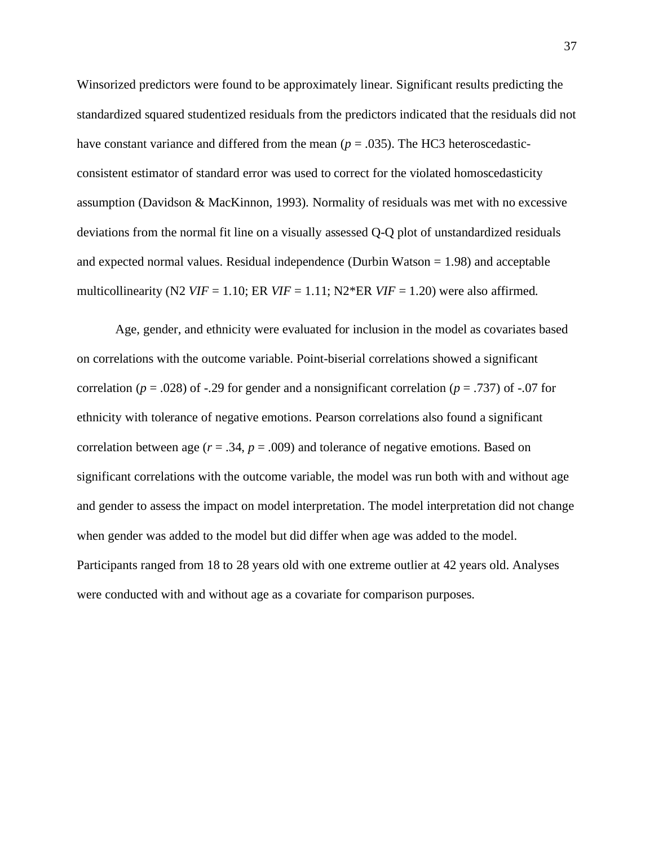Winsorized predictors were found to be approximately linear. Significant results predicting the standardized squared studentized residuals from the predictors indicated that the residuals did not have constant variance and differed from the mean  $(p = .035)$ . The HC3 heteroscedasticconsistent estimator of standard error was used to correct for the violated homoscedasticity assumption (Davidson & MacKinnon, 1993). Normality of residuals was met with no excessive deviations from the normal fit line on a visually assessed Q-Q plot of unstandardized residuals and expected normal values. Residual independence (Durbin Watson  $= 1.98$ ) and acceptable multicollinearity (N2  $VIF = 1.10$ ; ER  $VIF = 1.11$ ; N2\*ER  $VIF = 1.20$ ) were also affirmed.

Age, gender, and ethnicity were evaluated for inclusion in the model as covariates based on correlations with the outcome variable. Point-biserial correlations showed a significant correlation ( $p = .028$ ) of -.29 for gender and a nonsignificant correlation ( $p = .737$ ) of -.07 for ethnicity with tolerance of negative emotions. Pearson correlations also found a significant correlation between age  $(r = .34, p = .009)$  and tolerance of negative emotions. Based on significant correlations with the outcome variable, the model was run both with and without age and gender to assess the impact on model interpretation. The model interpretation did not change when gender was added to the model but did differ when age was added to the model. Participants ranged from 18 to 28 years old with one extreme outlier at 42 years old. Analyses were conducted with and without age as a covariate for comparison purposes.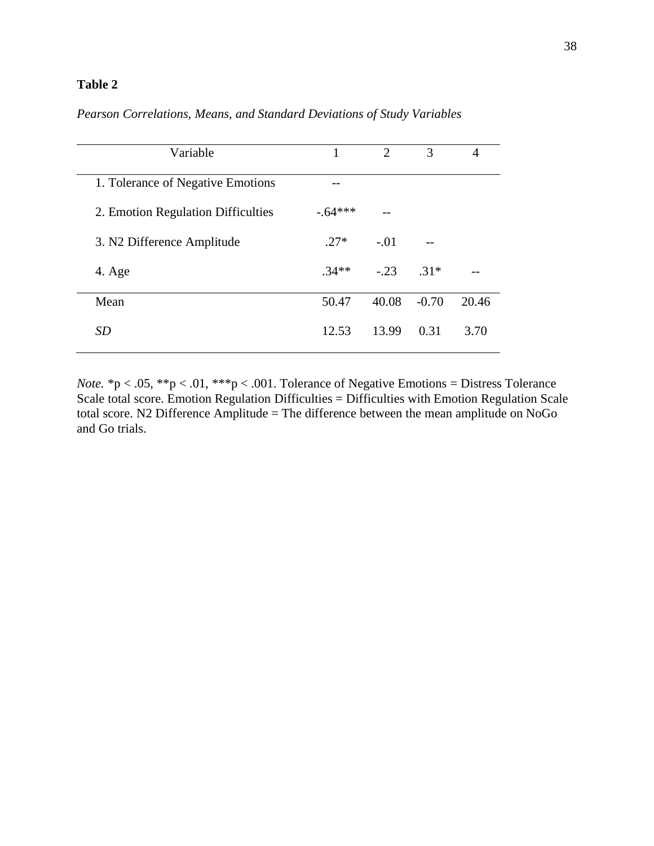### **Table 2**

| Variable                           | 1        | $\overline{2}$ | 3       | 4     |
|------------------------------------|----------|----------------|---------|-------|
| 1. Tolerance of Negative Emotions  |          |                |         |       |
| 2. Emotion Regulation Difficulties | $-64***$ |                |         |       |
| 3. N2 Difference Amplitude         | $27*$    | $-.01$         |         |       |
| 4. Age                             | $34**$   | $-23$          | $.31*$  |       |
| Mean                               | 50.47    | 40.08          | $-0.70$ | 20.46 |
| <b>SD</b>                          | 12.53    | 13.99          | 0.31    | 3.70  |

### *Pearson Correlations, Means, and Standard Deviations of Study Variables*

*Note.* \*p < .05, \*\*p < .01, \*\*\*p < .001. Tolerance of Negative Emotions = Distress Tolerance Scale total score. Emotion Regulation Difficulties = Difficulties with Emotion Regulation Scale total score. N2 Difference Amplitude = The difference between the mean amplitude on NoGo and Go trials.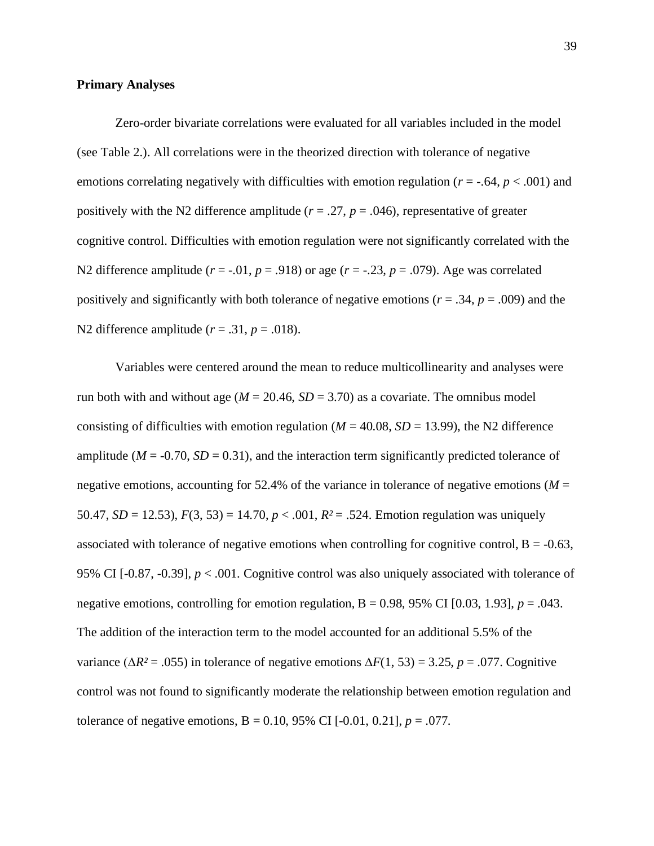#### **Primary Analyses**

Zero-order bivariate correlations were evaluated for all variables included in the model (see Table 2.). All correlations were in the theorized direction with tolerance of negative emotions correlating negatively with difficulties with emotion regulation (*r* = -.64, *p* < .001) and positively with the N2 difference amplitude ( $r = .27$ ,  $p = .046$ ), representative of greater cognitive control. Difficulties with emotion regulation were not significantly correlated with the N2 difference amplitude ( $r = -0.01$ ,  $p = 0.918$ ) or age ( $r = -0.23$ ,  $p = 0.079$ ). Age was correlated positively and significantly with both tolerance of negative emotions ( $r = .34$ ,  $p = .009$ ) and the N2 difference amplitude  $(r = .31, p = .018)$ .

Variables were centered around the mean to reduce multicollinearity and analyses were run both with and without age ( $M = 20.46$ ,  $SD = 3.70$ ) as a covariate. The omnibus model consisting of difficulties with emotion regulation ( $M = 40.08$ ,  $SD = 13.99$ ), the N2 difference amplitude ( $M = -0.70$ ,  $SD = 0.31$ ), and the interaction term significantly predicted tolerance of negative emotions, accounting for 52.4% of the variance in tolerance of negative emotions ( $M =$ 50.47, *SD* = 12.53),  $F(3, 53) = 14.70$ ,  $p < .001$ ,  $R<sup>2</sup> = .524$ . Emotion regulation was uniquely associated with tolerance of negative emotions when controlling for cognitive control,  $B = -0.63$ , 95% CI [-0.87, -0.39], *p* < .001. Cognitive control was also uniquely associated with tolerance of negative emotions, controlling for emotion regulation,  $B = 0.98$ , 95% CI [0.03, 1.93],  $p = .043$ . The addition of the interaction term to the model accounted for an additional 5.5% of the variance ( $\Delta R^2$  = .055) in tolerance of negative emotions  $\Delta F(1, 53)$  = 3.25, *p* = .077. Cognitive control was not found to significantly moderate the relationship between emotion regulation and tolerance of negative emotions,  $B = 0.10, 95\%$  CI [-0.01, 0.21],  $p = .077$ .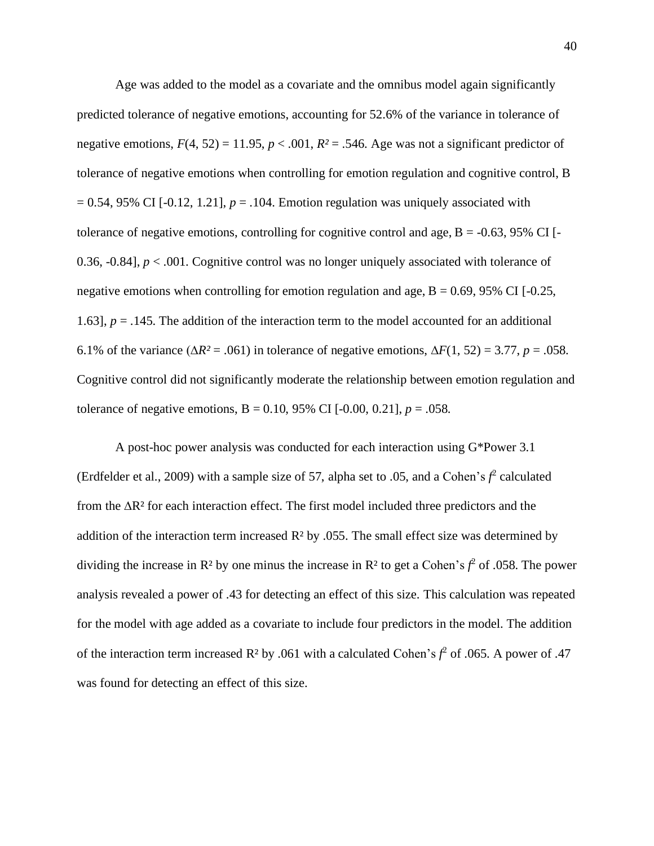Age was added to the model as a covariate and the omnibus model again significantly predicted tolerance of negative emotions, accounting for 52.6% of the variance in tolerance of negative emotions,  $F(4, 52) = 11.95$ ,  $p < .001$ ,  $R<sup>2</sup> = .546$ . Age was not a significant predictor of tolerance of negative emotions when controlling for emotion regulation and cognitive control, B  $= 0.54$ , 95% CI [-0.12, 1.21],  $p = 0.104$ . Emotion regulation was uniquely associated with tolerance of negative emotions, controlling for cognitive control and age,  $B = -0.63$ , 95% CI [-0.36, -0.84], *p* < .001. Cognitive control was no longer uniquely associated with tolerance of negative emotions when controlling for emotion regulation and age,  $B = 0.69$ , 95% CI [-0.25, 1.63],  $p = 0.145$ . The addition of the interaction term to the model accounted for an additional 6.1% of the variance (∆*R²* = .061) in tolerance of negative emotions, ∆*F*(1, 52) = 3.77, *p* = .058. Cognitive control did not significantly moderate the relationship between emotion regulation and tolerance of negative emotions,  $B = 0.10, 95\%$  CI [-0.00, 0.21],  $p = .058$ .

A post-hoc power analysis was conducted for each interaction using G\*Power 3.1 (Erdfelder et al., 2009) with a sample size of 57, alpha set to .05, and a Cohen's  $f^2$  calculated from the ∆R² for each interaction effect. The first model included three predictors and the addition of the interaction term increased  $R<sup>2</sup>$  by .055. The small effect size was determined by dividing the increase in  $\mathbb{R}^2$  by one minus the increase in  $\mathbb{R}^2$  to get a Cohen's  $f^2$  of .058. The power analysis revealed a power of .43 for detecting an effect of this size. This calculation was repeated for the model with age added as a covariate to include four predictors in the model. The addition of the interaction term increased  $\mathbb{R}^2$  by .061 with a calculated Cohen's  $f^2$  of .065. A power of .47 was found for detecting an effect of this size.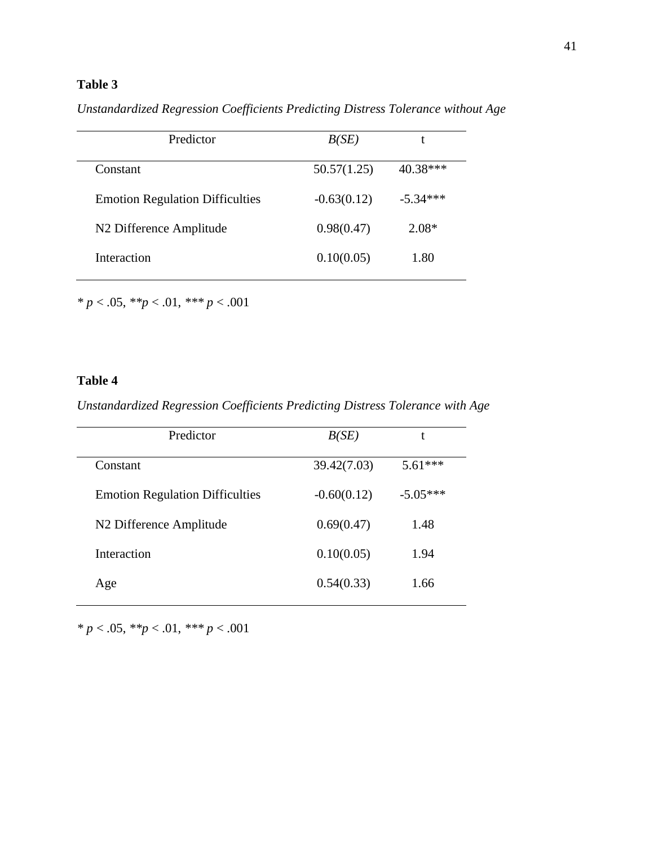## **Table 3**

*Unstandardized Regression Coefficients Predicting Distress Tolerance without Age*

| Predictor                              | B(SE)         | t          |
|----------------------------------------|---------------|------------|
| Constant                               | 50.57(1.25)   | 40.38***   |
| <b>Emotion Regulation Difficulties</b> | $-0.63(0.12)$ | $-5.34***$ |
| N <sub>2</sub> Difference Amplitude    | 0.98(0.47)    | $2.08*$    |
| Interaction                            | 0.10(0.05)    | 1.80       |

*\* p* < .05, *\*\*p* < .01, *\*\*\* p* < .001

## **Table 4**

*Unstandardized Regression Coefficients Predicting Distress Tolerance with Age*

| Predictor                              | B(SE)         |            |
|----------------------------------------|---------------|------------|
| Constant                               | 39.42(7.03)   | $5.61***$  |
| <b>Emotion Regulation Difficulties</b> | $-0.60(0.12)$ | $-5.05***$ |
| N <sub>2</sub> Difference Amplitude    | 0.69(0.47)    | 1.48       |
| Interaction                            | 0.10(0.05)    | 1.94       |
| Age                                    | 0.54(0.33)    | 1.66       |

*\* p* < .05, *\*\*p* < .01, *\*\*\* p* < .001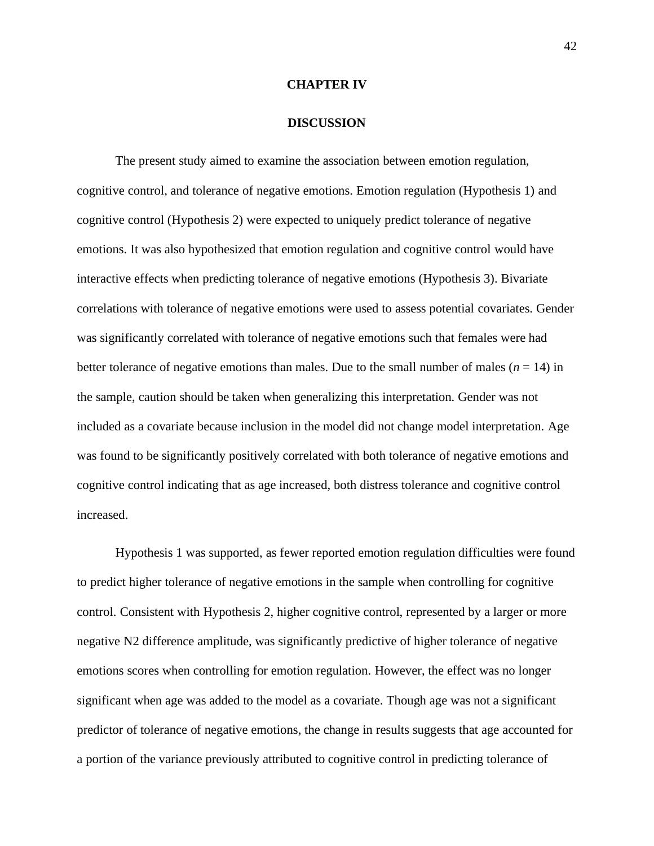### **CHAPTER IV**

### **DISCUSSION**

The present study aimed to examine the association between emotion regulation, cognitive control, and tolerance of negative emotions. Emotion regulation (Hypothesis 1) and cognitive control (Hypothesis 2) were expected to uniquely predict tolerance of negative emotions. It was also hypothesized that emotion regulation and cognitive control would have interactive effects when predicting tolerance of negative emotions (Hypothesis 3). Bivariate correlations with tolerance of negative emotions were used to assess potential covariates. Gender was significantly correlated with tolerance of negative emotions such that females were had better tolerance of negative emotions than males. Due to the small number of males  $(n = 14)$  in the sample, caution should be taken when generalizing this interpretation. Gender was not included as a covariate because inclusion in the model did not change model interpretation. Age was found to be significantly positively correlated with both tolerance of negative emotions and cognitive control indicating that as age increased, both distress tolerance and cognitive control increased.

Hypothesis 1 was supported, as fewer reported emotion regulation difficulties were found to predict higher tolerance of negative emotions in the sample when controlling for cognitive control. Consistent with Hypothesis 2, higher cognitive control, represented by a larger or more negative N2 difference amplitude, was significantly predictive of higher tolerance of negative emotions scores when controlling for emotion regulation. However, the effect was no longer significant when age was added to the model as a covariate. Though age was not a significant predictor of tolerance of negative emotions, the change in results suggests that age accounted for a portion of the variance previously attributed to cognitive control in predicting tolerance of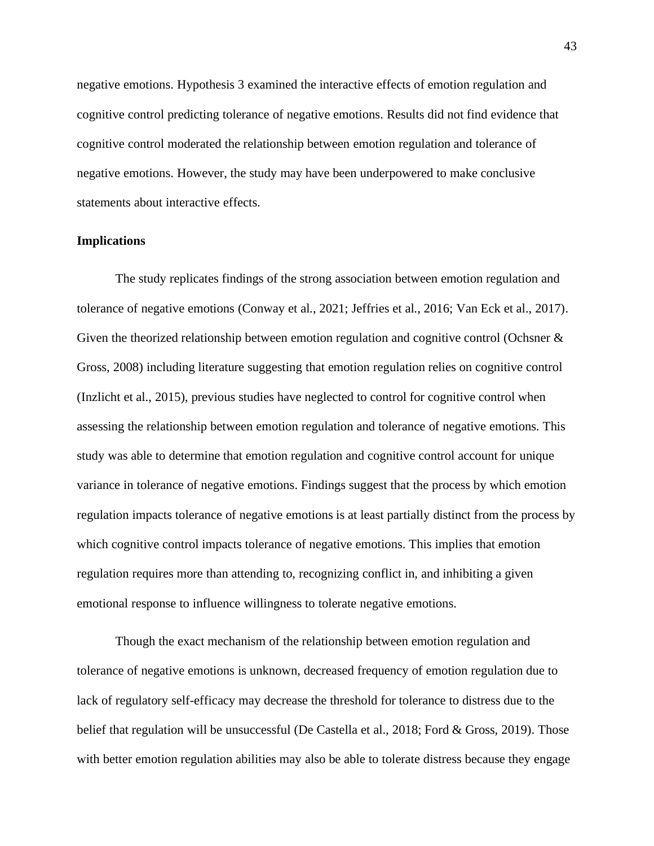negative emotions. Hypothesis 3 examined the interactive effects of emotion regulation and cognitive control predicting tolerance of negative emotions. Results did not find evidence that cognitive control moderated the relationship between emotion regulation and tolerance of negative emotions. However, the study may have been underpowered to make conclusive statements about interactive effects.

### **Implications**

The study replicates findings of the strong association between emotion regulation and tolerance of negative emotions (Conway et al., 2021; Jeffries et al., 2016; Van Eck et al., 2017). Given the theorized relationship between emotion regulation and cognitive control (Ochsner & Gross, 2008) including literature suggesting that emotion regulation relies on cognitive control (Inzlicht et al., 2015), previous studies have neglected to control for cognitive control when assessing the relationship between emotion regulation and tolerance of negative emotions. This study was able to determine that emotion regulation and cognitive control account for unique variance in tolerance of negative emotions. Findings suggest that the process by which emotion regulation impacts tolerance of negative emotions is at least partially distinct from the process by which cognitive control impacts tolerance of negative emotions. This implies that emotion regulation requires more than attending to, recognizing conflict in, and inhibiting a given emotional response to influence willingness to tolerate negative emotions.

Though the exact mechanism of the relationship between emotion regulation and tolerance of negative emotions is unknown, decreased frequency of emotion regulation due to lack of regulatory self-efficacy may decrease the threshold for tolerance to distress due to the belief that regulation will be unsuccessful (De Castella et al., 2018; Ford & Gross, 2019). Those with better emotion regulation abilities may also be able to tolerate distress because they engage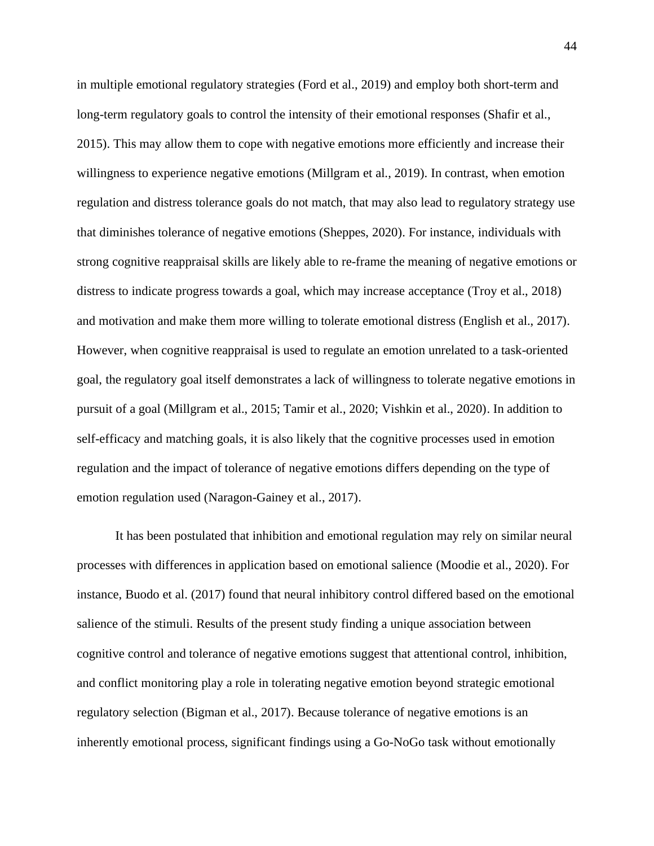in multiple emotional regulatory strategies (Ford et al., 2019) and employ both short-term and long-term regulatory goals to control the intensity of their emotional responses (Shafir et al., 2015). This may allow them to cope with negative emotions more efficiently and increase their willingness to experience negative emotions (Millgram et al., 2019). In contrast, when emotion regulation and distress tolerance goals do not match, that may also lead to regulatory strategy use that diminishes tolerance of negative emotions (Sheppes, 2020). For instance, individuals with strong cognitive reappraisal skills are likely able to re-frame the meaning of negative emotions or distress to indicate progress towards a goal, which may increase acceptance (Troy et al., 2018) and motivation and make them more willing to tolerate emotional distress (English et al., 2017). However, when cognitive reappraisal is used to regulate an emotion unrelated to a task-oriented goal, the regulatory goal itself demonstrates a lack of willingness to tolerate negative emotions in pursuit of a goal (Millgram et al., 2015; Tamir et al., 2020; Vishkin et al., 2020). In addition to self-efficacy and matching goals, it is also likely that the cognitive processes used in emotion regulation and the impact of tolerance of negative emotions differs depending on the type of emotion regulation used (Naragon-Gainey et al., 2017).

It has been postulated that inhibition and emotional regulation may rely on similar neural processes with differences in application based on emotional salience (Moodie et al., 2020). For instance, Buodo et al. (2017) found that neural inhibitory control differed based on the emotional salience of the stimuli. Results of the present study finding a unique association between cognitive control and tolerance of negative emotions suggest that attentional control, inhibition, and conflict monitoring play a role in tolerating negative emotion beyond strategic emotional regulatory selection (Bigman et al., 2017). Because tolerance of negative emotions is an inherently emotional process, significant findings using a Go-NoGo task without emotionally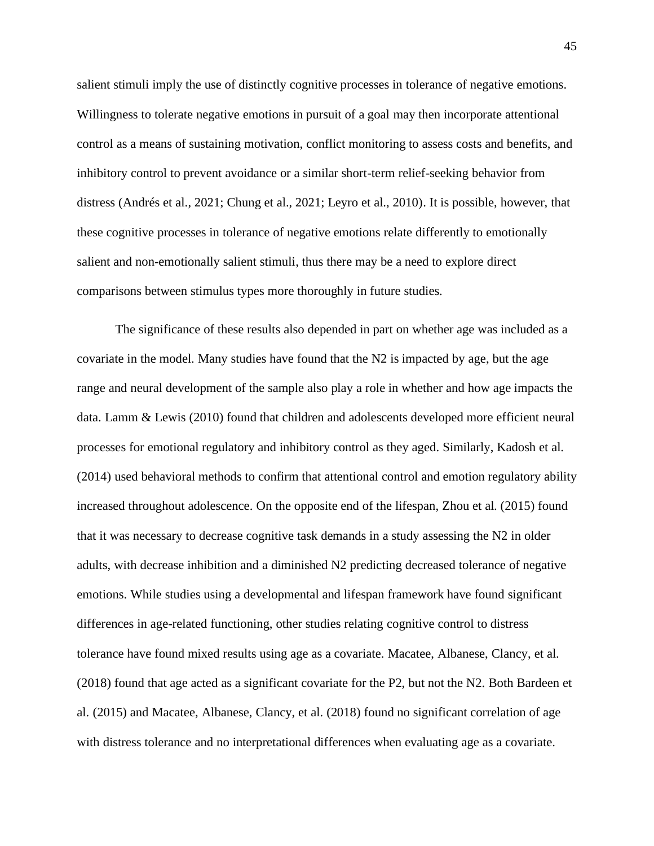salient stimuli imply the use of distinctly cognitive processes in tolerance of negative emotions. Willingness to tolerate negative emotions in pursuit of a goal may then incorporate attentional control as a means of sustaining motivation, conflict monitoring to assess costs and benefits, and inhibitory control to prevent avoidance or a similar short-term relief-seeking behavior from distress (Andrés et al., 2021; Chung et al., 2021; Leyro et al., 2010). It is possible, however, that these cognitive processes in tolerance of negative emotions relate differently to emotionally salient and non-emotionally salient stimuli, thus there may be a need to explore direct comparisons between stimulus types more thoroughly in future studies.

The significance of these results also depended in part on whether age was included as a covariate in the model. Many studies have found that the N2 is impacted by age, but the age range and neural development of the sample also play a role in whether and how age impacts the data. Lamm & Lewis (2010) found that children and adolescents developed more efficient neural processes for emotional regulatory and inhibitory control as they aged. Similarly, Kadosh et al. (2014) used behavioral methods to confirm that attentional control and emotion regulatory ability increased throughout adolescence. On the opposite end of the lifespan, Zhou et al. (2015) found that it was necessary to decrease cognitive task demands in a study assessing the N2 in older adults, with decrease inhibition and a diminished N2 predicting decreased tolerance of negative emotions. While studies using a developmental and lifespan framework have found significant differences in age-related functioning, other studies relating cognitive control to distress tolerance have found mixed results using age as a covariate. Macatee, Albanese, Clancy, et al. (2018) found that age acted as a significant covariate for the P2, but not the N2. Both Bardeen et al. (2015) and Macatee, Albanese, Clancy, et al. (2018) found no significant correlation of age with distress tolerance and no interpretational differences when evaluating age as a covariate.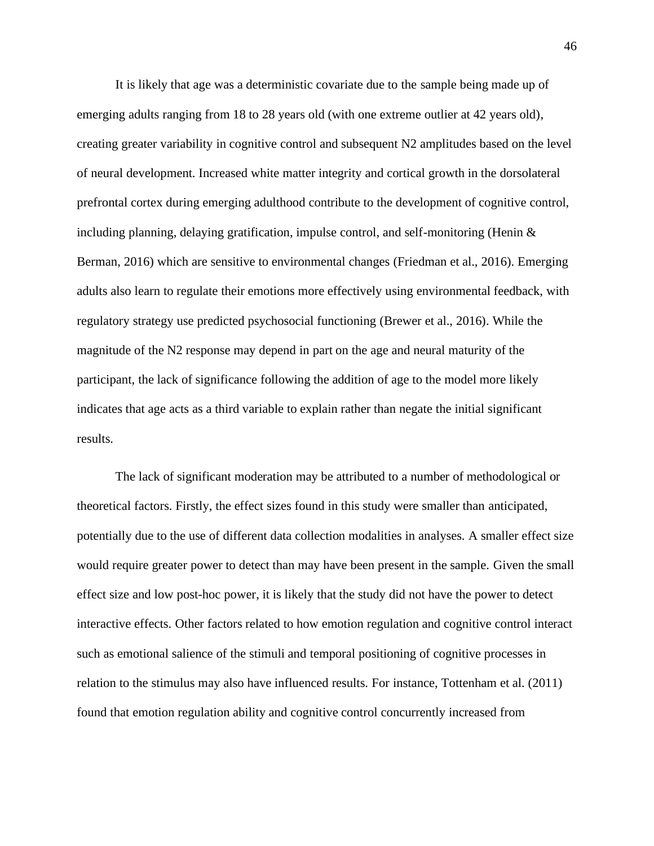It is likely that age was a deterministic covariate due to the sample being made up of emerging adults ranging from 18 to 28 years old (with one extreme outlier at 42 years old), creating greater variability in cognitive control and subsequent N2 amplitudes based on the level of neural development. Increased white matter integrity and cortical growth in the dorsolateral prefrontal cortex during emerging adulthood contribute to the development of cognitive control, including planning, delaying gratification, impulse control, and self-monitoring (Henin & Berman, 2016) which are sensitive to environmental changes (Friedman et al., 2016). Emerging adults also learn to regulate their emotions more effectively using environmental feedback, with regulatory strategy use predicted psychosocial functioning (Brewer et al., 2016). While the magnitude of the N2 response may depend in part on the age and neural maturity of the participant, the lack of significance following the addition of age to the model more likely indicates that age acts as a third variable to explain rather than negate the initial significant results.

The lack of significant moderation may be attributed to a number of methodological or theoretical factors. Firstly, the effect sizes found in this study were smaller than anticipated, potentially due to the use of different data collection modalities in analyses. A smaller effect size would require greater power to detect than may have been present in the sample. Given the small effect size and low post-hoc power, it is likely that the study did not have the power to detect interactive effects. Other factors related to how emotion regulation and cognitive control interact such as emotional salience of the stimuli and temporal positioning of cognitive processes in relation to the stimulus may also have influenced results. For instance, Tottenham et al. (2011) found that emotion regulation ability and cognitive control concurrently increased from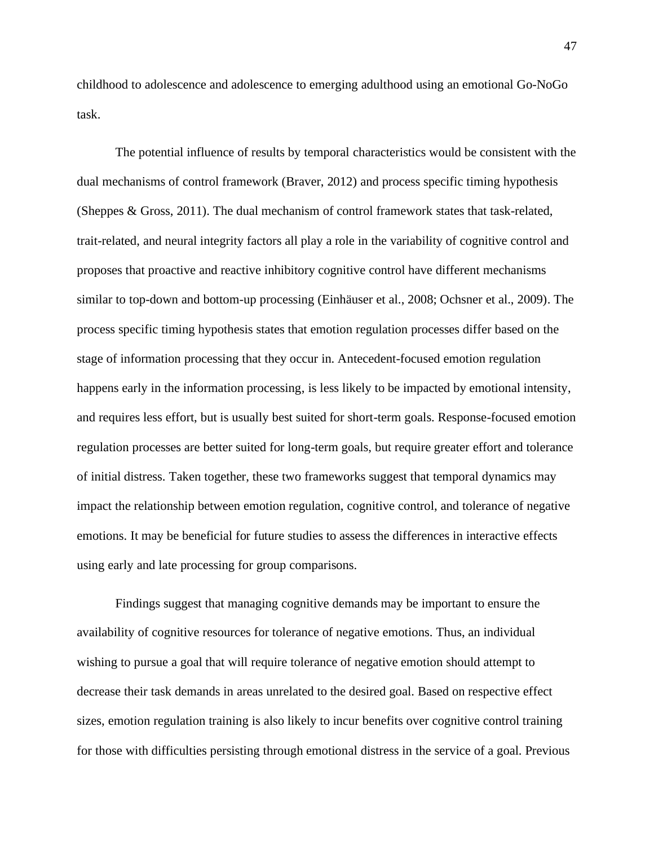childhood to adolescence and adolescence to emerging adulthood using an emotional Go-NoGo task.

The potential influence of results by temporal characteristics would be consistent with the dual mechanisms of control framework (Braver, 2012) and process specific timing hypothesis (Sheppes & Gross, 2011). The dual mechanism of control framework states that task-related, trait-related, and neural integrity factors all play a role in the variability of cognitive control and proposes that proactive and reactive inhibitory cognitive control have different mechanisms similar to top-down and bottom-up processing (Einhäuser et al., 2008; Ochsner et al., 2009). The process specific timing hypothesis states that emotion regulation processes differ based on the stage of information processing that they occur in. Antecedent-focused emotion regulation happens early in the information processing, is less likely to be impacted by emotional intensity, and requires less effort, but is usually best suited for short-term goals. Response-focused emotion regulation processes are better suited for long-term goals, but require greater effort and tolerance of initial distress. Taken together, these two frameworks suggest that temporal dynamics may impact the relationship between emotion regulation, cognitive control, and tolerance of negative emotions. It may be beneficial for future studies to assess the differences in interactive effects using early and late processing for group comparisons.

Findings suggest that managing cognitive demands may be important to ensure the availability of cognitive resources for tolerance of negative emotions. Thus, an individual wishing to pursue a goal that will require tolerance of negative emotion should attempt to decrease their task demands in areas unrelated to the desired goal. Based on respective effect sizes, emotion regulation training is also likely to incur benefits over cognitive control training for those with difficulties persisting through emotional distress in the service of a goal. Previous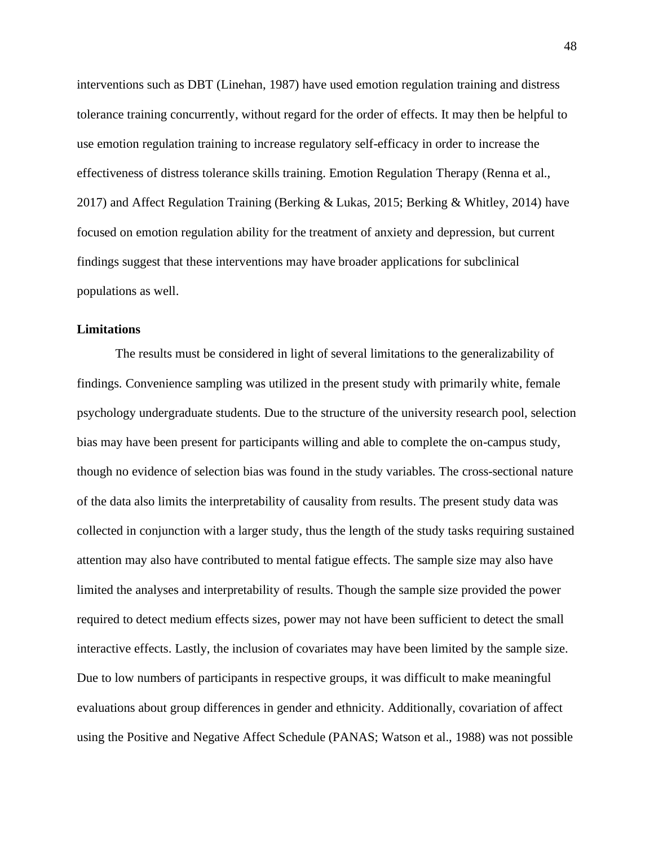interventions such as DBT (Linehan, 1987) have used emotion regulation training and distress tolerance training concurrently, without regard for the order of effects. It may then be helpful to use emotion regulation training to increase regulatory self-efficacy in order to increase the effectiveness of distress tolerance skills training. Emotion Regulation Therapy (Renna et al., 2017) and Affect Regulation Training (Berking & Lukas, 2015; Berking & Whitley, 2014) have focused on emotion regulation ability for the treatment of anxiety and depression, but current findings suggest that these interventions may have broader applications for subclinical populations as well.

### **Limitations**

The results must be considered in light of several limitations to the generalizability of findings. Convenience sampling was utilized in the present study with primarily white, female psychology undergraduate students. Due to the structure of the university research pool, selection bias may have been present for participants willing and able to complete the on-campus study, though no evidence of selection bias was found in the study variables. The cross-sectional nature of the data also limits the interpretability of causality from results. The present study data was collected in conjunction with a larger study, thus the length of the study tasks requiring sustained attention may also have contributed to mental fatigue effects. The sample size may also have limited the analyses and interpretability of results. Though the sample size provided the power required to detect medium effects sizes, power may not have been sufficient to detect the small interactive effects. Lastly, the inclusion of covariates may have been limited by the sample size. Due to low numbers of participants in respective groups, it was difficult to make meaningful evaluations about group differences in gender and ethnicity. Additionally, covariation of affect using the Positive and Negative Affect Schedule (PANAS; Watson et al., 1988) was not possible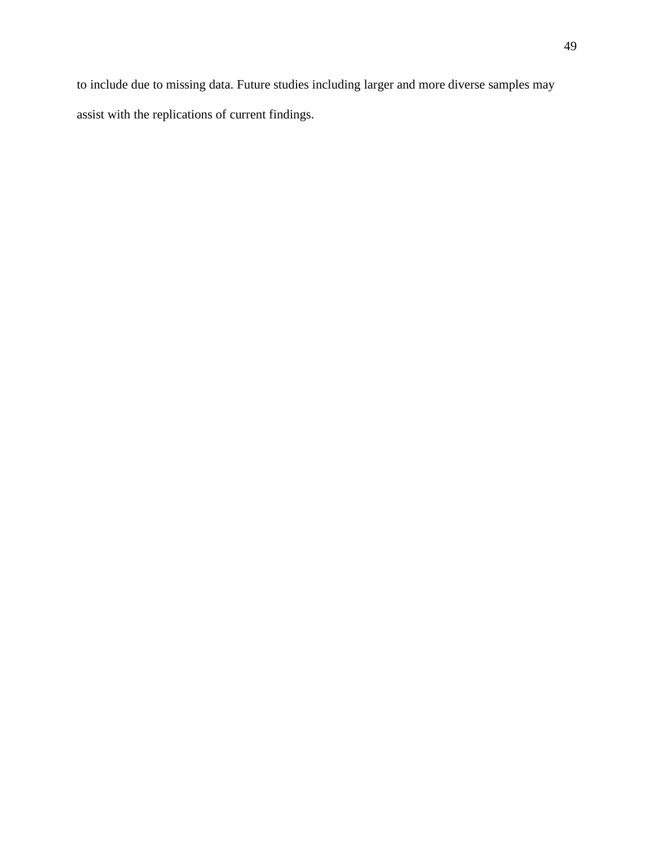to include due to missing data. Future studies including larger and more diverse samples may assist with the replications of current findings.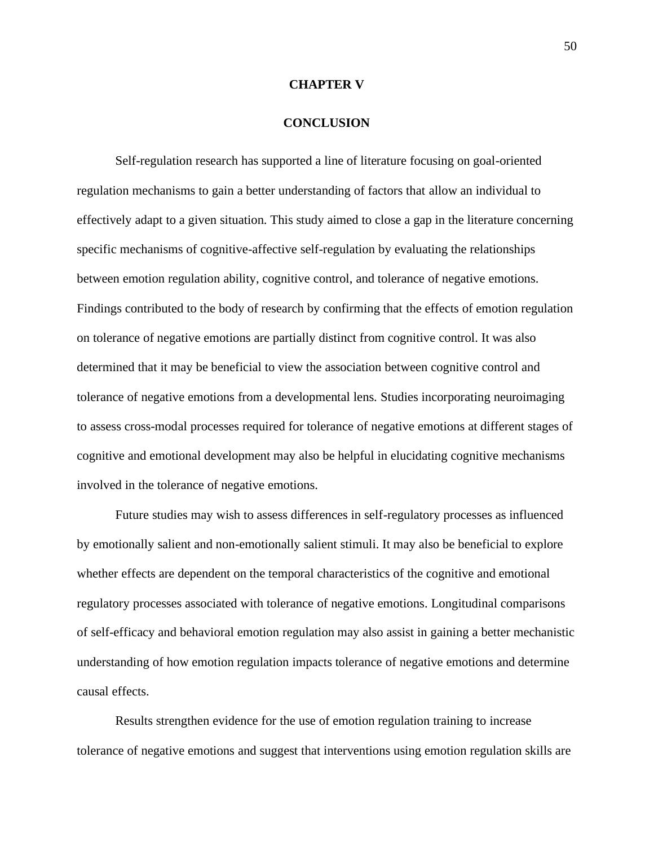### **CHAPTER V**

### **CONCLUSION**

Self-regulation research has supported a line of literature focusing on goal-oriented regulation mechanisms to gain a better understanding of factors that allow an individual to effectively adapt to a given situation. This study aimed to close a gap in the literature concerning specific mechanisms of cognitive-affective self-regulation by evaluating the relationships between emotion regulation ability, cognitive control, and tolerance of negative emotions. Findings contributed to the body of research by confirming that the effects of emotion regulation on tolerance of negative emotions are partially distinct from cognitive control. It was also determined that it may be beneficial to view the association between cognitive control and tolerance of negative emotions from a developmental lens. Studies incorporating neuroimaging to assess cross-modal processes required for tolerance of negative emotions at different stages of cognitive and emotional development may also be helpful in elucidating cognitive mechanisms involved in the tolerance of negative emotions.

Future studies may wish to assess differences in self-regulatory processes as influenced by emotionally salient and non-emotionally salient stimuli. It may also be beneficial to explore whether effects are dependent on the temporal characteristics of the cognitive and emotional regulatory processes associated with tolerance of negative emotions. Longitudinal comparisons of self-efficacy and behavioral emotion regulation may also assist in gaining a better mechanistic understanding of how emotion regulation impacts tolerance of negative emotions and determine causal effects.

Results strengthen evidence for the use of emotion regulation training to increase tolerance of negative emotions and suggest that interventions using emotion regulation skills are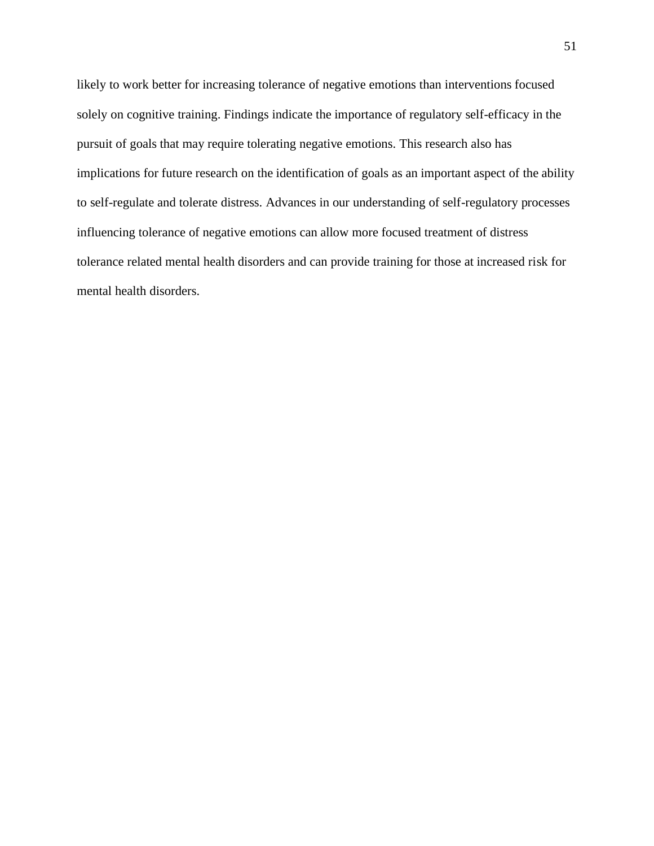likely to work better for increasing tolerance of negative emotions than interventions focused solely on cognitive training. Findings indicate the importance of regulatory self-efficacy in the pursuit of goals that may require tolerating negative emotions. This research also has implications for future research on the identification of goals as an important aspect of the ability to self-regulate and tolerate distress. Advances in our understanding of self-regulatory processes influencing tolerance of negative emotions can allow more focused treatment of distress tolerance related mental health disorders and can provide training for those at increased risk for mental health disorders.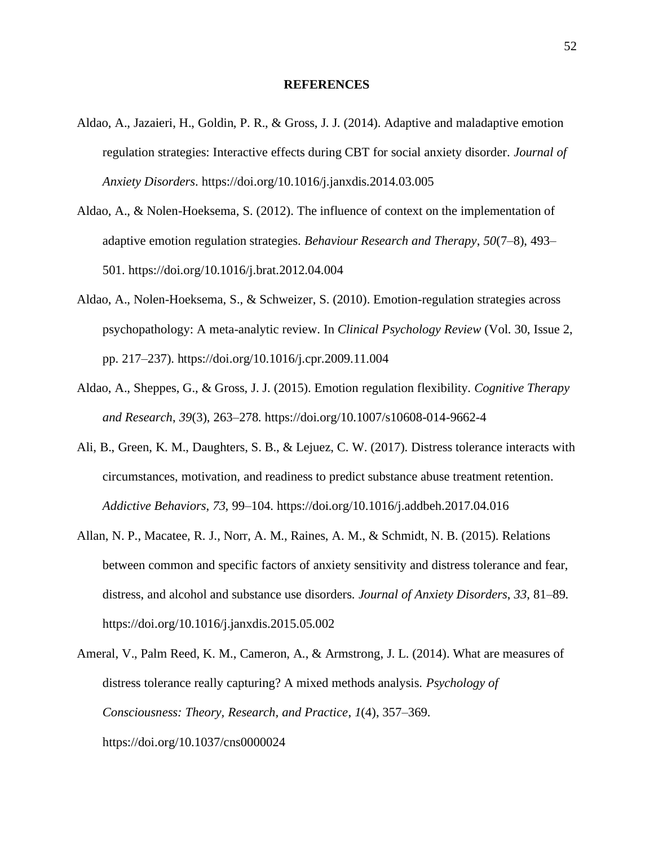### **REFERENCES**

- Aldao, A., Jazaieri, H., Goldin, P. R., & Gross, J. J. (2014). Adaptive and maladaptive emotion regulation strategies: Interactive effects during CBT for social anxiety disorder. *Journal of Anxiety Disorders*. https://doi.org/10.1016/j.janxdis.2014.03.005
- Aldao, A., & Nolen-Hoeksema, S. (2012). The influence of context on the implementation of adaptive emotion regulation strategies. *Behaviour Research and Therapy*, *50*(7–8), 493– 501. https://doi.org/10.1016/j.brat.2012.04.004
- Aldao, A., Nolen-Hoeksema, S., & Schweizer, S. (2010). Emotion-regulation strategies across psychopathology: A meta-analytic review. In *Clinical Psychology Review* (Vol. 30, Issue 2, pp. 217–237). https://doi.org/10.1016/j.cpr.2009.11.004
- Aldao, A., Sheppes, G., & Gross, J. J. (2015). Emotion regulation flexibility. *Cognitive Therapy and Research*, *39*(3), 263–278. https://doi.org/10.1007/s10608-014-9662-4
- Ali, B., Green, K. M., Daughters, S. B., & Lejuez, C. W. (2017). Distress tolerance interacts with circumstances, motivation, and readiness to predict substance abuse treatment retention. *Addictive Behaviors*, *73*, 99–104. https://doi.org/10.1016/j.addbeh.2017.04.016
- Allan, N. P., Macatee, R. J., Norr, A. M., Raines, A. M., & Schmidt, N. B. (2015). Relations between common and specific factors of anxiety sensitivity and distress tolerance and fear, distress, and alcohol and substance use disorders. *Journal of Anxiety Disorders*, *33*, 81–89. https://doi.org/10.1016/j.janxdis.2015.05.002
- Ameral, V., Palm Reed, K. M., Cameron, A., & Armstrong, J. L. (2014). What are measures of distress tolerance really capturing? A mixed methods analysis. *Psychology of Consciousness: Theory, Research, and Practice*, *1*(4), 357–369. https://doi.org/10.1037/cns0000024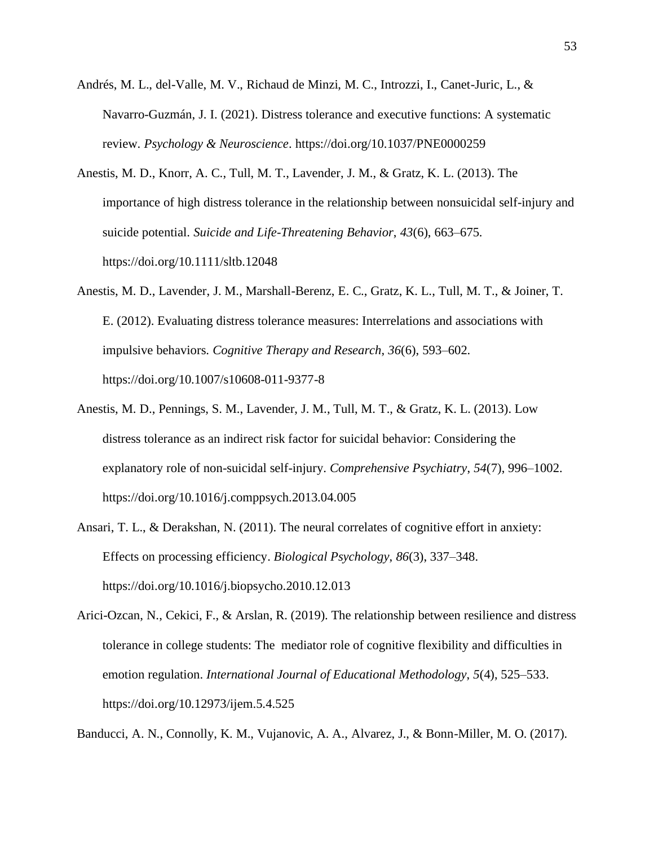- Andrés, M. L., del-Valle, M. V., Richaud de Minzi, M. C., Introzzi, I., Canet-Juric, L., & Navarro-Guzmán, J. I. (2021). Distress tolerance and executive functions: A systematic review. *Psychology & Neuroscience*. https://doi.org/10.1037/PNE0000259
- Anestis, M. D., Knorr, A. C., Tull, M. T., Lavender, J. M., & Gratz, K. L. (2013). The importance of high distress tolerance in the relationship between nonsuicidal self-injury and suicide potential. *Suicide and Life-Threatening Behavior*, *43*(6), 663–675. https://doi.org/10.1111/sltb.12048
- Anestis, M. D., Lavender, J. M., Marshall-Berenz, E. C., Gratz, K. L., Tull, M. T., & Joiner, T. E. (2012). Evaluating distress tolerance measures: Interrelations and associations with impulsive behaviors. *Cognitive Therapy and Research*, *36*(6), 593–602. https://doi.org/10.1007/s10608-011-9377-8
- Anestis, M. D., Pennings, S. M., Lavender, J. M., Tull, M. T., & Gratz, K. L. (2013). Low distress tolerance as an indirect risk factor for suicidal behavior: Considering the explanatory role of non-suicidal self-injury. *Comprehensive Psychiatry*, *54*(7), 996–1002. https://doi.org/10.1016/j.comppsych.2013.04.005
- Ansari, T. L., & Derakshan, N. (2011). The neural correlates of cognitive effort in anxiety: Effects on processing efficiency. *Biological Psychology*, *86*(3), 337–348. https://doi.org/10.1016/j.biopsycho.2010.12.013
- Arici-Ozcan, N., Cekici, F., & Arslan, R. (2019). The relationship between resilience and distress tolerance in college students: The mediator role of cognitive flexibility and difficulties in emotion regulation. *International Journal of Educational Methodology*, *5*(4), 525–533. https://doi.org/10.12973/ijem.5.4.525

Banducci, A. N., Connolly, K. M., Vujanovic, A. A., Alvarez, J., & Bonn-Miller, M. O. (2017).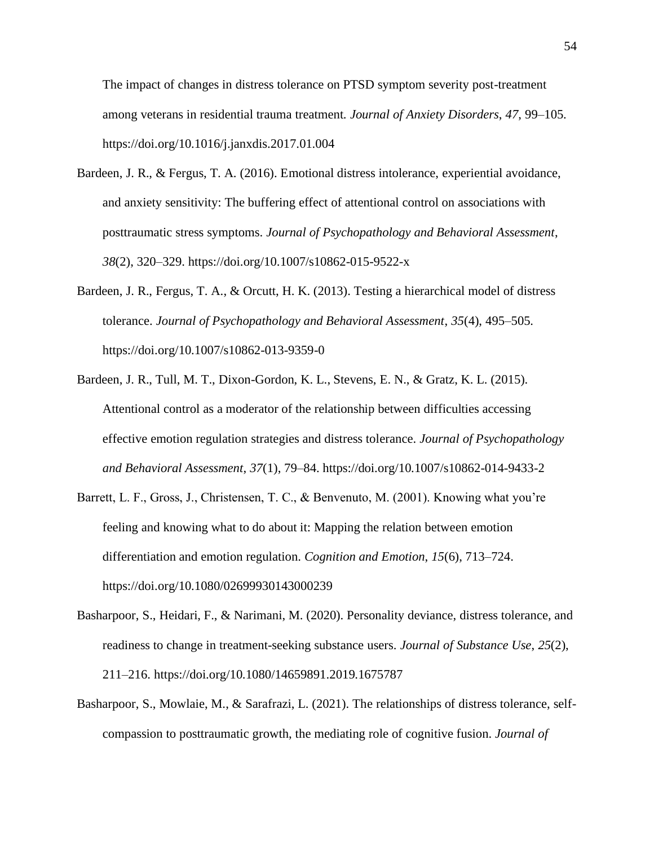The impact of changes in distress tolerance on PTSD symptom severity post-treatment among veterans in residential trauma treatment. *Journal of Anxiety Disorders*, *47*, 99–105. https://doi.org/10.1016/j.janxdis.2017.01.004

- Bardeen, J. R., & Fergus, T. A. (2016). Emotional distress intolerance, experiential avoidance, and anxiety sensitivity: The buffering effect of attentional control on associations with posttraumatic stress symptoms. *Journal of Psychopathology and Behavioral Assessment*, *38*(2), 320–329. https://doi.org/10.1007/s10862-015-9522-x
- Bardeen, J. R., Fergus, T. A., & Orcutt, H. K. (2013). Testing a hierarchical model of distress tolerance. *Journal of Psychopathology and Behavioral Assessment*, *35*(4), 495–505. https://doi.org/10.1007/s10862-013-9359-0
- Bardeen, J. R., Tull, M. T., Dixon-Gordon, K. L., Stevens, E. N., & Gratz, K. L. (2015). Attentional control as a moderator of the relationship between difficulties accessing effective emotion regulation strategies and distress tolerance. *Journal of Psychopathology and Behavioral Assessment*, *37*(1), 79–84. https://doi.org/10.1007/s10862-014-9433-2
- Barrett, L. F., Gross, J., Christensen, T. C., & Benvenuto, M. (2001). Knowing what you're feeling and knowing what to do about it: Mapping the relation between emotion differentiation and emotion regulation. *Cognition and Emotion*, *15*(6), 713–724. https://doi.org/10.1080/02699930143000239
- Basharpoor, S., Heidari, F., & Narimani, M. (2020). Personality deviance, distress tolerance, and readiness to change in treatment-seeking substance users. *Journal of Substance Use*, *25*(2), 211–216. https://doi.org/10.1080/14659891.2019.1675787
- Basharpoor, S., Mowlaie, M., & Sarafrazi, L. (2021). The relationships of distress tolerance, selfcompassion to posttraumatic growth, the mediating role of cognitive fusion. *Journal of*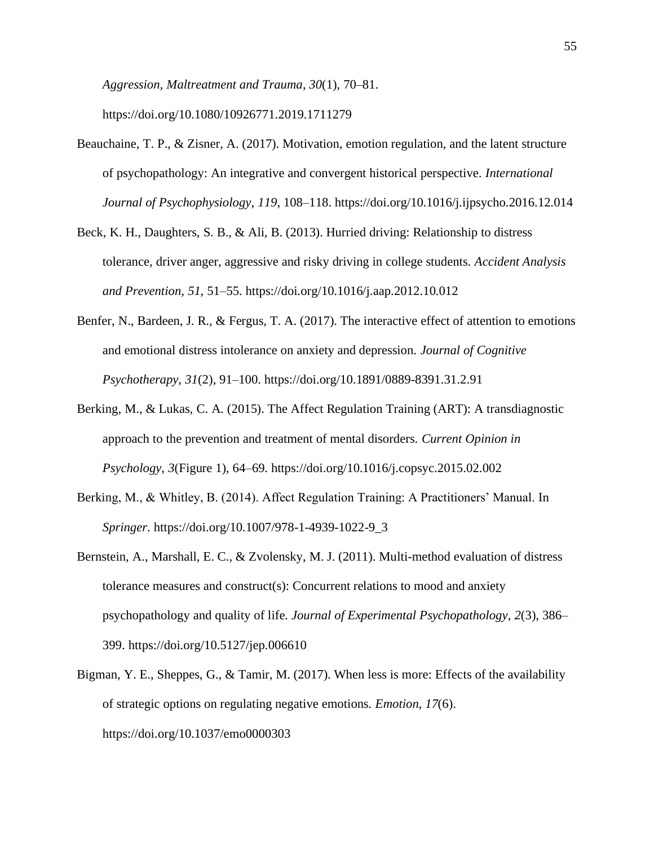*Aggression, Maltreatment and Trauma*, *30*(1), 70–81. https://doi.org/10.1080/10926771.2019.1711279

- Beauchaine, T. P., & Zisner, A. (2017). Motivation, emotion regulation, and the latent structure of psychopathology: An integrative and convergent historical perspective. *International Journal of Psychophysiology*, *119*, 108–118. https://doi.org/10.1016/j.ijpsycho.2016.12.014
- Beck, K. H., Daughters, S. B., & Ali, B. (2013). Hurried driving: Relationship to distress tolerance, driver anger, aggressive and risky driving in college students. *Accident Analysis and Prevention*, *51*, 51–55. https://doi.org/10.1016/j.aap.2012.10.012
- Benfer, N., Bardeen, J. R., & Fergus, T. A. (2017). The interactive effect of attention to emotions and emotional distress intolerance on anxiety and depression. *Journal of Cognitive Psychotherapy*, *31*(2), 91–100. https://doi.org/10.1891/0889-8391.31.2.91
- Berking, M., & Lukas, C. A. (2015). The Affect Regulation Training (ART): A transdiagnostic approach to the prevention and treatment of mental disorders. *Current Opinion in Psychology*, *3*(Figure 1), 64–69. https://doi.org/10.1016/j.copsyc.2015.02.002
- Berking, M., & Whitley, B. (2014). Affect Regulation Training: A Practitioners' Manual. In *Springer*. https://doi.org/10.1007/978-1-4939-1022-9\_3
- Bernstein, A., Marshall, E. C., & Zvolensky, M. J. (2011). Multi-method evaluation of distress tolerance measures and construct(s): Concurrent relations to mood and anxiety psychopathology and quality of life. *Journal of Experimental Psychopathology*, *2*(3), 386– 399. https://doi.org/10.5127/jep.006610
- Bigman, Y. E., Sheppes, G., & Tamir, M. (2017). When less is more: Effects of the availability of strategic options on regulating negative emotions. *Emotion*, *17*(6). https://doi.org/10.1037/emo0000303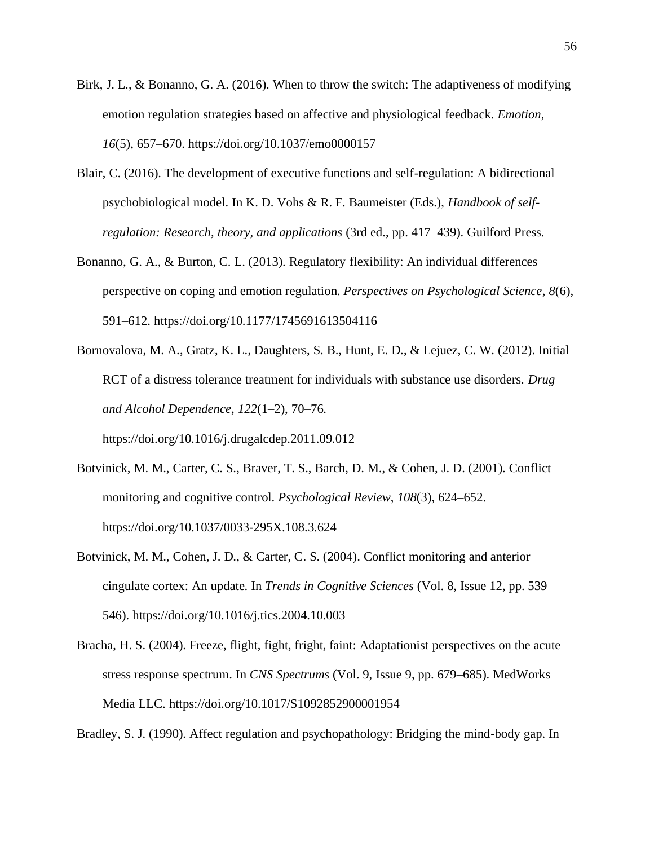- Birk, J. L., & Bonanno, G. A. (2016). When to throw the switch: The adaptiveness of modifying emotion regulation strategies based on affective and physiological feedback. *Emotion*, *16*(5), 657–670. https://doi.org/10.1037/emo0000157
- Blair, C. (2016). The development of executive functions and self-regulation: A bidirectional psychobiological model. In K. D. Vohs & R. F. Baumeister (Eds.), *Handbook of selfregulation: Research, theory, and applications* (3rd ed., pp. 417–439). Guilford Press.
- Bonanno, G. A., & Burton, C. L. (2013). Regulatory flexibility: An individual differences perspective on coping and emotion regulation. *Perspectives on Psychological Science*, *8*(6), 591–612. https://doi.org/10.1177/1745691613504116
- Bornovalova, M. A., Gratz, K. L., Daughters, S. B., Hunt, E. D., & Lejuez, C. W. (2012). Initial RCT of a distress tolerance treatment for individuals with substance use disorders. *Drug and Alcohol Dependence*, *122*(1–2), 70–76.

https://doi.org/10.1016/j.drugalcdep.2011.09.012

- Botvinick, M. M., Carter, C. S., Braver, T. S., Barch, D. M., & Cohen, J. D. (2001). Conflict monitoring and cognitive control. *Psychological Review*, *108*(3), 624–652. https://doi.org/10.1037/0033-295X.108.3.624
- Botvinick, M. M., Cohen, J. D., & Carter, C. S. (2004). Conflict monitoring and anterior cingulate cortex: An update. In *Trends in Cognitive Sciences* (Vol. 8, Issue 12, pp. 539– 546). https://doi.org/10.1016/j.tics.2004.10.003
- Bracha, H. S. (2004). Freeze, flight, fight, fright, faint: Adaptationist perspectives on the acute stress response spectrum. In *CNS Spectrums* (Vol. 9, Issue 9, pp. 679–685). MedWorks Media LLC. https://doi.org/10.1017/S1092852900001954

Bradley, S. J. (1990). Affect regulation and psychopathology: Bridging the mind-body gap. In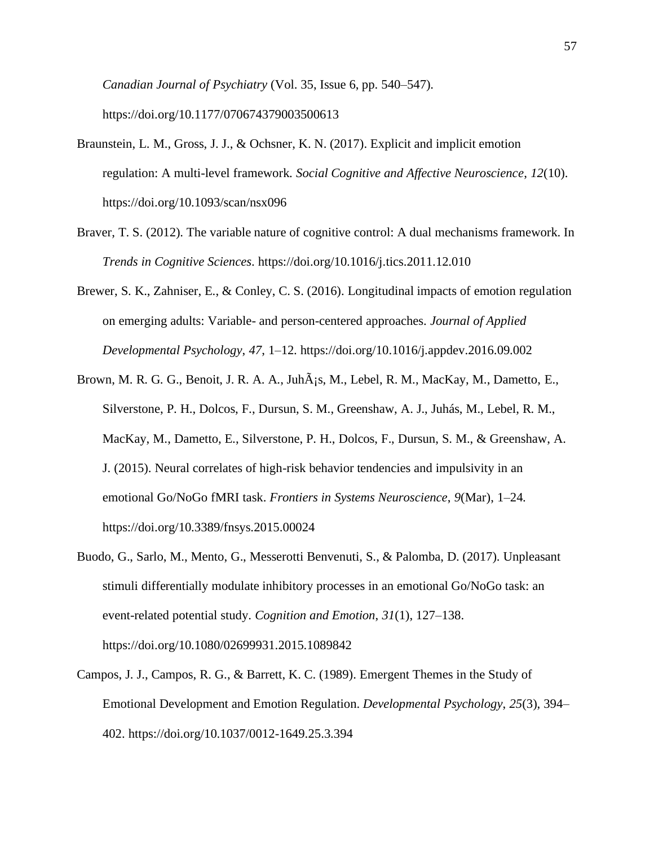*Canadian Journal of Psychiatry* (Vol. 35, Issue 6, pp. 540–547). https://doi.org/10.1177/070674379003500613

- Braunstein, L. M., Gross, J. J., & Ochsner, K. N. (2017). Explicit and implicit emotion regulation: A multi-level framework. *Social Cognitive and Affective Neuroscience*, *12*(10). https://doi.org/10.1093/scan/nsx096
- Braver, T. S. (2012). The variable nature of cognitive control: A dual mechanisms framework. In *Trends in Cognitive Sciences*. https://doi.org/10.1016/j.tics.2011.12.010
- Brewer, S. K., Zahniser, E., & Conley, C. S. (2016). Longitudinal impacts of emotion regulation on emerging adults: Variable- and person-centered approaches. *Journal of Applied Developmental Psychology*, *47*, 1–12. https://doi.org/10.1016/j.appdev.2016.09.002
- Brown, M. R. G. G., Benoit, J. R. A. A., Juh $\tilde{A}$ ; S, M., Lebel, R. M., MacKay, M., Dametto, E., Silverstone, P. H., Dolcos, F., Dursun, S. M., Greenshaw, A. J., Juhás, M., Lebel, R. M., MacKay, M., Dametto, E., Silverstone, P. H., Dolcos, F., Dursun, S. M., & Greenshaw, A. J. (2015). Neural correlates of high-risk behavior tendencies and impulsivity in an emotional Go/NoGo fMRI task. *Frontiers in Systems Neuroscience*, *9*(Mar), 1–24. https://doi.org/10.3389/fnsys.2015.00024
- Buodo, G., Sarlo, M., Mento, G., Messerotti Benvenuti, S., & Palomba, D. (2017). Unpleasant stimuli differentially modulate inhibitory processes in an emotional Go/NoGo task: an event-related potential study. *Cognition and Emotion*, *31*(1), 127–138. https://doi.org/10.1080/02699931.2015.1089842
- Campos, J. J., Campos, R. G., & Barrett, K. C. (1989). Emergent Themes in the Study of Emotional Development and Emotion Regulation. *Developmental Psychology*, *25*(3), 394– 402. https://doi.org/10.1037/0012-1649.25.3.394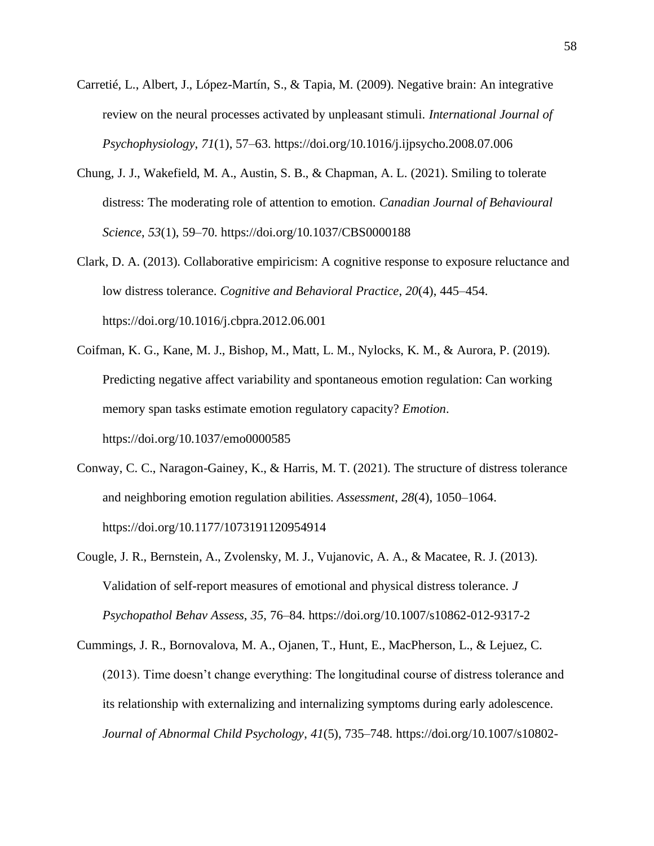- Carretié, L., Albert, J., López-Martín, S., & Tapia, M. (2009). Negative brain: An integrative review on the neural processes activated by unpleasant stimuli. *International Journal of Psychophysiology*, *71*(1), 57–63. https://doi.org/10.1016/j.ijpsycho.2008.07.006
- Chung, J. J., Wakefield, M. A., Austin, S. B., & Chapman, A. L. (2021). Smiling to tolerate distress: The moderating role of attention to emotion. *Canadian Journal of Behavioural Science*, *53*(1), 59–70. https://doi.org/10.1037/CBS0000188
- Clark, D. A. (2013). Collaborative empiricism: A cognitive response to exposure reluctance and low distress tolerance. *Cognitive and Behavioral Practice*, *20*(4), 445–454. https://doi.org/10.1016/j.cbpra.2012.06.001
- Coifman, K. G., Kane, M. J., Bishop, M., Matt, L. M., Nylocks, K. M., & Aurora, P. (2019). Predicting negative affect variability and spontaneous emotion regulation: Can working memory span tasks estimate emotion regulatory capacity? *Emotion*. https://doi.org/10.1037/emo0000585
- Conway, C. C., Naragon-Gainey, K., & Harris, M. T. (2021). The structure of distress tolerance and neighboring emotion regulation abilities. *Assessment*, *28*(4), 1050–1064. https://doi.org/10.1177/1073191120954914
- Cougle, J. R., Bernstein, A., Zvolensky, M. J., Vujanovic, A. A., & Macatee, R. J. (2013). Validation of self-report measures of emotional and physical distress tolerance. *J Psychopathol Behav Assess*, *35*, 76–84. https://doi.org/10.1007/s10862-012-9317-2
- Cummings, J. R., Bornovalova, M. A., Ojanen, T., Hunt, E., MacPherson, L., & Lejuez, C. (2013). Time doesn't change everything: The longitudinal course of distress tolerance and its relationship with externalizing and internalizing symptoms during early adolescence. *Journal of Abnormal Child Psychology*, *41*(5), 735–748. https://doi.org/10.1007/s10802-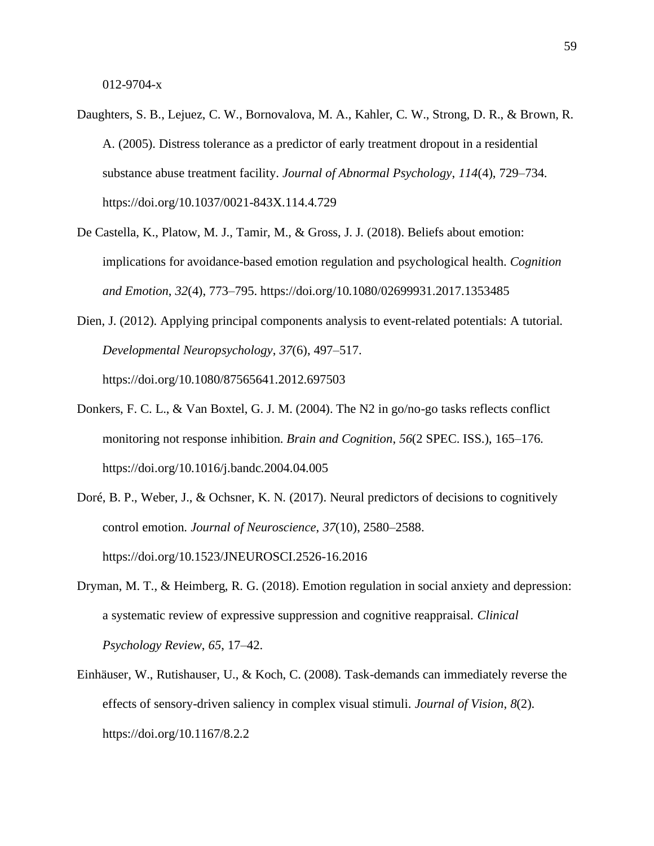- Daughters, S. B., Lejuez, C. W., Bornovalova, M. A., Kahler, C. W., Strong, D. R., & Brown, R. A. (2005). Distress tolerance as a predictor of early treatment dropout in a residential substance abuse treatment facility. *Journal of Abnormal Psychology*, *114*(4), 729–734. https://doi.org/10.1037/0021-843X.114.4.729
- De Castella, K., Platow, M. J., Tamir, M., & Gross, J. J. (2018). Beliefs about emotion: implications for avoidance-based emotion regulation and psychological health. *Cognition and Emotion*, *32*(4), 773–795. https://doi.org/10.1080/02699931.2017.1353485
- Dien, J. (2012). Applying principal components analysis to event-related potentials: A tutorial. *Developmental Neuropsychology*, *37*(6), 497–517. https://doi.org/10.1080/87565641.2012.697503
- Donkers, F. C. L., & Van Boxtel, G. J. M. (2004). The N2 in go/no-go tasks reflects conflict monitoring not response inhibition. *Brain and Cognition*, *56*(2 SPEC. ISS.), 165–176. https://doi.org/10.1016/j.bandc.2004.04.005
- Doré, B. P., Weber, J., & Ochsner, K. N. (2017). Neural predictors of decisions to cognitively control emotion. *Journal of Neuroscience*, *37*(10), 2580–2588. https://doi.org/10.1523/JNEUROSCI.2526-16.2016
- Dryman, M. T., & Heimberg, R. G. (2018). Emotion regulation in social anxiety and depression: a systematic review of expressive suppression and cognitive reappraisal. *Clinical Psychology Review*, *65*, 17–42.
- Einhäuser, W., Rutishauser, U., & Koch, C. (2008). Task-demands can immediately reverse the effects of sensory-driven saliency in complex visual stimuli. *Journal of Vision*, *8*(2). https://doi.org/10.1167/8.2.2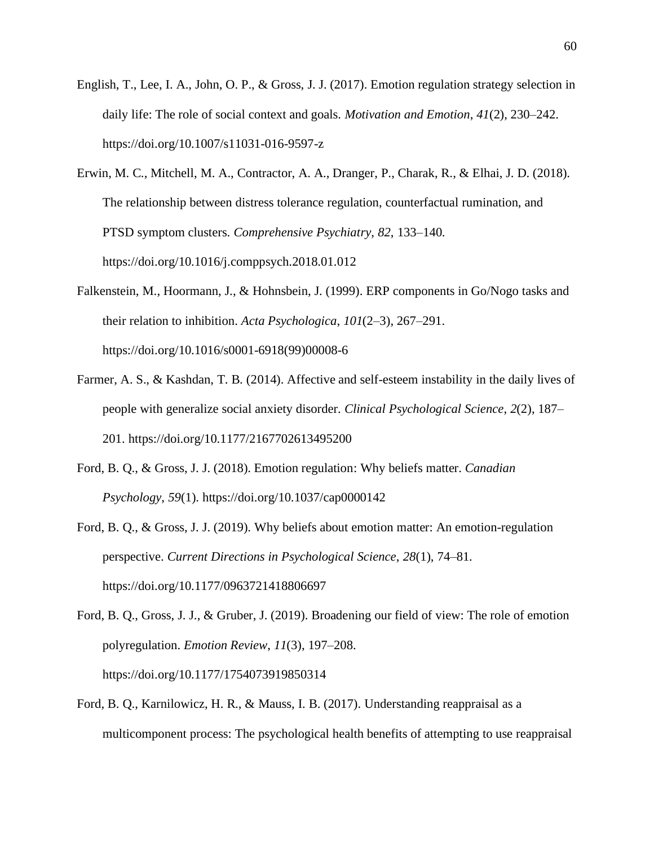- English, T., Lee, I. A., John, O. P., & Gross, J. J. (2017). Emotion regulation strategy selection in daily life: The role of social context and goals. *Motivation and Emotion*, *41*(2), 230–242. https://doi.org/10.1007/s11031-016-9597-z
- Erwin, M. C., Mitchell, M. A., Contractor, A. A., Dranger, P., Charak, R., & Elhai, J. D. (2018). The relationship between distress tolerance regulation, counterfactual rumination, and PTSD symptom clusters. *Comprehensive Psychiatry*, *82*, 133–140. https://doi.org/10.1016/j.comppsych.2018.01.012
- Falkenstein, M., Hoormann, J., & Hohnsbein, J. (1999). ERP components in Go/Nogo tasks and their relation to inhibition. *Acta Psychologica*, *101*(2–3), 267–291. https://doi.org/10.1016/s0001-6918(99)00008-6
- Farmer, A. S., & Kashdan, T. B. (2014). Affective and self-esteem instability in the daily lives of people with generalize social anxiety disorder. *Clinical Psychological Science*, *2*(2), 187– 201. https://doi.org/10.1177/2167702613495200
- Ford, B. Q., & Gross, J. J. (2018). Emotion regulation: Why beliefs matter. *Canadian Psychology*, *59*(1). https://doi.org/10.1037/cap0000142
- Ford, B. Q., & Gross, J. J. (2019). Why beliefs about emotion matter: An emotion-regulation perspective. *Current Directions in Psychological Science*, *28*(1), 74–81. https://doi.org/10.1177/0963721418806697
- Ford, B. Q., Gross, J. J., & Gruber, J. (2019). Broadening our field of view: The role of emotion polyregulation. *Emotion Review*, *11*(3), 197–208. https://doi.org/10.1177/1754073919850314
- Ford, B. Q., Karnilowicz, H. R., & Mauss, I. B. (2017). Understanding reappraisal as a multicomponent process: The psychological health benefits of attempting to use reappraisal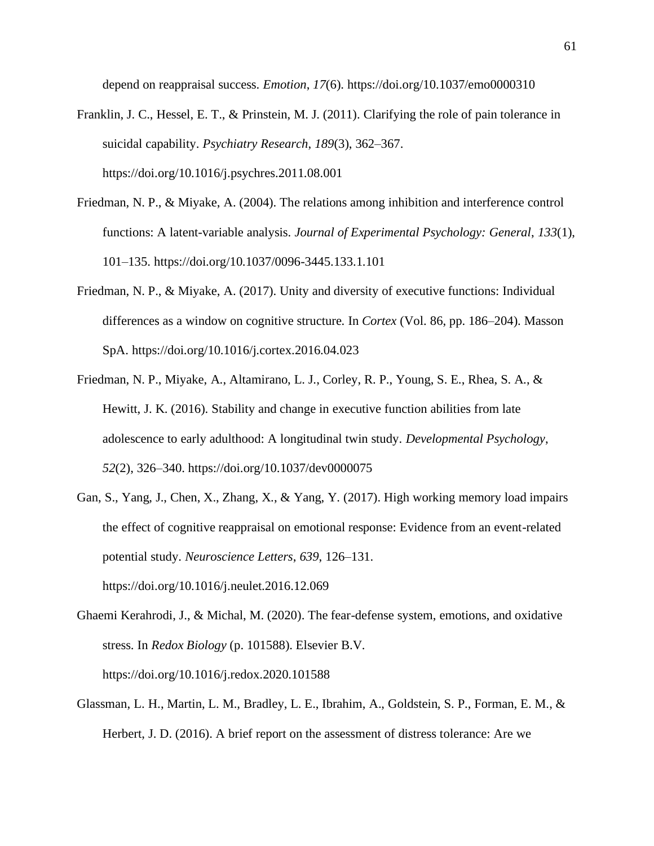depend on reappraisal success. *Emotion*, *17*(6). https://doi.org/10.1037/emo0000310

- Franklin, J. C., Hessel, E. T., & Prinstein, M. J. (2011). Clarifying the role of pain tolerance in suicidal capability. *Psychiatry Research*, *189*(3), 362–367. https://doi.org/10.1016/j.psychres.2011.08.001
- Friedman, N. P., & Miyake, A. (2004). The relations among inhibition and interference control functions: A latent-variable analysis. *Journal of Experimental Psychology: General*, *133*(1), 101–135. https://doi.org/10.1037/0096-3445.133.1.101
- Friedman, N. P., & Miyake, A. (2017). Unity and diversity of executive functions: Individual differences as a window on cognitive structure. In *Cortex* (Vol. 86, pp. 186–204). Masson SpA. https://doi.org/10.1016/j.cortex.2016.04.023
- Friedman, N. P., Miyake, A., Altamirano, L. J., Corley, R. P., Young, S. E., Rhea, S. A., & Hewitt, J. K. (2016). Stability and change in executive function abilities from late adolescence to early adulthood: A longitudinal twin study. *Developmental Psychology*, *52*(2), 326–340. https://doi.org/10.1037/dev0000075
- Gan, S., Yang, J., Chen, X., Zhang, X., & Yang, Y. (2017). High working memory load impairs the effect of cognitive reappraisal on emotional response: Evidence from an event-related potential study. *Neuroscience Letters*, *639*, 126–131. https://doi.org/10.1016/j.neulet.2016.12.069
- Ghaemi Kerahrodi, J., & Michal, M. (2020). The fear-defense system, emotions, and oxidative stress. In *Redox Biology* (p. 101588). Elsevier B.V. https://doi.org/10.1016/j.redox.2020.101588
- Glassman, L. H., Martin, L. M., Bradley, L. E., Ibrahim, A., Goldstein, S. P., Forman, E. M., & Herbert, J. D. (2016). A brief report on the assessment of distress tolerance: Are we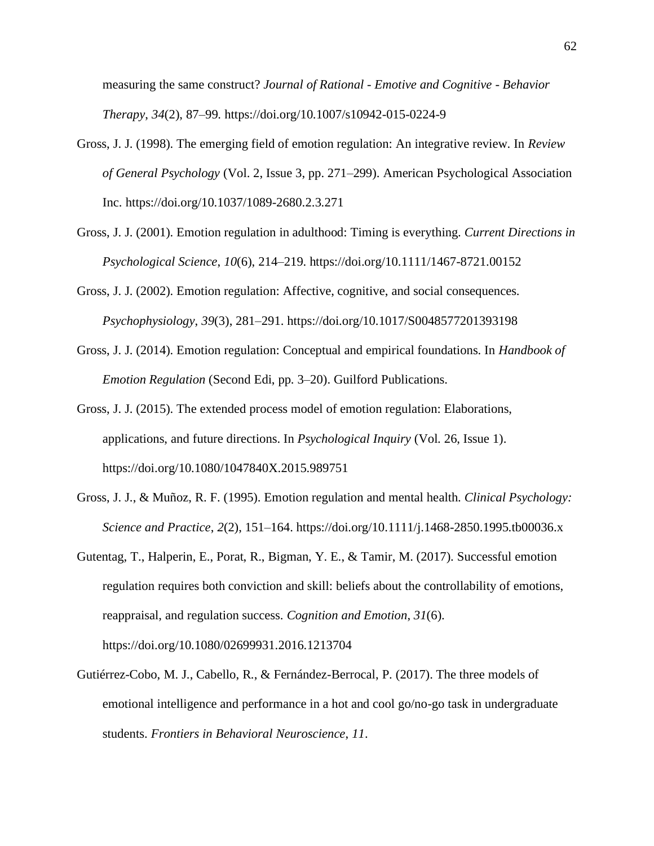measuring the same construct? *Journal of Rational - Emotive and Cognitive - Behavior Therapy*, *34*(2), 87–99. https://doi.org/10.1007/s10942-015-0224-9

- Gross, J. J. (1998). The emerging field of emotion regulation: An integrative review. In *Review of General Psychology* (Vol. 2, Issue 3, pp. 271–299). American Psychological Association Inc. https://doi.org/10.1037/1089-2680.2.3.271
- Gross, J. J. (2001). Emotion regulation in adulthood: Timing is everything. *Current Directions in Psychological Science*, *10*(6), 214–219. https://doi.org/10.1111/1467-8721.00152
- Gross, J. J. (2002). Emotion regulation: Affective, cognitive, and social consequences. *Psychophysiology*, *39*(3), 281–291. https://doi.org/10.1017/S0048577201393198
- Gross, J. J. (2014). Emotion regulation: Conceptual and empirical foundations. In *Handbook of Emotion Regulation* (Second Edi, pp. 3–20). Guilford Publications.
- Gross, J. J. (2015). The extended process model of emotion regulation: Elaborations, applications, and future directions. In *Psychological Inquiry* (Vol. 26, Issue 1). https://doi.org/10.1080/1047840X.2015.989751
- Gross, J. J., & Muñoz, R. F. (1995). Emotion regulation and mental health. *Clinical Psychology: Science and Practice*, *2*(2), 151–164. https://doi.org/10.1111/j.1468-2850.1995.tb00036.x
- Gutentag, T., Halperin, E., Porat, R., Bigman, Y. E., & Tamir, M. (2017). Successful emotion regulation requires both conviction and skill: beliefs about the controllability of emotions, reappraisal, and regulation success. *Cognition and Emotion*, *31*(6). https://doi.org/10.1080/02699931.2016.1213704
- Gutiérrez-Cobo, M. J., Cabello, R., & Fernández-Berrocal, P. (2017). The three models of emotional intelligence and performance in a hot and cool go/no-go task in undergraduate students. *Frontiers in Behavioral Neuroscience*, *11*.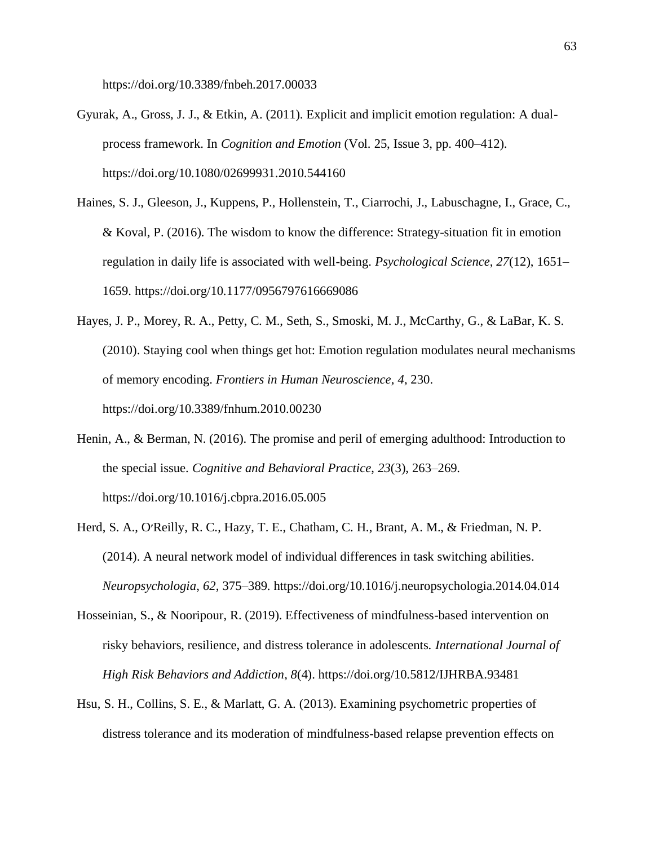https://doi.org/10.3389/fnbeh.2017.00033

- Gyurak, A., Gross, J. J., & Etkin, A. (2011). Explicit and implicit emotion regulation: A dualprocess framework. In *Cognition and Emotion* (Vol. 25, Issue 3, pp. 400–412). https://doi.org/10.1080/02699931.2010.544160
- Haines, S. J., Gleeson, J., Kuppens, P., Hollenstein, T., Ciarrochi, J., Labuschagne, I., Grace, C., & Koval, P. (2016). The wisdom to know the difference: Strategy-situation fit in emotion regulation in daily life is associated with well-being. *Psychological Science*, *27*(12), 1651– 1659. https://doi.org/10.1177/0956797616669086
- Hayes, J. P., Morey, R. A., Petty, C. M., Seth, S., Smoski, M. J., McCarthy, G., & LaBar, K. S. (2010). Staying cool when things get hot: Emotion regulation modulates neural mechanisms of memory encoding. *Frontiers in Human Neuroscience*, *4*, 230. https://doi.org/10.3389/fnhum.2010.00230
- Henin, A., & Berman, N. (2016). The promise and peril of emerging adulthood: Introduction to the special issue. *Cognitive and Behavioral Practice*, *23*(3), 263–269. https://doi.org/10.1016/j.cbpra.2016.05.005
- Herd, S. A., O׳Reilly, R. C., Hazy, T. E., Chatham, C. H., Brant, A. M., & Friedman, N. P. (2014). A neural network model of individual differences in task switching abilities. *Neuropsychologia*, *62*, 375–389. https://doi.org/10.1016/j.neuropsychologia.2014.04.014
- Hosseinian, S., & Nooripour, R. (2019). Effectiveness of mindfulness-based intervention on risky behaviors, resilience, and distress tolerance in adolescents. *International Journal of High Risk Behaviors and Addiction*, *8*(4). https://doi.org/10.5812/IJHRBA.93481
- Hsu, S. H., Collins, S. E., & Marlatt, G. A. (2013). Examining psychometric properties of distress tolerance and its moderation of mindfulness-based relapse prevention effects on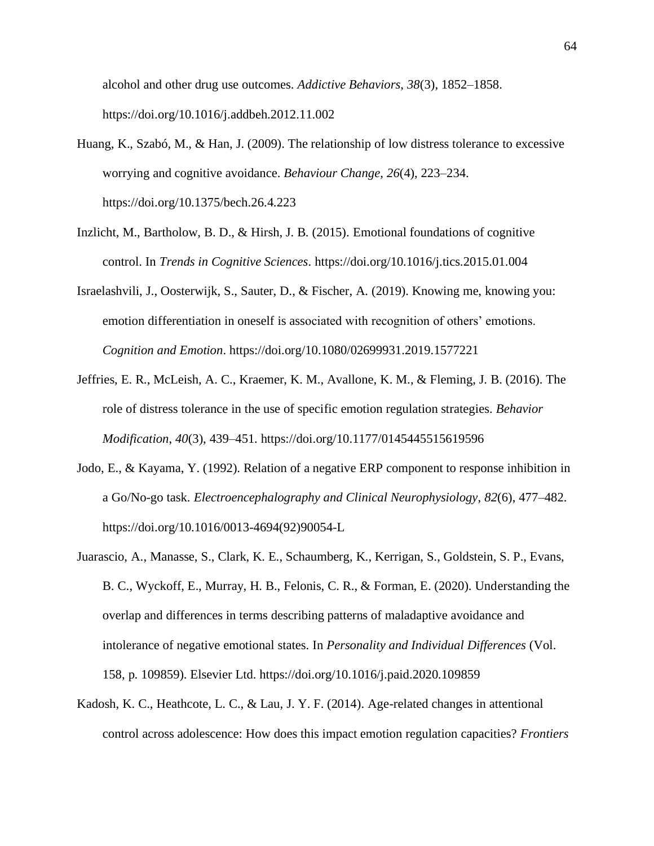alcohol and other drug use outcomes. *Addictive Behaviors*, *38*(3), 1852–1858. https://doi.org/10.1016/j.addbeh.2012.11.002

- Huang, K., Szabó, M., & Han, J. (2009). The relationship of low distress tolerance to excessive worrying and cognitive avoidance. *Behaviour Change*, *26*(4), 223–234. https://doi.org/10.1375/bech.26.4.223
- Inzlicht, M., Bartholow, B. D., & Hirsh, J. B. (2015). Emotional foundations of cognitive control. In *Trends in Cognitive Sciences*. https://doi.org/10.1016/j.tics.2015.01.004
- Israelashvili, J., Oosterwijk, S., Sauter, D., & Fischer, A. (2019). Knowing me, knowing you: emotion differentiation in oneself is associated with recognition of others' emotions. *Cognition and Emotion*. https://doi.org/10.1080/02699931.2019.1577221
- Jeffries, E. R., McLeish, A. C., Kraemer, K. M., Avallone, K. M., & Fleming, J. B. (2016). The role of distress tolerance in the use of specific emotion regulation strategies. *Behavior Modification*, *40*(3), 439–451. https://doi.org/10.1177/0145445515619596
- Jodo, E., & Kayama, Y. (1992). Relation of a negative ERP component to response inhibition in a Go/No-go task. *Electroencephalography and Clinical Neurophysiology*, *82*(6), 477–482. https://doi.org/10.1016/0013-4694(92)90054-L
- Juarascio, A., Manasse, S., Clark, K. E., Schaumberg, K., Kerrigan, S., Goldstein, S. P., Evans, B. C., Wyckoff, E., Murray, H. B., Felonis, C. R., & Forman, E. (2020). Understanding the overlap and differences in terms describing patterns of maladaptive avoidance and intolerance of negative emotional states. In *Personality and Individual Differences* (Vol. 158, p. 109859). Elsevier Ltd. https://doi.org/10.1016/j.paid.2020.109859
- Kadosh, K. C., Heathcote, L. C., & Lau, J. Y. F. (2014). Age-related changes in attentional control across adolescence: How does this impact emotion regulation capacities? *Frontiers*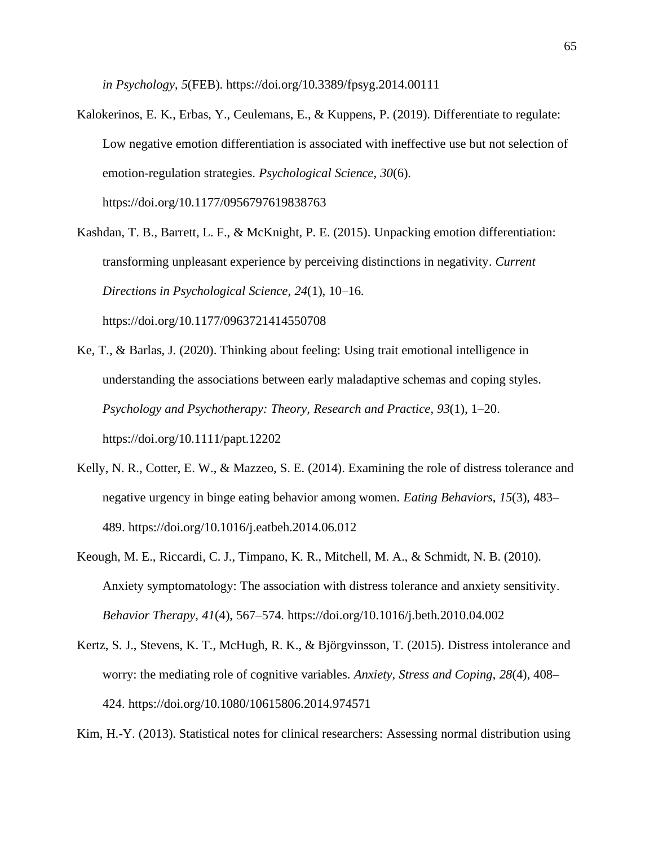*in Psychology*, *5*(FEB). https://doi.org/10.3389/fpsyg.2014.00111

- Kalokerinos, E. K., Erbas, Y., Ceulemans, E., & Kuppens, P. (2019). Differentiate to regulate: Low negative emotion differentiation is associated with ineffective use but not selection of emotion-regulation strategies. *Psychological Science*, *30*(6). https://doi.org/10.1177/0956797619838763
- Kashdan, T. B., Barrett, L. F., & McKnight, P. E. (2015). Unpacking emotion differentiation: transforming unpleasant experience by perceiving distinctions in negativity. *Current Directions in Psychological Science*, *24*(1), 10–16. https://doi.org/10.1177/0963721414550708
- Ke, T., & Barlas, J. (2020). Thinking about feeling: Using trait emotional intelligence in understanding the associations between early maladaptive schemas and coping styles. *Psychology and Psychotherapy: Theory, Research and Practice*, *93*(1), 1–20. https://doi.org/10.1111/papt.12202
- Kelly, N. R., Cotter, E. W., & Mazzeo, S. E. (2014). Examining the role of distress tolerance and negative urgency in binge eating behavior among women. *Eating Behaviors*, *15*(3), 483– 489. https://doi.org/10.1016/j.eatbeh.2014.06.012
- Keough, M. E., Riccardi, C. J., Timpano, K. R., Mitchell, M. A., & Schmidt, N. B. (2010). Anxiety symptomatology: The association with distress tolerance and anxiety sensitivity. *Behavior Therapy*, *41*(4), 567–574. https://doi.org/10.1016/j.beth.2010.04.002
- Kertz, S. J., Stevens, K. T., McHugh, R. K., & Björgvinsson, T. (2015). Distress intolerance and worry: the mediating role of cognitive variables. *Anxiety, Stress and Coping*, *28*(4), 408– 424. https://doi.org/10.1080/10615806.2014.974571

Kim, H.-Y. (2013). Statistical notes for clinical researchers: Assessing normal distribution using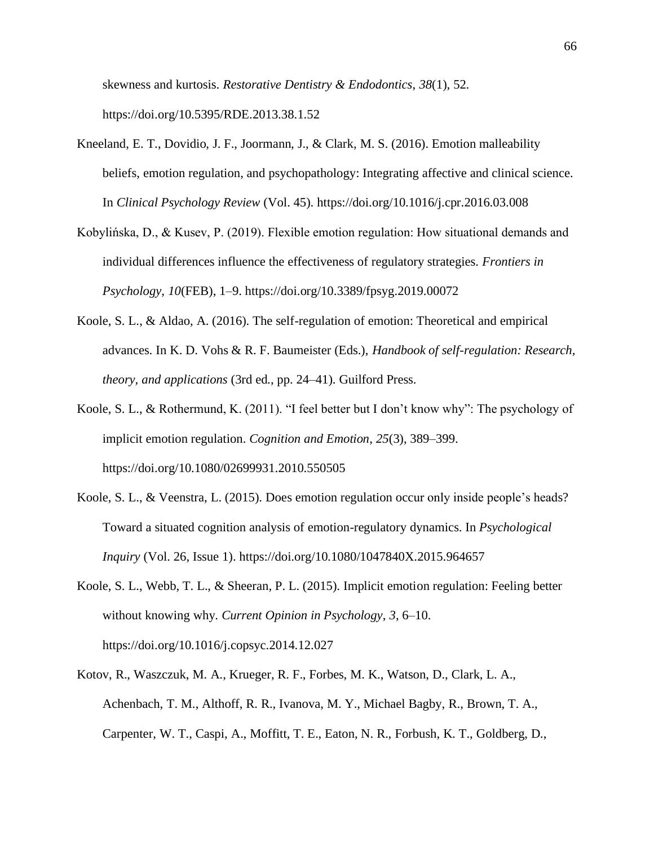skewness and kurtosis. *Restorative Dentistry & Endodontics*, *38*(1), 52. https://doi.org/10.5395/RDE.2013.38.1.52

- Kneeland, E. T., Dovidio, J. F., Joormann, J., & Clark, M. S. (2016). Emotion malleability beliefs, emotion regulation, and psychopathology: Integrating affective and clinical science. In *Clinical Psychology Review* (Vol. 45). https://doi.org/10.1016/j.cpr.2016.03.008
- Kobylińska, D., & Kusev, P. (2019). Flexible emotion regulation: How situational demands and individual differences influence the effectiveness of regulatory strategies. *Frontiers in Psychology*, *10*(FEB), 1–9. https://doi.org/10.3389/fpsyg.2019.00072
- Koole, S. L., & Aldao, A. (2016). The self-regulation of emotion: Theoretical and empirical advances. In K. D. Vohs & R. F. Baumeister (Eds.), *Handbook of self-regulation: Research, theory, and applications* (3rd ed., pp. 24–41). Guilford Press.
- Koole, S. L., & Rothermund, K. (2011). "I feel better but I don't know why": The psychology of implicit emotion regulation. *Cognition and Emotion*, *25*(3), 389–399. https://doi.org/10.1080/02699931.2010.550505
- Koole, S. L., & Veenstra, L. (2015). Does emotion regulation occur only inside people's heads? Toward a situated cognition analysis of emotion-regulatory dynamics. In *Psychological Inquiry* (Vol. 26, Issue 1). https://doi.org/10.1080/1047840X.2015.964657
- Koole, S. L., Webb, T. L., & Sheeran, P. L. (2015). Implicit emotion regulation: Feeling better without knowing why. *Current Opinion in Psychology*, *3*, 6–10. https://doi.org/10.1016/j.copsyc.2014.12.027
- Kotov, R., Waszczuk, M. A., Krueger, R. F., Forbes, M. K., Watson, D., Clark, L. A., Achenbach, T. M., Althoff, R. R., Ivanova, M. Y., Michael Bagby, R., Brown, T. A., Carpenter, W. T., Caspi, A., Moffitt, T. E., Eaton, N. R., Forbush, K. T., Goldberg, D.,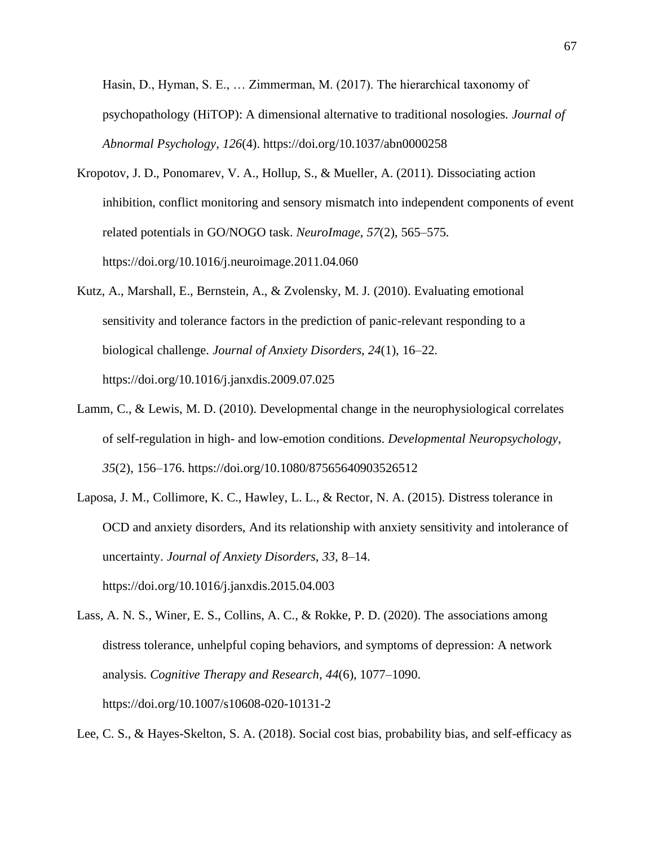Hasin, D., Hyman, S. E., … Zimmerman, M. (2017). The hierarchical taxonomy of psychopathology (HiTOP): A dimensional alternative to traditional nosologies. *Journal of Abnormal Psychology*, *126*(4). https://doi.org/10.1037/abn0000258

- Kropotov, J. D., Ponomarev, V. A., Hollup, S., & Mueller, A. (2011). Dissociating action inhibition, conflict monitoring and sensory mismatch into independent components of event related potentials in GO/NOGO task. *NeuroImage*, *57*(2), 565–575. https://doi.org/10.1016/j.neuroimage.2011.04.060
- Kutz, A., Marshall, E., Bernstein, A., & Zvolensky, M. J. (2010). Evaluating emotional sensitivity and tolerance factors in the prediction of panic-relevant responding to a biological challenge. *Journal of Anxiety Disorders*, *24*(1), 16–22. https://doi.org/10.1016/j.janxdis.2009.07.025
- Lamm, C., & Lewis, M. D. (2010). Developmental change in the neurophysiological correlates of self-regulation in high- and low-emotion conditions. *Developmental Neuropsychology*, *35*(2), 156–176. https://doi.org/10.1080/87565640903526512
- Laposa, J. M., Collimore, K. C., Hawley, L. L., & Rector, N. A. (2015). Distress tolerance in OCD and anxiety disorders, And its relationship with anxiety sensitivity and intolerance of uncertainty. *Journal of Anxiety Disorders*, *33*, 8–14. https://doi.org/10.1016/j.janxdis.2015.04.003
- Lass, A. N. S., Winer, E. S., Collins, A. C., & Rokke, P. D. (2020). The associations among distress tolerance, unhelpful coping behaviors, and symptoms of depression: A network analysis. *Cognitive Therapy and Research*, *44*(6), 1077–1090. https://doi.org/10.1007/s10608-020-10131-2

Lee, C. S., & Hayes-Skelton, S. A. (2018). Social cost bias, probability bias, and self-efficacy as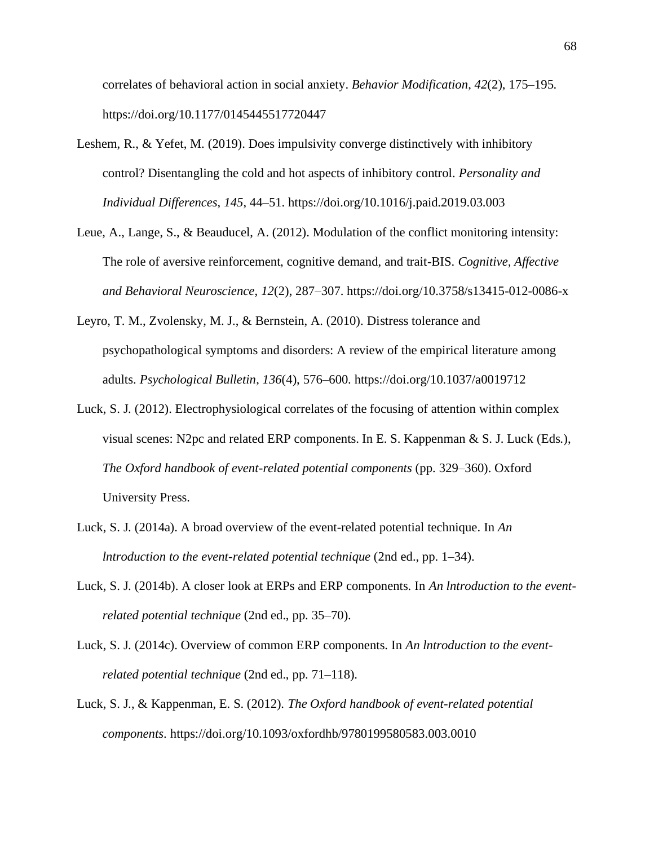correlates of behavioral action in social anxiety. *Behavior Modification*, *42*(2), 175–195. https://doi.org/10.1177/0145445517720447

- Leshem, R., & Yefet, M. (2019). Does impulsivity converge distinctively with inhibitory control? Disentangling the cold and hot aspects of inhibitory control. *Personality and Individual Differences*, *145*, 44–51. https://doi.org/10.1016/j.paid.2019.03.003
- Leue, A., Lange, S., & Beauducel, A. (2012). Modulation of the conflict monitoring intensity: The role of aversive reinforcement, cognitive demand, and trait-BIS. *Cognitive, Affective and Behavioral Neuroscience*, *12*(2), 287–307. https://doi.org/10.3758/s13415-012-0086-x
- Leyro, T. M., Zvolensky, M. J., & Bernstein, A. (2010). Distress tolerance and psychopathological symptoms and disorders: A review of the empirical literature among adults. *Psychological Bulletin*, *136*(4), 576–600. https://doi.org/10.1037/a0019712
- Luck, S. J. (2012). Electrophysiological correlates of the focusing of attention within complex visual scenes: N2pc and related ERP components. In E. S. Kappenman & S. J. Luck (Eds.), *The Oxford handbook of event-related potential components* (pp. 329–360). Oxford University Press.
- Luck, S. J. (2014a). A broad overview of the event-related potential technique. In *An lntroduction to the event-related potential technique* (2nd ed., pp. 1–34).
- Luck, S. J. (2014b). A closer look at ERPs and ERP components. In *An lntroduction to the eventrelated potential technique* (2nd ed., pp. 35–70).
- Luck, S. J. (2014c). Overview of common ERP components. In *An lntroduction to the eventrelated potential technique* (2nd ed., pp. 71–118).
- Luck, S. J., & Kappenman, E. S. (2012). *The Oxford handbook of event-related potential components*. https://doi.org/10.1093/oxfordhb/9780199580583.003.0010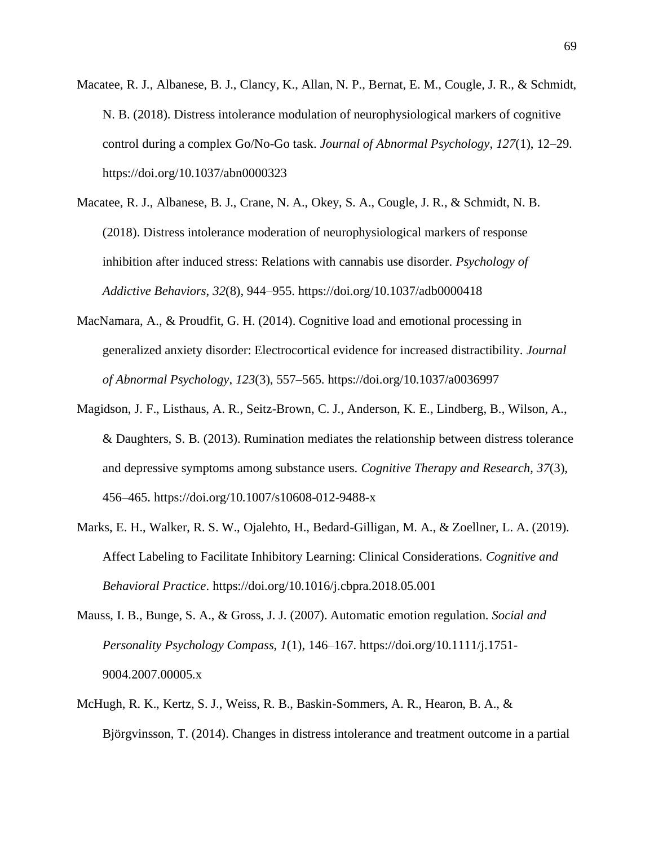- Macatee, R. J., Albanese, B. J., Clancy, K., Allan, N. P., Bernat, E. M., Cougle, J. R., & Schmidt, N. B. (2018). Distress intolerance modulation of neurophysiological markers of cognitive control during a complex Go/No-Go task. *Journal of Abnormal Psychology*, *127*(1), 12–29. https://doi.org/10.1037/abn0000323
- Macatee, R. J., Albanese, B. J., Crane, N. A., Okey, S. A., Cougle, J. R., & Schmidt, N. B. (2018). Distress intolerance moderation of neurophysiological markers of response inhibition after induced stress: Relations with cannabis use disorder. *Psychology of Addictive Behaviors*, *32*(8), 944–955. https://doi.org/10.1037/adb0000418
- MacNamara, A., & Proudfit, G. H. (2014). Cognitive load and emotional processing in generalized anxiety disorder: Electrocortical evidence for increased distractibility. *Journal of Abnormal Psychology*, *123*(3), 557–565. https://doi.org/10.1037/a0036997
- Magidson, J. F., Listhaus, A. R., Seitz-Brown, C. J., Anderson, K. E., Lindberg, B., Wilson, A., & Daughters, S. B. (2013). Rumination mediates the relationship between distress tolerance and depressive symptoms among substance users. *Cognitive Therapy and Research*, *37*(3), 456–465. https://doi.org/10.1007/s10608-012-9488-x
- Marks, E. H., Walker, R. S. W., Ojalehto, H., Bedard-Gilligan, M. A., & Zoellner, L. A. (2019). Affect Labeling to Facilitate Inhibitory Learning: Clinical Considerations. *Cognitive and Behavioral Practice*. https://doi.org/10.1016/j.cbpra.2018.05.001
- Mauss, I. B., Bunge, S. A., & Gross, J. J. (2007). Automatic emotion regulation. *Social and Personality Psychology Compass*, *1*(1), 146–167. https://doi.org/10.1111/j.1751- 9004.2007.00005.x
- McHugh, R. K., Kertz, S. J., Weiss, R. B., Baskin-Sommers, A. R., Hearon, B. A., & Björgvinsson, T. (2014). Changes in distress intolerance and treatment outcome in a partial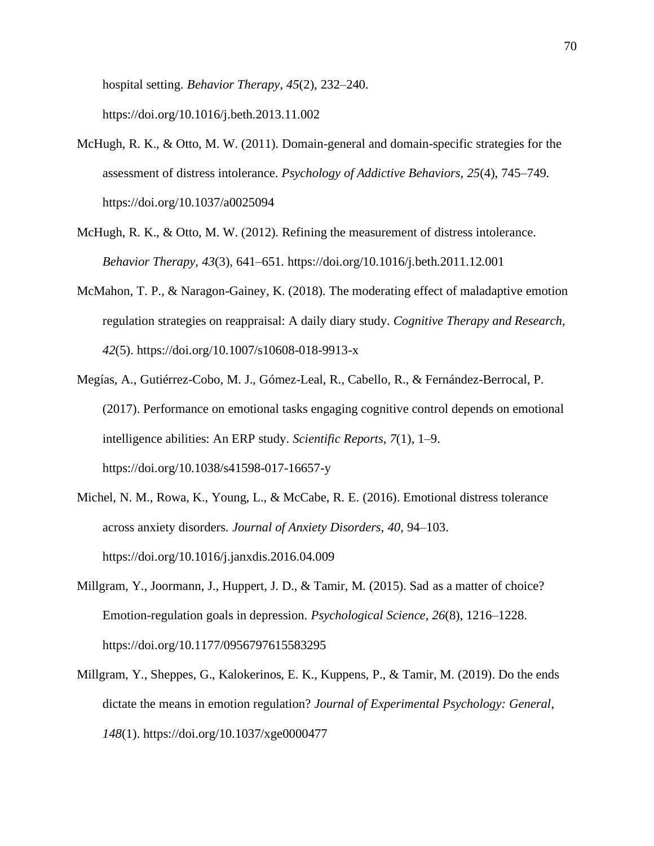hospital setting. *Behavior Therapy*, *45*(2), 232–240. https://doi.org/10.1016/j.beth.2013.11.002

- McHugh, R. K., & Otto, M. W. (2011). Domain-general and domain-specific strategies for the assessment of distress intolerance. *Psychology of Addictive Behaviors*, *25*(4), 745–749. https://doi.org/10.1037/a0025094
- McHugh, R. K., & Otto, M. W. (2012). Refining the measurement of distress intolerance. *Behavior Therapy*, *43*(3), 641–651. https://doi.org/10.1016/j.beth.2011.12.001
- McMahon, T. P., & Naragon-Gainey, K. (2018). The moderating effect of maladaptive emotion regulation strategies on reappraisal: A daily diary study. *Cognitive Therapy and Research*, *42*(5). https://doi.org/10.1007/s10608-018-9913-x
- Megías, A., Gutiérrez-Cobo, M. J., Gómez-Leal, R., Cabello, R., & Fernández-Berrocal, P. (2017). Performance on emotional tasks engaging cognitive control depends on emotional intelligence abilities: An ERP study. *Scientific Reports*, *7*(1), 1–9. https://doi.org/10.1038/s41598-017-16657-y
- Michel, N. M., Rowa, K., Young, L., & McCabe, R. E. (2016). Emotional distress tolerance across anxiety disorders. *Journal of Anxiety Disorders*, *40*, 94–103. https://doi.org/10.1016/j.janxdis.2016.04.009
- Millgram, Y., Joormann, J., Huppert, J. D., & Tamir, M. (2015). Sad as a matter of choice? Emotion-regulation goals in depression. *Psychological Science*, *26*(8), 1216–1228. https://doi.org/10.1177/0956797615583295
- Millgram, Y., Sheppes, G., Kalokerinos, E. K., Kuppens, P., & Tamir, M. (2019). Do the ends dictate the means in emotion regulation? *Journal of Experimental Psychology: General*, *148*(1). https://doi.org/10.1037/xge0000477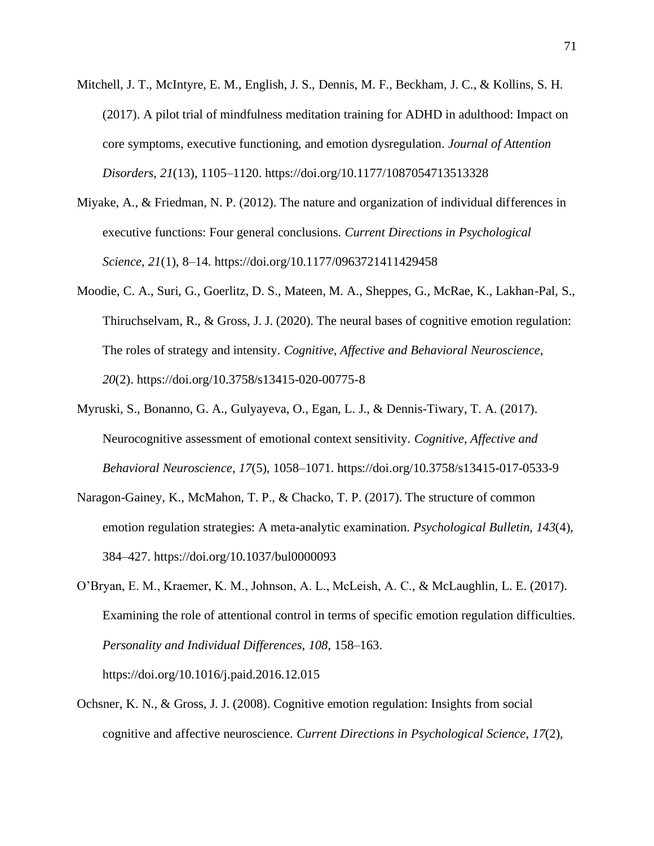- Mitchell, J. T., McIntyre, E. M., English, J. S., Dennis, M. F., Beckham, J. C., & Kollins, S. H. (2017). A pilot trial of mindfulness meditation training for ADHD in adulthood: Impact on core symptoms, executive functioning, and emotion dysregulation. *Journal of Attention Disorders*, *21*(13), 1105–1120. https://doi.org/10.1177/1087054713513328
- Miyake, A., & Friedman, N. P. (2012). The nature and organization of individual differences in executive functions: Four general conclusions. *Current Directions in Psychological Science*, *21*(1), 8–14. https://doi.org/10.1177/0963721411429458
- Moodie, C. A., Suri, G., Goerlitz, D. S., Mateen, M. A., Sheppes, G., McRae, K., Lakhan-Pal, S., Thiruchselvam, R., & Gross, J. J. (2020). The neural bases of cognitive emotion regulation: The roles of strategy and intensity. *Cognitive, Affective and Behavioral Neuroscience*, *20*(2). https://doi.org/10.3758/s13415-020-00775-8
- Myruski, S., Bonanno, G. A., Gulyayeva, O., Egan, L. J., & Dennis-Tiwary, T. A. (2017). Neurocognitive assessment of emotional context sensitivity. *Cognitive, Affective and Behavioral Neuroscience*, *17*(5), 1058–1071. https://doi.org/10.3758/s13415-017-0533-9
- Naragon-Gainey, K., McMahon, T. P., & Chacko, T. P. (2017). The structure of common emotion regulation strategies: A meta-analytic examination. *Psychological Bulletin*, *143*(4), 384–427. https://doi.org/10.1037/bul0000093
- O'Bryan, E. M., Kraemer, K. M., Johnson, A. L., McLeish, A. C., & McLaughlin, L. E. (2017). Examining the role of attentional control in terms of specific emotion regulation difficulties. *Personality and Individual Differences*, *108*, 158–163. https://doi.org/10.1016/j.paid.2016.12.015
- Ochsner, K. N., & Gross, J. J. (2008). Cognitive emotion regulation: Insights from social cognitive and affective neuroscience. *Current Directions in Psychological Science*, *17*(2),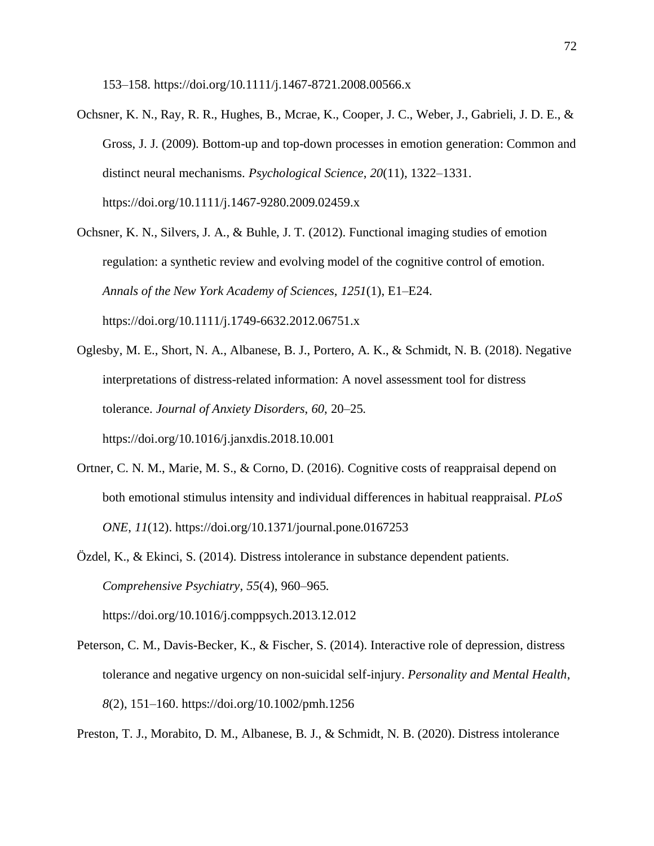153–158. https://doi.org/10.1111/j.1467-8721.2008.00566.x

- Ochsner, K. N., Ray, R. R., Hughes, B., Mcrae, K., Cooper, J. C., Weber, J., Gabrieli, J. D. E., & Gross, J. J. (2009). Bottom-up and top-down processes in emotion generation: Common and distinct neural mechanisms. *Psychological Science*, *20*(11), 1322–1331. https://doi.org/10.1111/j.1467-9280.2009.02459.x
- Ochsner, K. N., Silvers, J. A., & Buhle, J. T. (2012). Functional imaging studies of emotion regulation: a synthetic review and evolving model of the cognitive control of emotion. *Annals of the New York Academy of Sciences*, *1251*(1), E1–E24. https://doi.org/10.1111/j.1749-6632.2012.06751.x
- Oglesby, M. E., Short, N. A., Albanese, B. J., Portero, A. K., & Schmidt, N. B. (2018). Negative interpretations of distress-related information: A novel assessment tool for distress tolerance. *Journal of Anxiety Disorders*, *60*, 20–25. https://doi.org/10.1016/j.janxdis.2018.10.001
- Ortner, C. N. M., Marie, M. S., & Corno, D. (2016). Cognitive costs of reappraisal depend on both emotional stimulus intensity and individual differences in habitual reappraisal. *PLoS ONE*, *11*(12). https://doi.org/10.1371/journal.pone.0167253
- Özdel, K., & Ekinci, S. (2014). Distress intolerance in substance dependent patients. *Comprehensive Psychiatry*, *55*(4), 960–965. https://doi.org/10.1016/j.comppsych.2013.12.012
- Peterson, C. M., Davis-Becker, K., & Fischer, S. (2014). Interactive role of depression, distress tolerance and negative urgency on non-suicidal self-injury. *Personality and Mental Health*, *8*(2), 151–160. https://doi.org/10.1002/pmh.1256

Preston, T. J., Morabito, D. M., Albanese, B. J., & Schmidt, N. B. (2020). Distress intolerance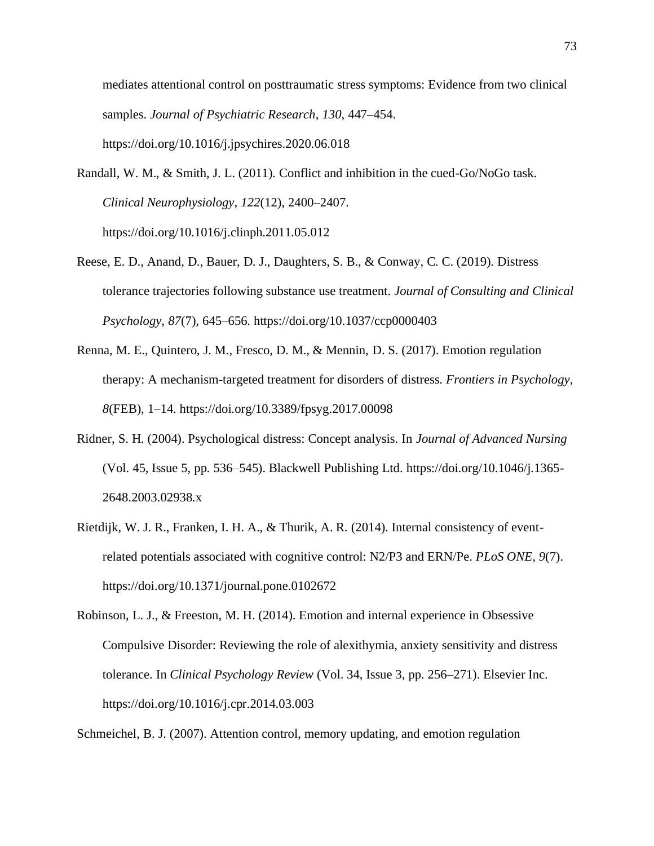mediates attentional control on posttraumatic stress symptoms: Evidence from two clinical samples. *Journal of Psychiatric Research*, *130*, 447–454. https://doi.org/10.1016/j.jpsychires.2020.06.018

- Randall, W. M., & Smith, J. L. (2011). Conflict and inhibition in the cued-Go/NoGo task. *Clinical Neurophysiology*, *122*(12), 2400–2407. https://doi.org/10.1016/j.clinph.2011.05.012
- Reese, E. D., Anand, D., Bauer, D. J., Daughters, S. B., & Conway, C. C. (2019). Distress tolerance trajectories following substance use treatment. *Journal of Consulting and Clinical Psychology*, *87*(7), 645–656. https://doi.org/10.1037/ccp0000403
- Renna, M. E., Quintero, J. M., Fresco, D. M., & Mennin, D. S. (2017). Emotion regulation therapy: A mechanism-targeted treatment for disorders of distress. *Frontiers in Psychology*, *8*(FEB), 1–14. https://doi.org/10.3389/fpsyg.2017.00098
- Ridner, S. H. (2004). Psychological distress: Concept analysis. In *Journal of Advanced Nursing* (Vol. 45, Issue 5, pp. 536–545). Blackwell Publishing Ltd. https://doi.org/10.1046/j.1365- 2648.2003.02938.x
- Rietdijk, W. J. R., Franken, I. H. A., & Thurik, A. R. (2014). Internal consistency of eventrelated potentials associated with cognitive control: N2/P3 and ERN/Pe. *PLoS ONE*, *9*(7). https://doi.org/10.1371/journal.pone.0102672
- Robinson, L. J., & Freeston, M. H. (2014). Emotion and internal experience in Obsessive Compulsive Disorder: Reviewing the role of alexithymia, anxiety sensitivity and distress tolerance. In *Clinical Psychology Review* (Vol. 34, Issue 3, pp. 256–271). Elsevier Inc. https://doi.org/10.1016/j.cpr.2014.03.003

Schmeichel, B. J. (2007). Attention control, memory updating, and emotion regulation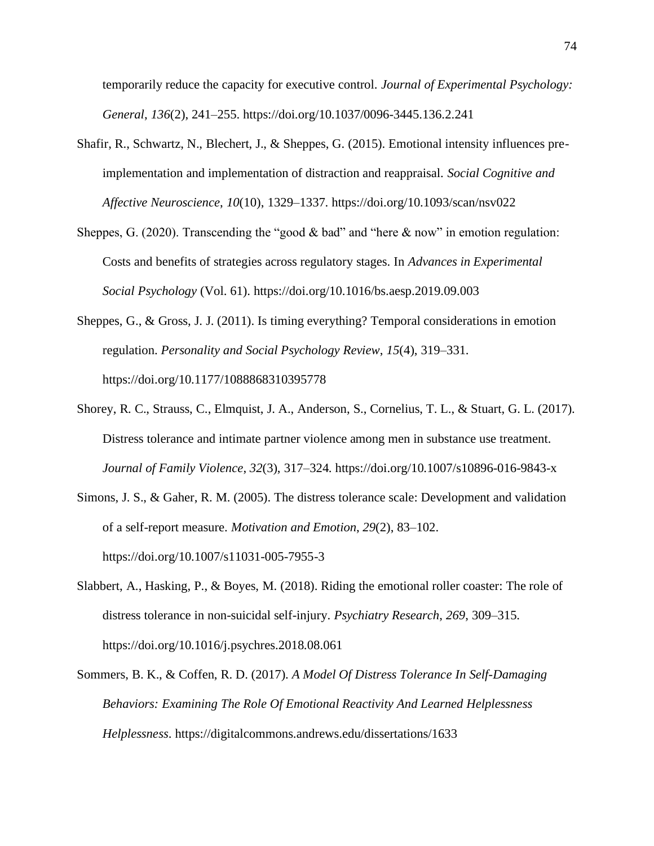temporarily reduce the capacity for executive control. *Journal of Experimental Psychology: General*, *136*(2), 241–255. https://doi.org/10.1037/0096-3445.136.2.241

- Shafir, R., Schwartz, N., Blechert, J., & Sheppes, G. (2015). Emotional intensity influences preimplementation and implementation of distraction and reappraisal. *Social Cognitive and Affective Neuroscience*, *10*(10), 1329–1337. https://doi.org/10.1093/scan/nsv022
- Sheppes, G. (2020). Transcending the "good & bad" and "here & now" in emotion regulation: Costs and benefits of strategies across regulatory stages. In *Advances in Experimental Social Psychology* (Vol. 61). https://doi.org/10.1016/bs.aesp.2019.09.003
- Sheppes, G., & Gross, J. J. (2011). Is timing everything? Temporal considerations in emotion regulation. *Personality and Social Psychology Review*, *15*(4), 319–331. https://doi.org/10.1177/1088868310395778
- Shorey, R. C., Strauss, C., Elmquist, J. A., Anderson, S., Cornelius, T. L., & Stuart, G. L. (2017). Distress tolerance and intimate partner violence among men in substance use treatment. *Journal of Family Violence*, *32*(3), 317–324. https://doi.org/10.1007/s10896-016-9843-x
- Simons, J. S., & Gaher, R. M. (2005). The distress tolerance scale: Development and validation of a self-report measure. *Motivation and Emotion*, *29*(2), 83–102. https://doi.org/10.1007/s11031-005-7955-3
- Slabbert, A., Hasking, P., & Boyes, M. (2018). Riding the emotional roller coaster: The role of distress tolerance in non-suicidal self-injury. *Psychiatry Research*, *269*, 309–315. https://doi.org/10.1016/j.psychres.2018.08.061
- Sommers, B. K., & Coffen, R. D. (2017). *A Model Of Distress Tolerance In Self-Damaging Behaviors: Examining The Role Of Emotional Reactivity And Learned Helplessness Helplessness*. https://digitalcommons.andrews.edu/dissertations/1633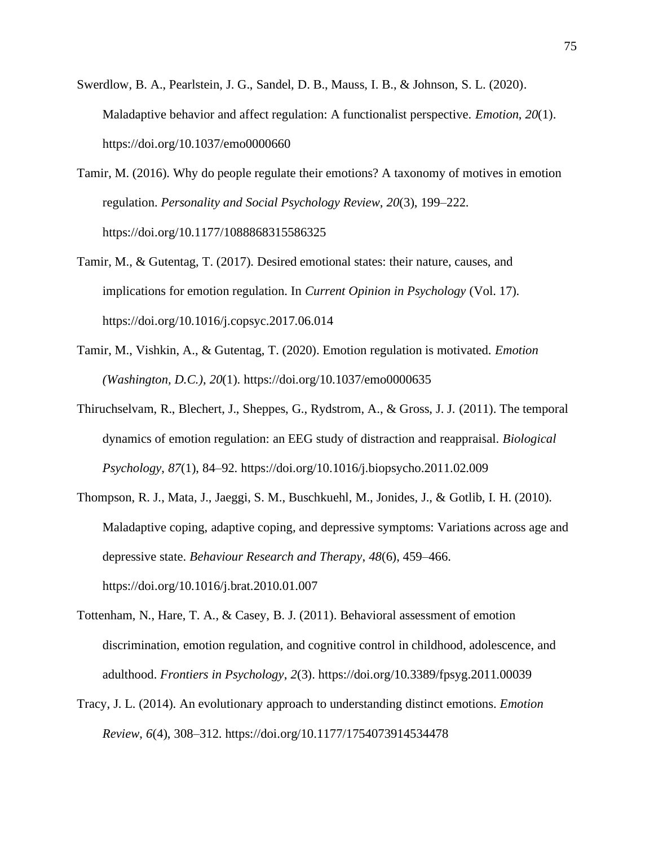- Swerdlow, B. A., Pearlstein, J. G., Sandel, D. B., Mauss, I. B., & Johnson, S. L. (2020). Maladaptive behavior and affect regulation: A functionalist perspective. *Emotion*, *20*(1). https://doi.org/10.1037/emo0000660
- Tamir, M. (2016). Why do people regulate their emotions? A taxonomy of motives in emotion regulation. *Personality and Social Psychology Review*, *20*(3), 199–222. https://doi.org/10.1177/1088868315586325
- Tamir, M., & Gutentag, T. (2017). Desired emotional states: their nature, causes, and implications for emotion regulation. In *Current Opinion in Psychology* (Vol. 17). https://doi.org/10.1016/j.copsyc.2017.06.014
- Tamir, M., Vishkin, A., & Gutentag, T. (2020). Emotion regulation is motivated. *Emotion (Washington, D.C.)*, *20*(1). https://doi.org/10.1037/emo0000635
- Thiruchselvam, R., Blechert, J., Sheppes, G., Rydstrom, A., & Gross, J. J. (2011). The temporal dynamics of emotion regulation: an EEG study of distraction and reappraisal. *Biological Psychology*, *87*(1), 84–92. https://doi.org/10.1016/j.biopsycho.2011.02.009
- Thompson, R. J., Mata, J., Jaeggi, S. M., Buschkuehl, M., Jonides, J., & Gotlib, I. H. (2010). Maladaptive coping, adaptive coping, and depressive symptoms: Variations across age and depressive state. *Behaviour Research and Therapy*, *48*(6), 459–466. https://doi.org/10.1016/j.brat.2010.01.007
- Tottenham, N., Hare, T. A., & Casey, B. J. (2011). Behavioral assessment of emotion discrimination, emotion regulation, and cognitive control in childhood, adolescence, and adulthood. *Frontiers in Psychology*, *2*(3). https://doi.org/10.3389/fpsyg.2011.00039
- Tracy, J. L. (2014). An evolutionary approach to understanding distinct emotions. *Emotion Review*, *6*(4), 308–312. https://doi.org/10.1177/1754073914534478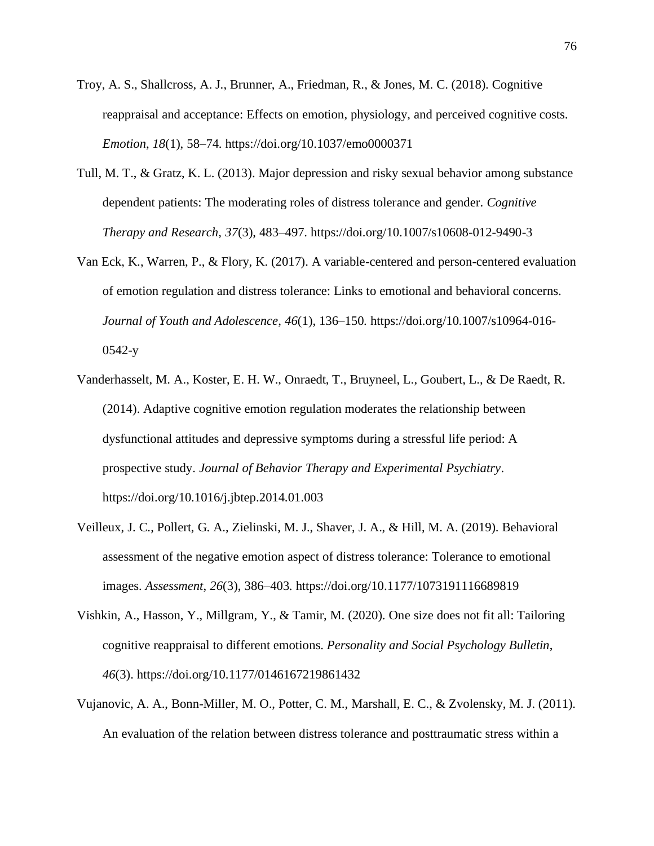- Troy, A. S., Shallcross, A. J., Brunner, A., Friedman, R., & Jones, M. C. (2018). Cognitive reappraisal and acceptance: Effects on emotion, physiology, and perceived cognitive costs. *Emotion*, *18*(1), 58–74. https://doi.org/10.1037/emo0000371
- Tull, M. T., & Gratz, K. L. (2013). Major depression and risky sexual behavior among substance dependent patients: The moderating roles of distress tolerance and gender. *Cognitive Therapy and Research*, *37*(3), 483–497. https://doi.org/10.1007/s10608-012-9490-3
- Van Eck, K., Warren, P., & Flory, K. (2017). A variable-centered and person-centered evaluation of emotion regulation and distress tolerance: Links to emotional and behavioral concerns. *Journal of Youth and Adolescence*, *46*(1), 136–150. https://doi.org/10.1007/s10964-016- 0542-y
- Vanderhasselt, M. A., Koster, E. H. W., Onraedt, T., Bruyneel, L., Goubert, L., & De Raedt, R. (2014). Adaptive cognitive emotion regulation moderates the relationship between dysfunctional attitudes and depressive symptoms during a stressful life period: A prospective study. *Journal of Behavior Therapy and Experimental Psychiatry*. https://doi.org/10.1016/j.jbtep.2014.01.003
- Veilleux, J. C., Pollert, G. A., Zielinski, M. J., Shaver, J. A., & Hill, M. A. (2019). Behavioral assessment of the negative emotion aspect of distress tolerance: Tolerance to emotional images. *Assessment*, *26*(3), 386–403. https://doi.org/10.1177/1073191116689819
- Vishkin, A., Hasson, Y., Millgram, Y., & Tamir, M. (2020). One size does not fit all: Tailoring cognitive reappraisal to different emotions. *Personality and Social Psychology Bulletin*, *46*(3). https://doi.org/10.1177/0146167219861432
- Vujanovic, A. A., Bonn-Miller, M. O., Potter, C. M., Marshall, E. C., & Zvolensky, M. J. (2011). An evaluation of the relation between distress tolerance and posttraumatic stress within a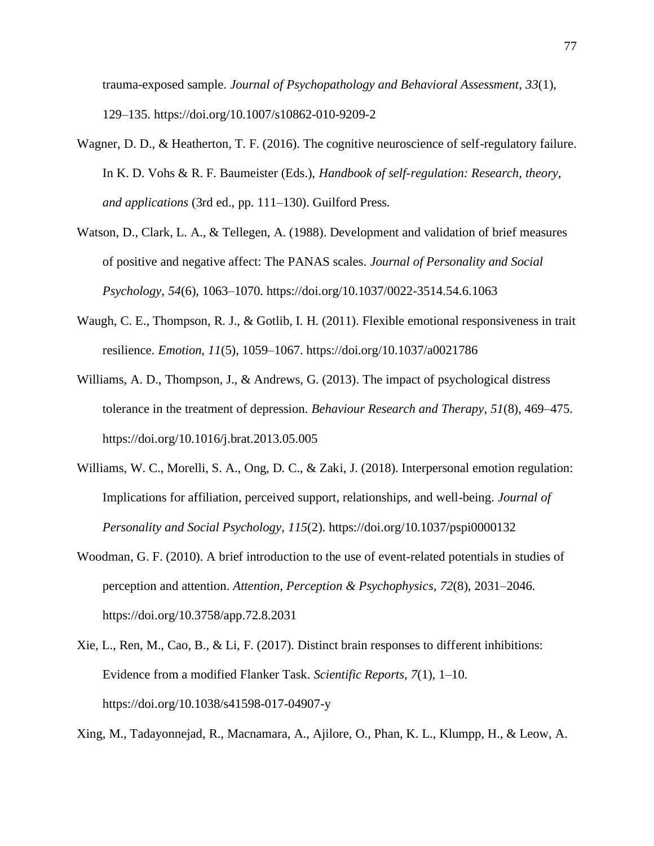trauma-exposed sample. *Journal of Psychopathology and Behavioral Assessment*, *33*(1), 129–135. https://doi.org/10.1007/s10862-010-9209-2

- Wagner, D. D., & Heatherton, T. F. (2016). The cognitive neuroscience of self-regulatory failure. In K. D. Vohs & R. F. Baumeister (Eds.), *Handbook of self-regulation: Research, theory, and applications* (3rd ed., pp. 111–130). Guilford Press.
- Watson, D., Clark, L. A., & Tellegen, A. (1988). Development and validation of brief measures of positive and negative affect: The PANAS scales. *Journal of Personality and Social Psychology*, *54*(6), 1063–1070. https://doi.org/10.1037/0022-3514.54.6.1063
- Waugh, C. E., Thompson, R. J., & Gotlib, I. H. (2011). Flexible emotional responsiveness in trait resilience. *Emotion*, *11*(5), 1059–1067. https://doi.org/10.1037/a0021786
- Williams, A. D., Thompson, J., & Andrews, G. (2013). The impact of psychological distress tolerance in the treatment of depression. *Behaviour Research and Therapy*, *51*(8), 469–475. https://doi.org/10.1016/j.brat.2013.05.005
- Williams, W. C., Morelli, S. A., Ong, D. C., & Zaki, J. (2018). Interpersonal emotion regulation: Implications for affiliation, perceived support, relationships, and well-being. *Journal of Personality and Social Psychology*, *115*(2). https://doi.org/10.1037/pspi0000132
- Woodman, G. F. (2010). A brief introduction to the use of event-related potentials in studies of perception and attention. *Attention, Perception & Psychophysics*, *72*(8), 2031–2046. https://doi.org/10.3758/app.72.8.2031
- Xie, L., Ren, M., Cao, B., & Li, F. (2017). Distinct brain responses to different inhibitions: Evidence from a modified Flanker Task. *Scientific Reports*, *7*(1), 1–10. https://doi.org/10.1038/s41598-017-04907-y

Xing, M., Tadayonnejad, R., Macnamara, A., Ajilore, O., Phan, K. L., Klumpp, H., & Leow, A.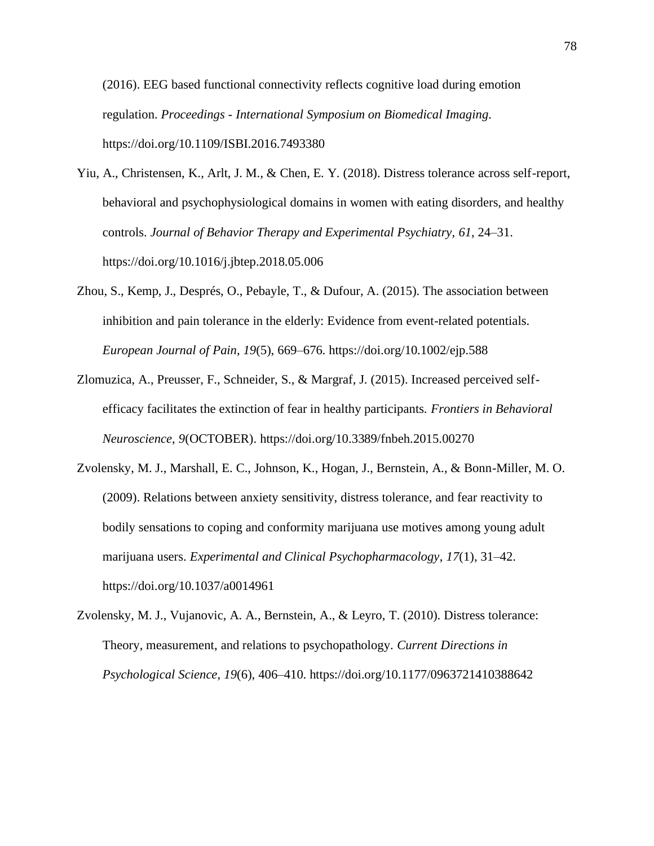(2016). EEG based functional connectivity reflects cognitive load during emotion regulation. *Proceedings - International Symposium on Biomedical Imaging*. https://doi.org/10.1109/ISBI.2016.7493380

- Yiu, A., Christensen, K., Arlt, J. M., & Chen, E. Y. (2018). Distress tolerance across self-report, behavioral and psychophysiological domains in women with eating disorders, and healthy controls. *Journal of Behavior Therapy and Experimental Psychiatry*, *61*, 24–31. https://doi.org/10.1016/j.jbtep.2018.05.006
- Zhou, S., Kemp, J., Després, O., Pebayle, T., & Dufour, A. (2015). The association between inhibition and pain tolerance in the elderly: Evidence from event-related potentials. *European Journal of Pain*, *19*(5), 669–676. https://doi.org/10.1002/ejp.588
- Zlomuzica, A., Preusser, F., Schneider, S., & Margraf, J. (2015). Increased perceived selfefficacy facilitates the extinction of fear in healthy participants. *Frontiers in Behavioral Neuroscience*, *9*(OCTOBER). https://doi.org/10.3389/fnbeh.2015.00270
- Zvolensky, M. J., Marshall, E. C., Johnson, K., Hogan, J., Bernstein, A., & Bonn-Miller, M. O. (2009). Relations between anxiety sensitivity, distress tolerance, and fear reactivity to bodily sensations to coping and conformity marijuana use motives among young adult marijuana users. *Experimental and Clinical Psychopharmacology*, *17*(1), 31–42. https://doi.org/10.1037/a0014961
- Zvolensky, M. J., Vujanovic, A. A., Bernstein, A., & Leyro, T. (2010). Distress tolerance: Theory, measurement, and relations to psychopathology. *Current Directions in Psychological Science*, *19*(6), 406–410. https://doi.org/10.1177/0963721410388642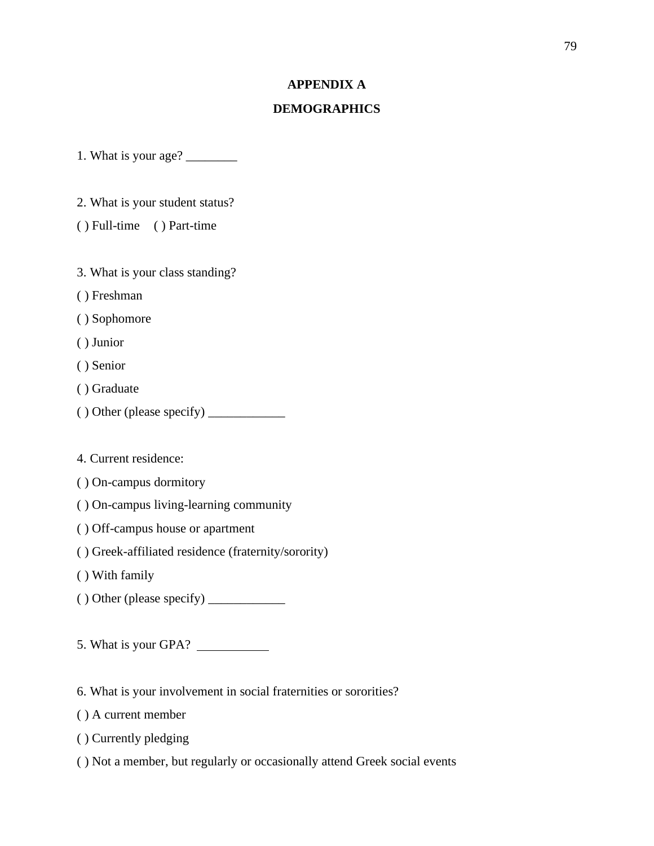## **APPENDIX A**

### **DEMOGRAPHICS**

1. What is your age? \_\_\_\_\_\_\_\_

2. What is your student status?

( ) Full-time ( ) Part-time

3. What is your class standing?

( ) Freshman

( ) Sophomore

( ) Junior

( ) Senior

( ) Graduate

 $()$  Other (please specify)  $\_\_$ 

4. Current residence:

( ) On-campus dormitory

( ) On-campus living-learning community

( ) Off-campus house or apartment

( ) Greek-affiliated residence (fraternity/sorority)

( ) With family

 $()$  Other (please specify)  $\_\_\_\_\_\_\_\_\_\_\_\_$ 

5. What is your GPA?

6. What is your involvement in social fraternities or sororities?

( ) A current member

( ) Currently pledging

( ) Not a member, but regularly or occasionally attend Greek social events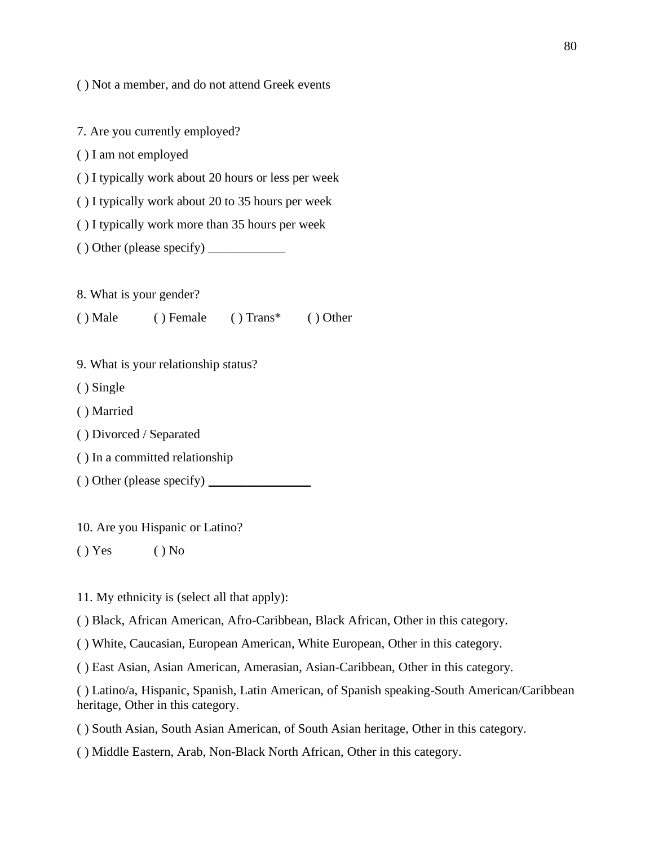( ) Not a member, and do not attend Greek events

7. Are you currently employed? ( ) I am not employed ( ) I typically work about 20 hours or less per week ( ) I typically work about 20 to 35 hours per week ( ) I typically work more than 35 hours per week  $()$  Other (please specify)  $\_\_\_\_\_\_\_\_\_\_\_\_\_\_\_$ 8. What is your gender? ( ) Male ( ) Female ( ) Trans\* ( ) Other 9. What is your relationship status? ( ) Single ( ) Married ( ) Divorced / Separated ( ) In a committed relationship  $()$  Other (please specify)  $\_\_$ 

10. Are you Hispanic or Latino?

 $() Yes$   $() No$ 

11. My ethnicity is (select all that apply):

( ) Black, African American, Afro-Caribbean, Black African, Other in this category.

( ) White, Caucasian, European American, White European, Other in this category.

( ) East Asian, Asian American, Amerasian, Asian-Caribbean, Other in this category.

( ) Latino/a, Hispanic, Spanish, Latin American, of Spanish speaking-South American/Caribbean heritage, Other in this category.

( ) South Asian, South Asian American, of South Asian heritage, Other in this category.

( ) Middle Eastern, Arab, Non-Black North African, Other in this category.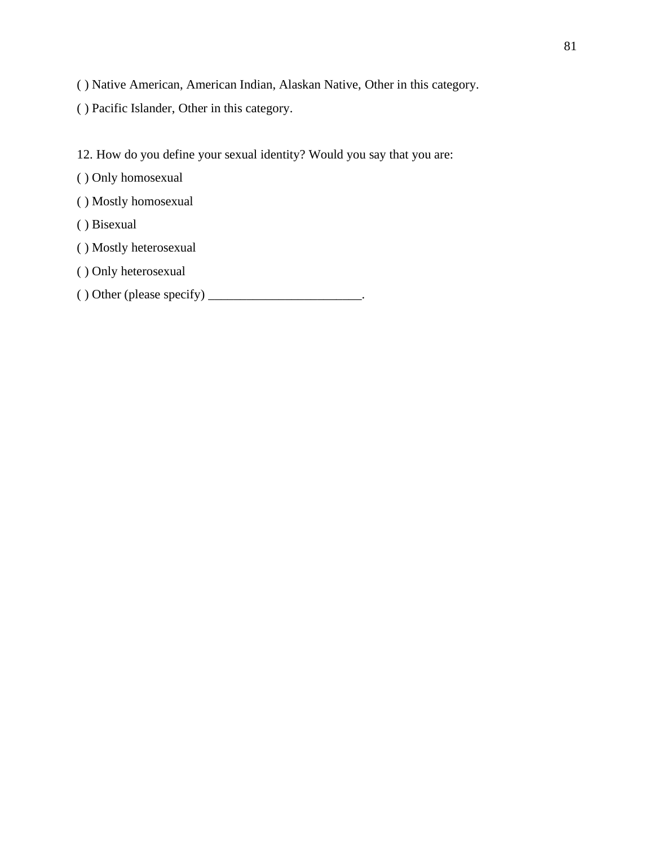- ( ) Native American, American Indian, Alaskan Native, Other in this category.
- ( ) Pacific Islander, Other in this category.
- 12. How do you define your sexual identity? Would you say that you are:
- ( ) Only homosexual
- ( ) Mostly homosexual
- ( ) Bisexual
- ( ) Mostly heterosexual
- ( ) Only heterosexual
- $( )$  Other (please specify)  $\_\_\_\_\_\_\_\_\_\_\_\_\_\_\_\_\_$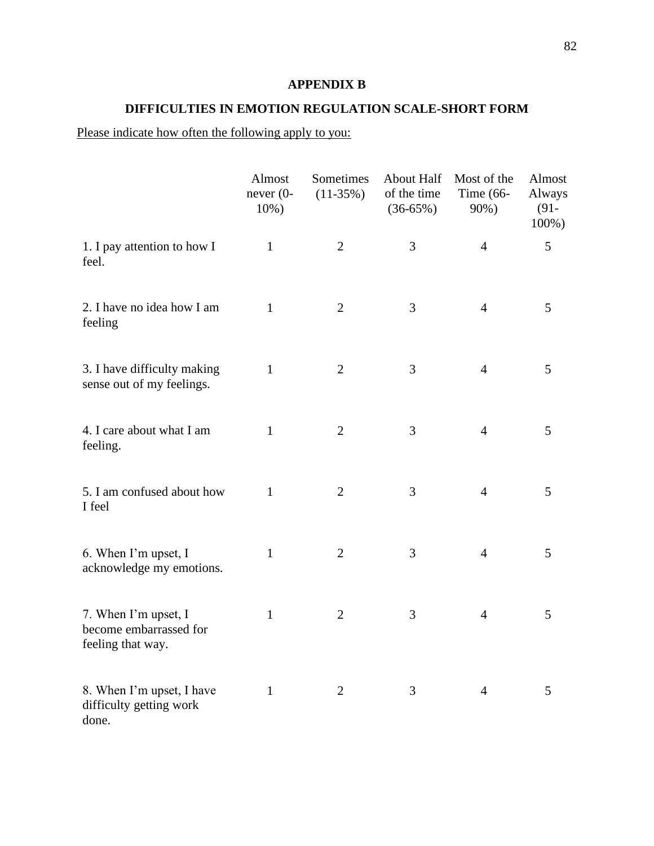# **APPENDIX B**

# **DIFFICULTIES IN EMOTION REGULATION SCALE-SHORT FORM**

# Please indicate how often the following apply to you:

|                                                                     | Almost<br>$never (0-$<br>10%) | Sometimes<br>$(11-35%)$ | <b>About Half</b><br>of the time<br>$(36-65%)$ | Most of the<br>Time $(66-$<br>90%) | Almost<br>Always<br>$(91 -$<br>100%) |
|---------------------------------------------------------------------|-------------------------------|-------------------------|------------------------------------------------|------------------------------------|--------------------------------------|
| 1. I pay attention to how I<br>feel.                                | $\mathbf{1}$                  | $\overline{2}$          | 3                                              | $\overline{4}$                     | 5                                    |
| 2. I have no idea how I am<br>feeling                               | $\mathbf{1}$                  | $\overline{2}$          | 3                                              | $\overline{4}$                     | 5                                    |
| 3. I have difficulty making<br>sense out of my feelings.            | $\mathbf{1}$                  | $\overline{2}$          | 3                                              | $\overline{4}$                     | 5                                    |
| 4. I care about what I am<br>feeling.                               | $\mathbf{1}$                  | $\overline{2}$          | 3                                              | $\overline{4}$                     | 5                                    |
| 5. I am confused about how<br>I feel                                | $\mathbf{1}$                  | $\overline{2}$          | 3                                              | $\overline{4}$                     | 5                                    |
| 6. When I'm upset, I<br>acknowledge my emotions.                    | $\mathbf{1}$                  | $\overline{2}$          | 3                                              | $\overline{4}$                     | 5                                    |
| 7. When I'm upset, I<br>become embarrassed for<br>feeling that way. | $\mathbf{1}$                  | $\overline{2}$          | 3                                              | $\overline{4}$                     | 5                                    |
| 8. When I'm upset, I have<br>difficulty getting work<br>done.       | $\mathbf{1}$                  | $\mathbf{2}$            | 3                                              | $\overline{4}$                     | 5                                    |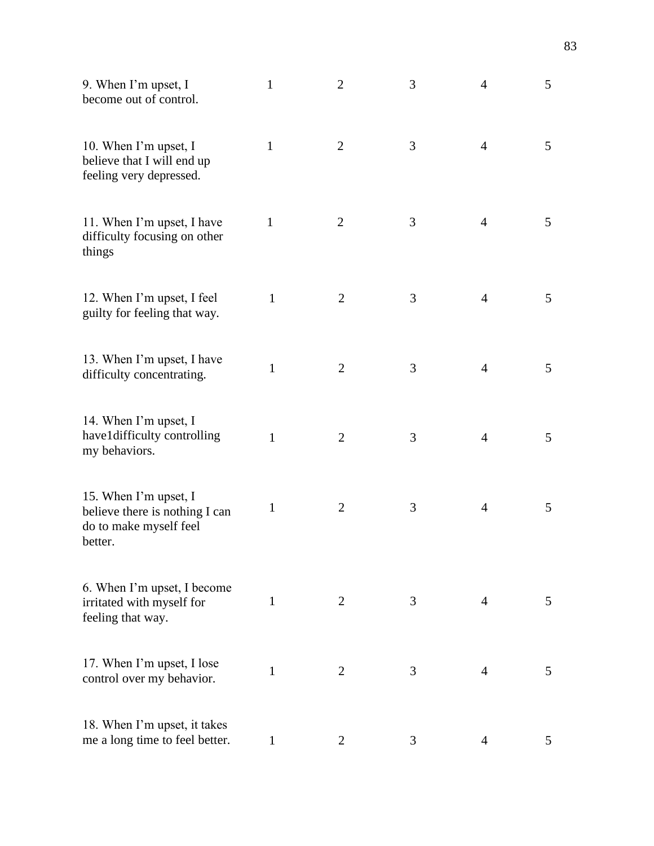| 9. When I'm upset, I<br>become out of control.                                               | $\mathbf{1}$ | $\mathbf{2}$   | 3 | $\overline{4}$ | 5 |
|----------------------------------------------------------------------------------------------|--------------|----------------|---|----------------|---|
| 10. When I'm upset, I<br>believe that I will end up<br>feeling very depressed.               | $\mathbf{1}$ | $\overline{2}$ | 3 | $\overline{4}$ | 5 |
| 11. When I'm upset, I have<br>difficulty focusing on other<br>things                         | $\mathbf{1}$ | $\mathbf{2}$   | 3 | $\overline{4}$ | 5 |
| 12. When I'm upset, I feel<br>guilty for feeling that way.                                   | 1            | $\overline{2}$ | 3 | $\overline{4}$ | 5 |
| 13. When I'm upset, I have<br>difficulty concentrating.                                      | 1            | $\mathfrak{2}$ | 3 | $\overline{4}$ | 5 |
| 14. When I'm upset, I<br>have1difficulty controlling<br>my behaviors.                        | 1            | $\overline{2}$ | 3 | $\overline{4}$ | 5 |
| 15. When I'm upset, I<br>believe there is nothing I can<br>do to make myself feel<br>better. | 1            | $\overline{2}$ | 3 | $\overline{4}$ | 5 |
| 6. When I'm upset, I become<br>irritated with myself for<br>feeling that way.                | $\mathbf{1}$ | 2              | 3 | $\overline{4}$ | 5 |
| 17. When I'm upset, I lose<br>control over my behavior.                                      | $\mathbf{1}$ | $\overline{2}$ | 3 | $\overline{4}$ | 5 |
| 18. When I'm upset, it takes<br>me a long time to feel better.                               | 1            | $\overline{2}$ | 3 | 4              | 5 |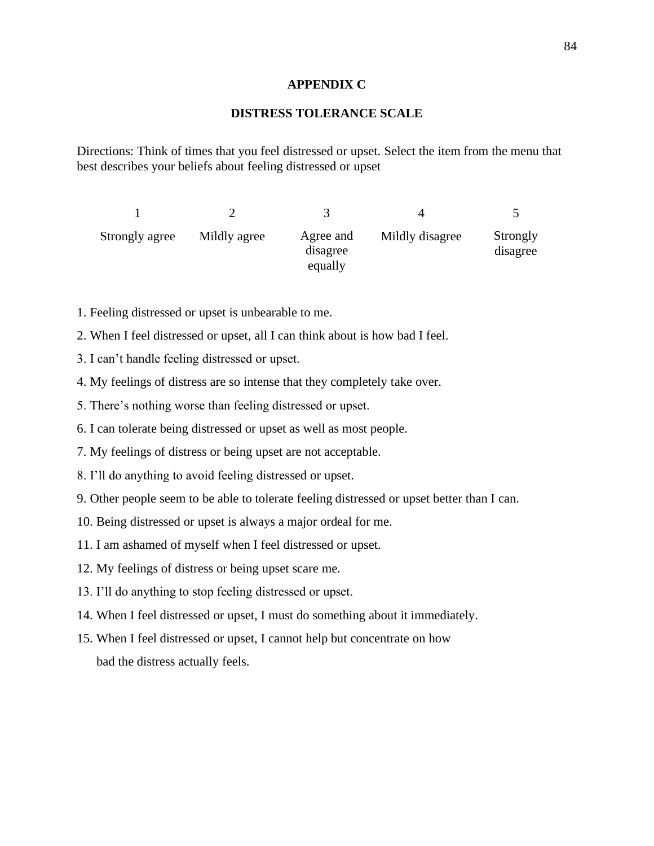#### **APPENDIX C**

#### **DISTRESS TOLERANCE SCALE**

Directions: Think of times that you feel distressed or upset. Select the item from the menu that best describes your beliefs about feeling distressed or upset

| Strongly agree | Mildly agree | Agree and<br>disagree<br>equally | Mildly disagree | Strongly<br>disagree |
|----------------|--------------|----------------------------------|-----------------|----------------------|

- 1. Feeling distressed or upset is unbearable to me.
- 2. When I feel distressed or upset, all I can think about is how bad I feel.
- 3. I can't handle feeling distressed or upset.
- 4. My feelings of distress are so intense that they completely take over.
- 5. There's nothing worse than feeling distressed or upset.
- 6. I can tolerate being distressed or upset as well as most people.
- 7. My feelings of distress or being upset are not acceptable.
- 8. I'll do anything to avoid feeling distressed or upset.
- 9. Other people seem to be able to tolerate feeling distressed or upset better than I can.
- 10. Being distressed or upset is always a major ordeal for me.
- 11. I am ashamed of myself when I feel distressed or upset.
- 12. My feelings of distress or being upset scare me.
- 13. I'll do anything to stop feeling distressed or upset.
- 14. When I feel distressed or upset, I must do something about it immediately.
- 15. When I feel distressed or upset, I cannot help but concentrate on how bad the distress actually feels.